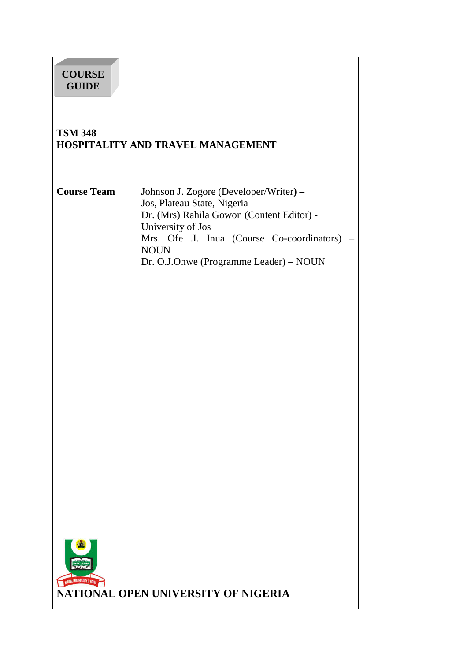# **COURSE GUIDE**

#### **TSM 348 HOSPITALITY AND TRAVEL MANAGEMENT**

**Course Team** Johnson J. Zogore (Developer/Writer**) –**  Jos, Plateau State, Nigeria Dr. (Mrs) Rahila Gowon (Content Editor) - University of Jos Mrs. Ofe .I. Inua (Course Co-coordinators) – NOUN Dr. O.J.Onwe (Programme Leader) – NOUN

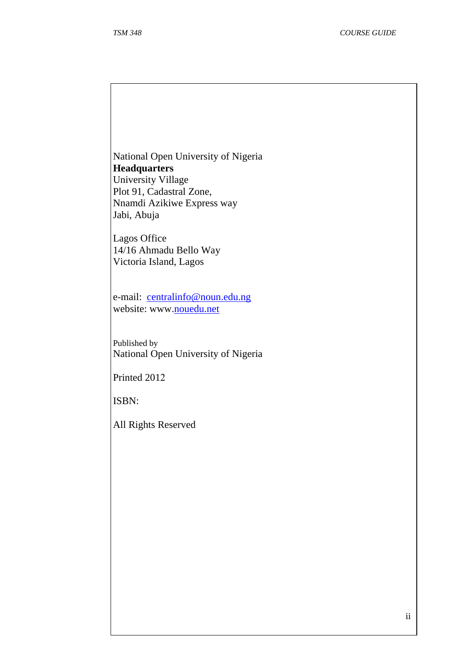National Open University of Nigeria **Headquarters**  University Village Plot 91, Cadastral Zone, Nnamdi Azikiwe Express way Jabi, Abuja

Lagos Office 14/16 Ahmadu Bello Way Victoria Island, Lagos

e-mail: centralinfo@noun.edu.ng website: www.nouedu.net

Published by National Open University of Nigeria

Printed 2012

ISBN:

All Rights Reserved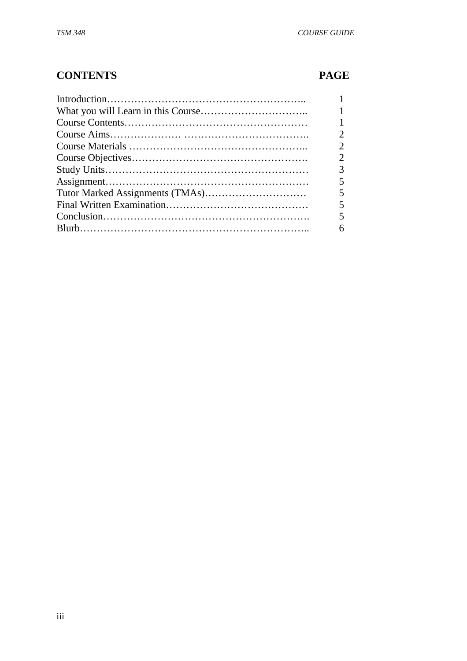# **CONTENTS PAGE**

| 2 |
|---|
| 3 |
|   |
|   |
|   |
|   |
| 6 |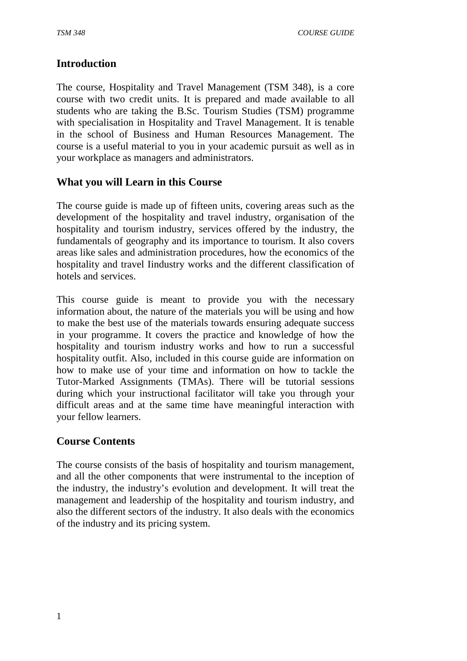# **Introduction**

The course, Hospitality and Travel Management (TSM 348), is a core course with two credit units. It is prepared and made available to all students who are taking the B.Sc. Tourism Studies (TSM) programme with specialisation in Hospitality and Travel Management. It is tenable in the school of Business and Human Resources Management. The course is a useful material to you in your academic pursuit as well as in your workplace as managers and administrators.

# **What you will Learn in this Course**

The course guide is made up of fifteen units, covering areas such as the development of the hospitality and travel industry, organisation of the hospitality and tourism industry, services offered by the industry, the fundamentals of geography and its importance to tourism. It also covers areas like sales and administration procedures, how the economics of the hospitality and travel Iindustry works and the different classification of hotels and services.

This course guide is meant to provide you with the necessary information about, the nature of the materials you will be using and how to make the best use of the materials towards ensuring adequate success in your programme. It covers the practice and knowledge of how the hospitality and tourism industry works and how to run a successful hospitality outfit. Also, included in this course guide are information on how to make use of your time and information on how to tackle the Tutor-Marked Assignments (TMAs). There will be tutorial sessions during which your instructional facilitator will take you through your difficult areas and at the same time have meaningful interaction with your fellow learners.

#### **Course Contents**

The course consists of the basis of hospitality and tourism management, and all the other components that were instrumental to the inception of the industry, the industry's evolution and development. It will treat the management and leadership of the hospitality and tourism industry, and also the different sectors of the industry. It also deals with the economics of the industry and its pricing system.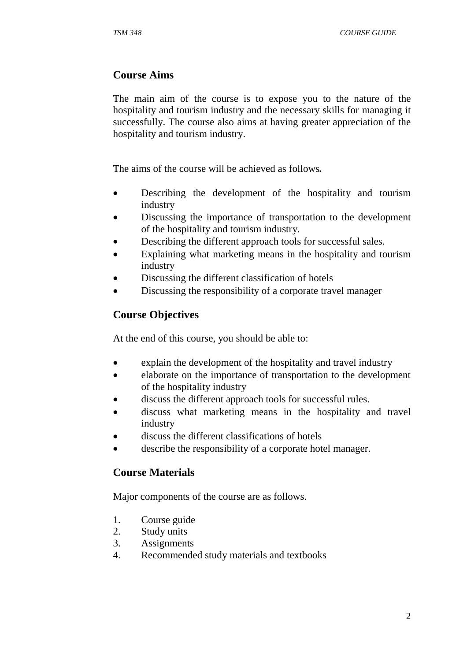# **Course Aims**

The main aim of the course is to expose you to the nature of the hospitality and tourism industry and the necessary skills for managing it successfully. The course also aims at having greater appreciation of the hospitality and tourism industry.

The aims of the course will be achieved as follows*.* 

- Describing the development of the hospitality and tourism industry
- Discussing the importance of transportation to the development of the hospitality and tourism industry.
- Describing the different approach tools for successful sales.
- Explaining what marketing means in the hospitality and tourism industry
- Discussing the different classification of hotels
- Discussing the responsibility of a corporate travel manager

# **Course Objectives**

At the end of this course, you should be able to:

- explain the development of the hospitality and travel industry
- elaborate on the importance of transportation to the development of the hospitality industry
- discuss the different approach tools for successful rules.
- discuss what marketing means in the hospitality and travel industry
- discuss the different classifications of hotels
- describe the responsibility of a corporate hotel manager.

#### **Course Materials**

Major components of the course are as follows.

- 1. Course guide
- 2. Study units
- 3. Assignments
- 4. Recommended study materials and textbooks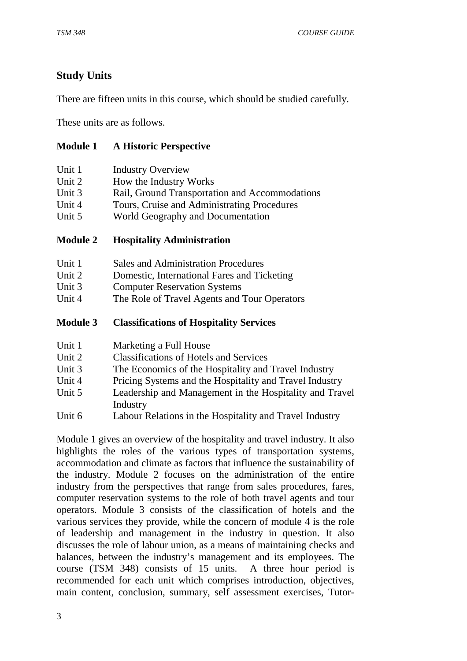# **Study Units**

There are fifteen units in this course, which should be studied carefully.

These units are as follows.

#### **Module 1 A Historic Perspective**

| Unit 1 | <b>Industry Overview</b>                       |
|--------|------------------------------------------------|
| Unit 2 | How the Industry Works                         |
| Unit 3 | Rail, Ground Transportation and Accommodations |
| Unit 4 | Tours, Cruise and Administrating Procedures    |
| Unit 5 | World Geography and Documentation              |

#### **Module 2 Hospitality Administration**

| Unit 1 | <b>Sales and Administration Procedures</b>  |
|--------|---------------------------------------------|
| Unit 2 | Domestic, International Fares and Ticketing |
| Unit 3 | <b>Computer Reservation Systems</b>         |

Unit 4 The Role of Travel Agents and Tour Operators

#### **Module 3 Classifications of Hospitality Services**

| Unit 1<br>Marketing a Full House |
|----------------------------------|
|----------------------------------|

- Unit 2 Classifications of Hotels and Services
- Unit 3 The Economics of the Hospitality and Travel Industry
- Unit 4 Pricing Systems and the Hospitality and Travel Industry
- Unit 5 Leadership and Management in the Hospitality and Travel Industry
- Unit 6 Labour Relations in the Hospitality and Travel Industry

Module 1 gives an overview of the hospitality and travel industry. It also highlights the roles of the various types of transportation systems, accommodation and climate as factors that influence the sustainability of the industry. Module 2 focuses on the administration of the entire industry from the perspectives that range from sales procedures, fares, computer reservation systems to the role of both travel agents and tour operators. Module 3 consists of the classification of hotels and the various services they provide, while the concern of module 4 is the role of leadership and management in the industry in question. It also discusses the role of labour union, as a means of maintaining checks and balances, between the industry's management and its employees. The course (TSM 348) consists of 15 units. A three hour period is recommended for each unit which comprises introduction, objectives, main content, conclusion, summary, self assessment exercises, Tutor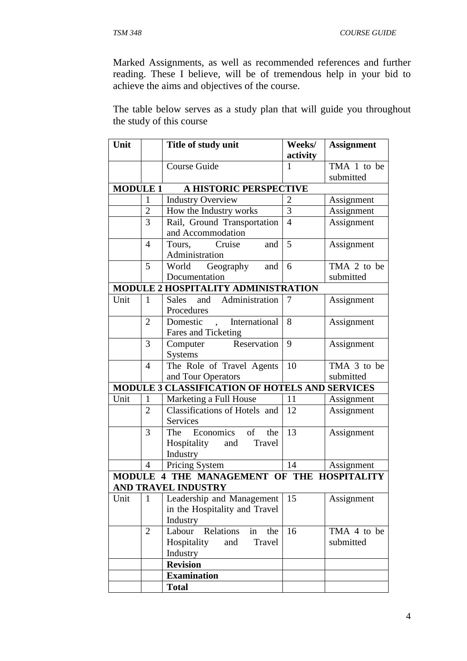Marked Assignments, as well as recommended references and further reading. These I believe, will be of tremendous help in your bid to achieve the aims and objectives of the course.

The table below serves as a study plan that will guide you throughout the study of this course

| Unit<br>Title of study unit |                | Weeks/                                         | <b>Assignment</b> |             |
|-----------------------------|----------------|------------------------------------------------|-------------------|-------------|
|                             |                |                                                | activity          |             |
|                             |                | <b>Course Guide</b>                            | 1                 | TMA 1 to be |
|                             |                |                                                |                   | submitted   |
| <b>MODULE 1</b>             |                | A HISTORIC PERSPECTIVE                         |                   |             |
|                             | $\mathbf{1}$   | <b>Industry Overview</b>                       | $\overline{c}$    | Assignment  |
|                             | $\overline{2}$ | How the Industry works                         | $\overline{3}$    | Assignment  |
|                             | 3              | Rail, Ground Transportation                    | $\overline{4}$    | Assignment  |
|                             |                | and Accommodation                              |                   |             |
|                             | $\overline{4}$ | Tours, Cruise<br>and                           | 5                 | Assignment  |
|                             |                | Administration                                 |                   |             |
|                             | 5              | Geography<br>World<br>and                      | 6                 | TMA 2 to be |
|                             |                | Documentation                                  |                   | submitted   |
|                             |                | MODULE 2 HOSPITALITY ADMINISTRATION            |                   |             |
| Unit                        | $\mathbf{1}$   | and<br>Sales<br>Administration                 | 7                 | Assignment  |
|                             |                | Procedures                                     |                   |             |
|                             | $\overline{2}$ | Domestic , International                       | 8                 | Assignment  |
|                             |                | Fares and Ticketing                            |                   |             |
|                             | 3              | Computer Reservation                           | 9                 | Assignment  |
|                             |                | <b>Systems</b>                                 |                   |             |
|                             | $\overline{4}$ | The Role of Travel Agents                      | 10                | TMA 3 to be |
|                             |                | and Tour Operators                             |                   | submitted   |
|                             |                | MODULE 3 CLASSIFICATION OF HOTELS AND SERVICES |                   |             |
| Unit                        | $\mathbf{1}$   | Marketing a Full House                         | 11                | Assignment  |
|                             | $\overline{2}$ | Classifications of Hotels and                  | 12                | Assignment  |
|                             |                | Services                                       |                   |             |
|                             | 3              | Economics of<br>The<br>the                     | 13                | Assignment  |
|                             |                | Hospitality and Travel                         |                   |             |
|                             |                | Industry                                       |                   |             |
|                             | $\overline{4}$ | Pricing System                                 | 14                | Assignment  |
| <b>MODULE</b>               |                | 4 THE MANAGEMENT OF THE HOSPITALITY            |                   |             |
|                             |                | <b>AND TRAVEL INDUSTRY</b>                     |                   |             |
| Unit                        | $\mathbf{1}$   | Leadership and Management                      | 15                | Assignment  |
|                             |                | in the Hospitality and Travel                  |                   |             |
|                             |                | Industry                                       |                   |             |
|                             | $\overline{2}$ | Relations<br>Labour<br>in<br>the               | 16                | TMA 4 to be |
|                             |                | Hospitality<br>Travel<br>and                   |                   | submitted   |
|                             |                | Industry                                       |                   |             |
|                             |                | <b>Revision</b>                                |                   |             |
| <b>Examination</b>          |                |                                                |                   |             |
|                             |                | <b>Total</b>                                   |                   |             |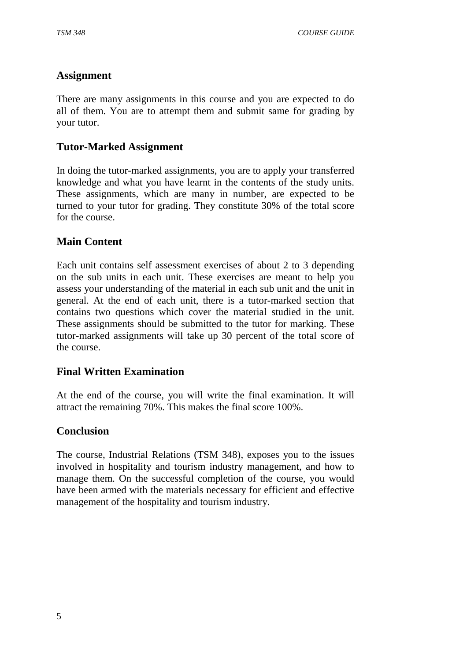#### **Assignment**

There are many assignments in this course and you are expected to do all of them. You are to attempt them and submit same for grading by your tutor.

### **Tutor-Marked Assignment**

In doing the tutor-marked assignments, you are to apply your transferred knowledge and what you have learnt in the contents of the study units. These assignments, which are many in number, are expected to be turned to your tutor for grading. They constitute 30% of the total score for the course.

# **Main Content**

Each unit contains self assessment exercises of about 2 to 3 depending on the sub units in each unit. These exercises are meant to help you assess your understanding of the material in each sub unit and the unit in general. At the end of each unit, there is a tutor-marked section that contains two questions which cover the material studied in the unit. These assignments should be submitted to the tutor for marking. These tutor-marked assignments will take up 30 percent of the total score of the course.

#### **Final Written Examination**

At the end of the course, you will write the final examination. It will attract the remaining 70%. This makes the final score 100%.

#### **Conclusion**

The course, Industrial Relations (TSM 348), exposes you to the issues involved in hospitality and tourism industry management, and how to manage them. On the successful completion of the course, you would have been armed with the materials necessary for efficient and effective management of the hospitality and tourism industry.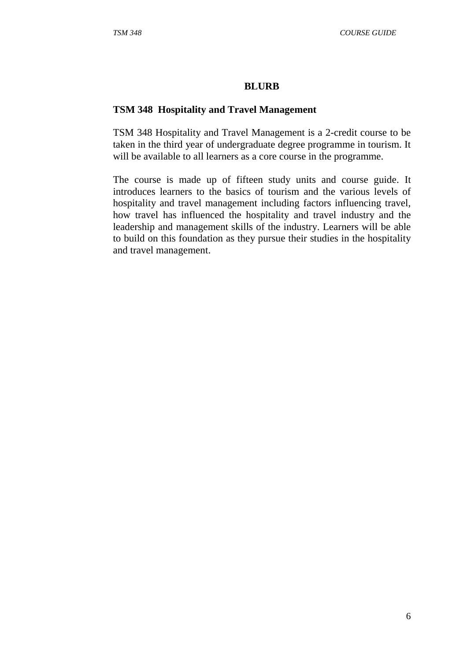#### **BLURB**

#### **TSM 348 Hospitality and Travel Management**

TSM 348 Hospitality and Travel Management is a 2-credit course to be taken in the third year of undergraduate degree programme in tourism. It will be available to all learners as a core course in the programme.

The course is made up of fifteen study units and course guide. It introduces learners to the basics of tourism and the various levels of hospitality and travel management including factors influencing travel, how travel has influenced the hospitality and travel industry and the leadership and management skills of the industry. Learners will be able to build on this foundation as they pursue their studies in the hospitality and travel management.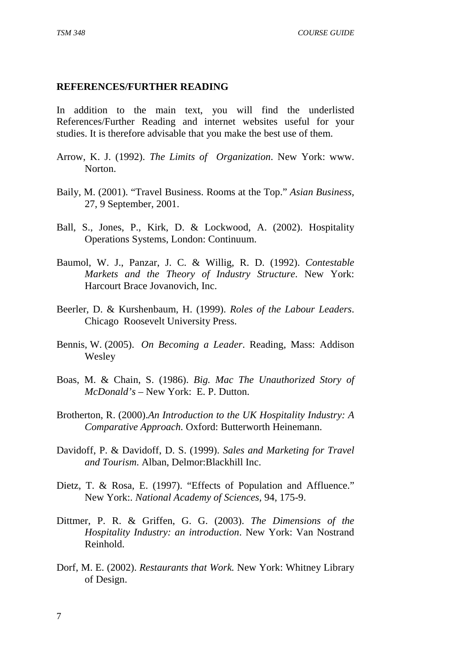#### **REFERENCES/FURTHER READING**

In addition to the main text, you will find the underlisted References/Further Reading and internet websites useful for your studies. It is therefore advisable that you make the best use of them.

- Arrow, K. J. (1992). *The Limits of Organization*. New York: www. Norton.
- Baily, M. (2001). "Travel Business. Rooms at the Top." *Asian Business,*  27, 9 September, 2001.
- Ball, S., Jones, P., Kirk, D. & Lockwood, A. (2002). Hospitality Operations Systems, London: Continuum.
- Baumol, W. J., Panzar, J. C. & Willig, R. D. (1992). *Contestable Markets and the Theory of Industry Structure*. New York: Harcourt Brace Jovanovich, Inc.
- Beerler, D. & Kurshenbaum, H. (1999). *Roles of the Labour Leaders*. Chicago Roosevelt University Press.
- Bennis, W. (2005). *On Becoming a Leader*. Reading, Mass: Addison Wesley
- Boas, M. & Chain, S. (1986). *Big. Mac The Unauthorized Story of McDonald's* – New York: E. P. Dutton.
- Brotherton, R. (2000).*An Introduction to the UK Hospitality Industry: A Comparative Approach.* Oxford: Butterworth Heinemann.
- Davidoff, P. & Davidoff, D. S. (1999). *Sales and Marketing for Travel and Tourism*. Alban, Delmor:Blackhill Inc.
- Dietz, T. & Rosa, E. (1997). "Effects of Population and Affluence." New York:*. National Academy of Sciences,* 94, 175-9.
- Dittmer, P. R. & Griffen, G. G. (2003). *The Dimensions of the Hospitality Industry: an introduction*. New York: Van Nostrand Reinhold.
- Dorf, M. E. (2002). *Restaurants that Work.* New York: Whitney Library of Design.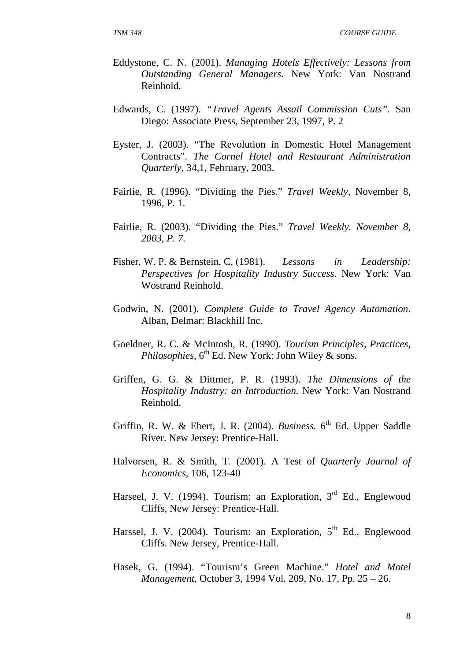- Eddystone, C. N. (2001). *Managing Hotels Effectively: Lessons from Outstanding General Managers*. New York: Van Nostrand Reinhold.
- Edwards, C. (1997). *"Travel Agents Assail Commission Cuts".* San Diego: Associate Press, September 23, 1997, P. 2
- Eyster, J. (2003). "The Revolution in Domestic Hotel Management Contracts". *The Cornel Hotel and Restaurant Administration Quarterly,* 34,1, February, 2003.
- Fairlie, R. (1996). "Dividing the Pies." *Travel Weekly,* November 8, 1996, P. 1.
- Fairlie, R. (2003). "Dividing the Pies." *Travel Weekly. November 8, 2003, P. 7.*
- Fisher, W. P. & Bernstein, C. (1981). *Lessons in Leadership: Perspectives for Hospitality Industry Success*. New York: Van Wostrand Reinhold.
- Godwin, N. (2001). *Complete Guide to Travel Agency Automation*. Alban, Delmar: Blackhill Inc.
- Goeldner, R. C. & McIntosh, R. (1990). *Tourism Principles, Practices,*  Philosophies, 6<sup>th</sup> Ed. New York: John Wiley & sons.
- Griffen, G. G. & Dittmer, P. R. (1993). *The Dimensions of the Hospitality Industry: an Introduction.* New York: Van Nostrand Reinhold.
- Griffin, R. W. & Ebert, J. R. (2004). *Business.* 6<sup>th</sup> Ed. Upper Saddle River. New Jersey: Prentice-Hall.
- Halvorsen, R. & Smith, T. (2001). A Test of *Quarterly Journal of Economics,* 106, 123-40
- Harseel, J. V. (1994). Tourism: an Exploration, 3<sup>rd</sup> Ed., Englewood Cliffs, New Jersey: Prentice-Hall.
- Harssel, J. V. (2004). Tourism: an Exploration,  $5<sup>th</sup>$  Ed., Englewood Cliffs. New Jersey, Prentice-Hall.
- Hasek, G. (1994). "Tourism's Green Machine." *Hotel and Motel Management*, October 3, 1994 Vol. 209, No. 17, Pp. 25 – 26.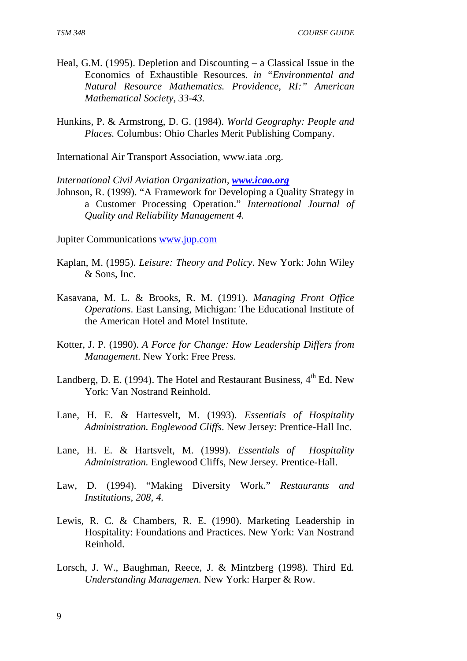- Heal, G.M. (1995). Depletion and Discounting a Classical Issue in the Economics of Exhaustible Resources. *in "Environmental and Natural Resource Mathematics. Providence, RI:" American Mathematical Society, 33-43.*
- Hunkins, P. & Armstrong, D. G. (1984). *World Geography: People and Places.* Columbus: Ohio Charles Merit Publishing Company.

International Air Transport Association, www.iata .org.

*International Civil Aviation Organization, www.icao.org*

Johnson, R. (1999). "A Framework for Developing a Quality Strategy in a Customer Processing Operation." *International Journal of Quality and Reliability Management 4.* 

Jupiter Communications www.jup.com

- Kaplan, M. (1995). *Leisure: Theory and Policy*. New York: John Wiley & Sons, Inc.
- Kasavana, M. L. & Brooks, R. M. (1991). *Managing Front Office Operations*. East Lansing, Michigan: The Educational Institute of the American Hotel and Motel Institute.
- Kotter, J. P. (1990). *A Force for Change: How Leadership Differs from Management*. New York: Free Press.
- Landberg, D. E. (1994). The Hotel and Restaurant Business,  $4<sup>th</sup>$  Ed. New York: Van Nostrand Reinhold.
- Lane, H. E. & Hartesvelt, M. (1993). *Essentials of Hospitality Administration. Englewood Cliffs*. New Jersey: Prentice-Hall Inc.
- Lane, H. E. & Hartsvelt, M. (1999). *Essentials of Hospitality Administration.* Englewood Cliffs, New Jersey. Prentice-Hall.
- Law, D. (1994). "Making Diversity Work." *Restaurants and Institutions, 208, 4.*
- Lewis, R. C. & Chambers, R. E. (1990). Marketing Leadership in Hospitality: Foundations and Practices. New York: Van Nostrand Reinhold.
- Lorsch, J. W., Baughman, Reece, J. & Mintzberg (1998). Third Ed*. Understanding Managemen.* New York: Harper & Row.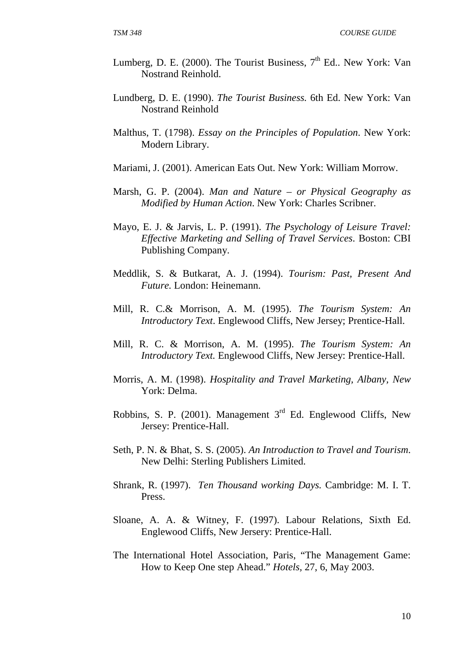- Lumberg, D. E. (2000). The Tourist Business,  $7<sup>th</sup>$  Ed.. New York: Van Nostrand Reinhold.
- Lundberg, D. E. (1990). *The Tourist Business.* 6th Ed. New York: Van Nostrand Reinhold
- Malthus, T. (1798). *Essay on the Principles of Population*. New York: Modern Library.
- Mariami, J. (2001). American Eats Out. New York: William Morrow.
- Marsh, G. P. (2004). *Man and Nature or Physical Geography as Modified by Human Action*. New York: Charles Scribner.
- Mayo, E. J. & Jarvis, L. P. (1991). *The Psychology of Leisure Travel: Effective Marketing and Selling of Travel Services*. Boston: CBI Publishing Company.
- Meddlik, S. & Butkarat, A. J. (1994). *Tourism: Past, Present And Future.* London: Heinemann.
- Mill, R. C.& Morrison, A. M. (1995). *The Tourism System: An Introductory Text*. Englewood Cliffs, New Jersey; Prentice-Hall.
- Mill, R. C. & Morrison, A. M. (1995). *The Tourism System: An Introductory Text.* Englewood Cliffs, New Jersey: Prentice-Hall.
- Morris, A. M. (1998). *Hospitality and Travel Marketing, Albany, New*  York: Delma.
- Robbins, S. P. (2001). Management  $3<sup>rd</sup>$  Ed. Englewood Cliffs, New Jersey: Prentice-Hall.
- Seth, P. N. & Bhat, S. S. (2005). *An Introduction to Travel and Tourism*. New Delhi: Sterling Publishers Limited.
- Shrank, R. (1997). *Ten Thousand working Days.* Cambridge: M. I. T. Press.
- Sloane, A. A. & Witney, F. (1997). Labour Relations, Sixth Ed. Englewood Cliffs, New Jersery: Prentice-Hall.
- The International Hotel Association, Paris, "The Management Game: How to Keep One step Ahead." *Hotels,* 27, 6, May 2003.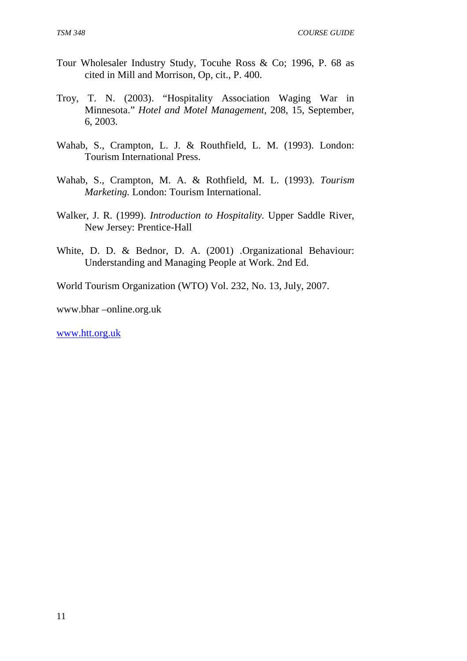- Tour Wholesaler Industry Study, Tocuhe Ross & Co; 1996, P. 68 as cited in Mill and Morrison, Op, cit., P. 400.
- Troy, T. N. (2003). "Hospitality Association Waging War in Minnesota." *Hotel and Motel Management,* 208, 15, September, 6, 2003.
- Wahab, S., Crampton, L. J. & Routhfield, L. M. (1993). London: Tourism International Press.
- Wahab, S., Crampton, M. A. & Rothfield, M. L. (1993). *Tourism Marketing.* London: Tourism International.
- Walker, J. R. (1999). *Introduction to Hospitality.* Upper Saddle River, New Jersey: Prentice-Hall
- White, D. D. & Bednor, D. A. (2001) .Organizational Behaviour: Understanding and Managing People at Work. 2nd Ed.

World Tourism Organization (WTO) Vol. 232, No. 13, July, 2007.

www.bhar –online.org.uk

www.htt.org.uk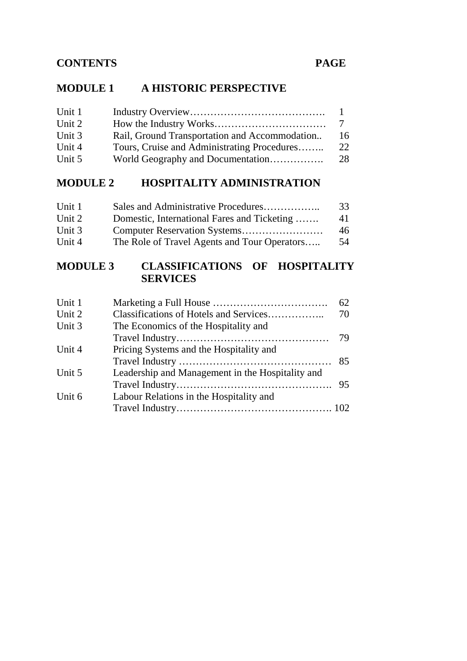# **MODULE 1 A HISTORIC PERSPECTIVE**

| Unit 1 |                                               |    |
|--------|-----------------------------------------------|----|
| Unit 2 |                                               |    |
| Unit 3 | Rail, Ground Transportation and Accommodation | 16 |
| Unit 4 | Tours, Cruise and Administrating Procedures   | 22 |
| Unit 5 |                                               | 28 |

# **MODULE 2 HOSPITALITY ADMINISTRATION**

| Unit 1 | Sales and Administrative Procedures          | 33 |
|--------|----------------------------------------------|----|
| Unit 2 | Domestic, International Fares and Ticketing  | 41 |
| Unit 3 |                                              | 46 |
| Unit 4 | The Role of Travel Agents and Tour Operators | 54 |

# **MODULE 3 CLASSIFICATIONS OF HOSPITALITY SERVICES**

| Unit 1 |                                                  | 62 |
|--------|--------------------------------------------------|----|
| Unit 2 |                                                  | 70 |
| Unit 3 | The Economics of the Hospitality and             |    |
|        |                                                  |    |
| Unit 4 | Pricing Systems and the Hospitality and          |    |
|        |                                                  |    |
| Unit 5 | Leadership and Management in the Hospitality and |    |
|        |                                                  |    |
| Unit 6 | Labour Relations in the Hospitality and          |    |
|        |                                                  |    |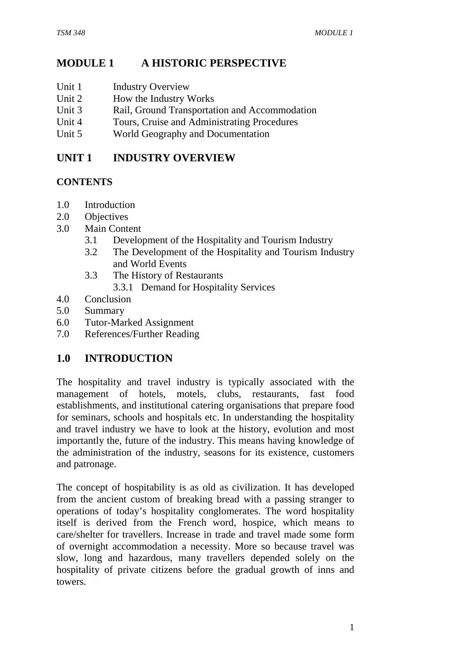# **MODULE 1 A HISTORIC PERSPECTIVE**

- Unit 1 Industry Overview
- Unit 2 How the Industry Works
- Unit 3 Rail, Ground Transportation and Accommodation
- Unit 4 Tours, Cruise and Administrating Procedures
- Unit 5 World Geography and Documentation

# **UNIT 1 INDUSTRY OVERVIEW**

# **CONTENTS**

- 1.0 Introduction
- 2.0 Objectives
- 3.0 Main Content
	- 3.1 Development of the Hospitality and Tourism Industry
	- 3.2 The Development of the Hospitality and Tourism Industry and World Events
	- 3.3 The History of Restaurants 3.3.1 Demand for Hospitality Services
- 4.0 Conclusion
- 5.0 Summary
- 6.0 Tutor-Marked Assignment
- 7.0 References/Further Reading

# **1.0 INTRODUCTION**

The hospitality and travel industry is typically associated with the management of hotels, motels, clubs, restaurants, fast food establishments, and institutional catering organisations that prepare food for seminars, schools and hospitals etc. In understanding the hospitality and travel industry we have to look at the history, evolution and most importantly the, future of the industry. This means having knowledge of the administration of the industry, seasons for its existence, customers and patronage.

The concept of hospitability is as old as civilization. It has developed from the ancient custom of breaking bread with a passing stranger to operations of today's hospitality conglomerates. The word hospitality itself is derived from the French word, hospice, which means to care/shelter for travellers. Increase in trade and travel made some form of overnight accommodation a necessity. More so because travel was slow, long and hazardous, many travellers depended solely on the hospitality of private citizens before the gradual growth of inns and towers.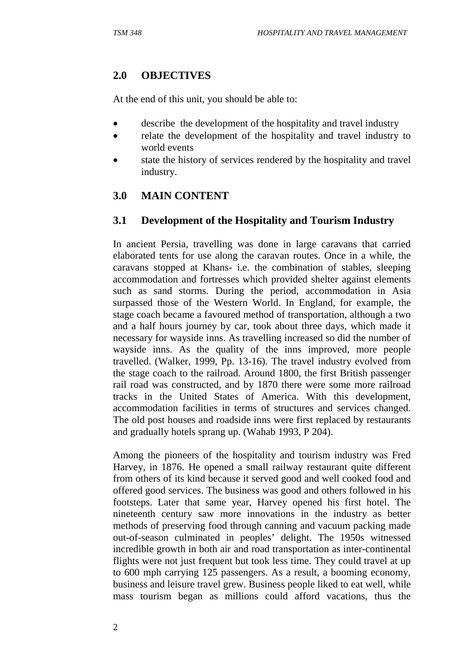# **2.0 OBJECTIVES**

At the end of this unit, you should be able to:

- describe the development of the hospitality and travel industry
- relate the development of the hospitality and travel industry to world events
- state the history of services rendered by the hospitality and travel industry.

# **3.0 MAIN CONTENT**

#### **3.1 Development of the Hospitality and Tourism Industry**

In ancient Persia, travelling was done in large caravans that carried elaborated tents for use along the caravan routes. Once in a while, the caravans stopped at Khans- i.e. the combination of stables, sleeping accommodation and fortresses which provided shelter against elements such as sand storms. During the period, accommodation in Asia surpassed those of the Western World. In England, for example, the stage coach became a favoured method of transportation, although a two and a half hours journey by car, took about three days, which made it necessary for wayside inns. As travelling increased so did the number of wayside inns. As the quality of the inns improved, more people travelled. (Walker, 1999, Pp. 13-16). The travel industry evolved from the stage coach to the railroad. Around 1800, the first British passenger rail road was constructed, and by 1870 there were some more railroad tracks in the United States of America. With this development, accommodation facilities in terms of structures and services changed. The old post houses and roadside inns were first replaced by restaurants and gradually hotels sprang up. (Wahab 1993, P 204).

Among the pioneers of the hospitality and tourism industry was Fred Harvey, in 1876. He opened a small railway restaurant quite different from others of its kind because it served good and well cooked food and offered good services. The business was good and others followed in his footsteps. Later that same year, Harvey opened his first hotel. The nineteenth century saw more innovations in the industry as better methods of preserving food through canning and vacuum packing made out-of-season culminated in peoples' delight. The 1950s witnessed incredible growth in both air and road transportation as inter-continental flights were not just frequent but took less time. They could travel at up to 600 mph carrying 125 passengers. As a result, a booming economy, business and leisure travel grew. Business people liked to eat well, while mass tourism began as millions could afford vacations, thus the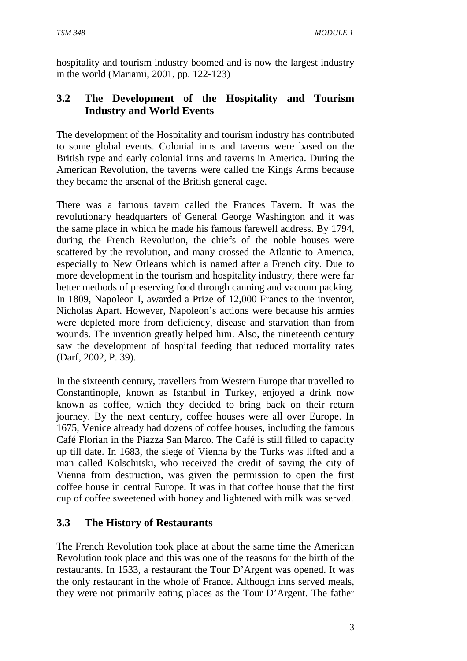hospitality and tourism industry boomed and is now the largest industry in the world (Mariami, 2001, pp. 122-123)

# **3.2 The Development of the Hospitality and Tourism Industry and World Events**

The development of the Hospitality and tourism industry has contributed to some global events. Colonial inns and taverns were based on the British type and early colonial inns and taverns in America. During the American Revolution, the taverns were called the Kings Arms because they became the arsenal of the British general cage.

There was a famous tavern called the Frances Tavern. It was the revolutionary headquarters of General George Washington and it was the same place in which he made his famous farewell address. By 1794, during the French Revolution, the chiefs of the noble houses were scattered by the revolution, and many crossed the Atlantic to America, especially to New Orleans which is named after a French city. Due to more development in the tourism and hospitality industry, there were far better methods of preserving food through canning and vacuum packing. In 1809, Napoleon I, awarded a Prize of 12,000 Francs to the inventor, Nicholas Apart. However, Napoleon's actions were because his armies were depleted more from deficiency, disease and starvation than from wounds. The invention greatly helped him. Also, the nineteenth century saw the development of hospital feeding that reduced mortality rates (Darf, 2002, P. 39).

In the sixteenth century, travellers from Western Europe that travelled to Constantinople, known as Istanbul in Turkey, enjoyed a drink now known as coffee, which they decided to bring back on their return journey. By the next century, coffee houses were all over Europe. In 1675, Venice already had dozens of coffee houses, including the famous Café Florian in the Piazza San Marco. The Café is still filled to capacity up till date. In 1683, the siege of Vienna by the Turks was lifted and a man called Kolschitski, who received the credit of saving the city of Vienna from destruction, was given the permission to open the first coffee house in central Europe. It was in that coffee house that the first cup of coffee sweetened with honey and lightened with milk was served.

# **3.3 The History of Restaurants**

The French Revolution took place at about the same time the American Revolution took place and this was one of the reasons for the birth of the restaurants. In 1533, a restaurant the Tour D'Argent was opened. It was the only restaurant in the whole of France. Although inns served meals, they were not primarily eating places as the Tour D'Argent. The father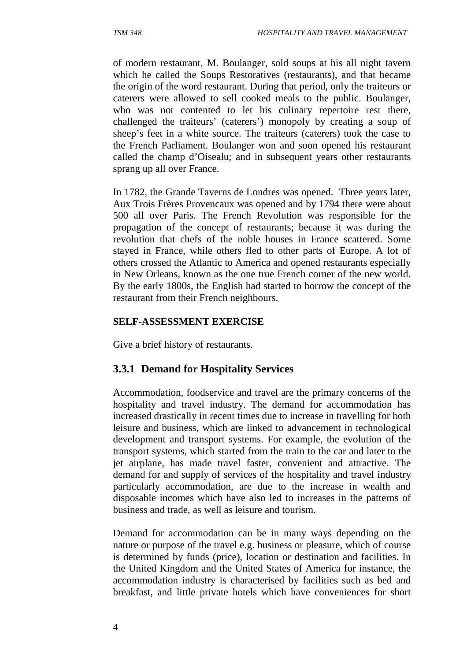of modern restaurant, M. Boulanger, sold soups at his all night tavern which he called the Soups Restoratives (restaurants), and that became the origin of the word restaurant. During that period, only the traiteurs or caterers were allowed to sell cooked meals to the public. Boulanger, who was not contented to let his culinary repertoire rest there, challenged the traiteurs' (caterers') monopoly by creating a soup of sheep's feet in a white source. The traiteurs (caterers) took the case to the French Parliament. Boulanger won and soon opened his restaurant called the champ d'Oisealu; and in subsequent years other restaurants sprang up all over France.

In 1782, the Grande Taverns de Londres was opened. Three years later, Aux Trois Frères Provencaux was opened and by 1794 there were about 500 all over Paris. The French Revolution was responsible for the propagation of the concept of restaurants; because it was during the revolution that chefs of the noble houses in France scattered. Some stayed in France, while others fled to other parts of Europe. A lot of others crossed the Atlantic to America and opened restaurants especially in New Orleans, known as the one true French corner of the new world. By the early 1800s, the English had started to borrow the concept of the restaurant from their French neighbours.

#### **SELF-ASSESSMENT EXERCISE**

Give a brief history of restaurants.

#### **3.3.1 Demand for Hospitality Services**

Accommodation, foodservice and travel are the primary concerns of the hospitality and travel industry. The demand for accommodation has increased drastically in recent times due to increase in travelling for both leisure and business, which are linked to advancement in technological development and transport systems. For example, the evolution of the transport systems, which started from the train to the car and later to the jet airplane, has made travel faster, convenient and attractive. The demand for and supply of services of the hospitality and travel industry particularly accommodation, are due to the increase in wealth and disposable incomes which have also led to increases in the patterns of business and trade, as well as leisure and tourism.

Demand for accommodation can be in many ways depending on the nature or purpose of the travel e.g. business or pleasure, which of course is determined by funds (price), location or destination and facilities. In the United Kingdom and the United States of America for instance, the accommodation industry is characterised by facilities such as bed and breakfast, and little private hotels which have conveniences for short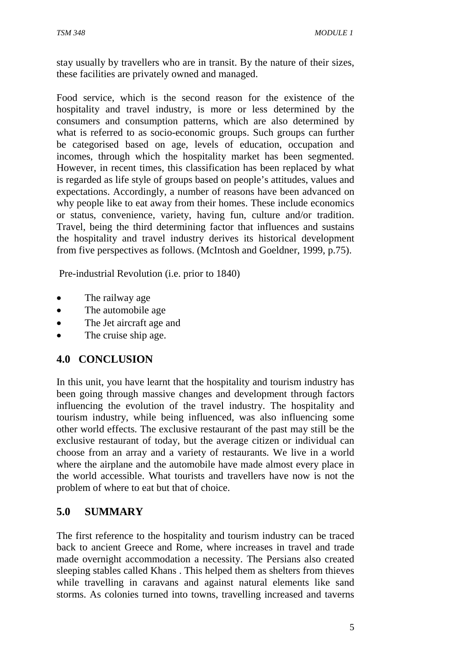stay usually by travellers who are in transit. By the nature of their sizes, these facilities are privately owned and managed.

Food service, which is the second reason for the existence of the hospitality and travel industry, is more or less determined by the consumers and consumption patterns, which are also determined by what is referred to as socio-economic groups. Such groups can further be categorised based on age, levels of education, occupation and incomes, through which the hospitality market has been segmented. However, in recent times, this classification has been replaced by what is regarded as life style of groups based on people's attitudes, values and expectations. Accordingly, a number of reasons have been advanced on why people like to eat away from their homes. These include economics or status, convenience, variety, having fun, culture and/or tradition. Travel, being the third determining factor that influences and sustains the hospitality and travel industry derives its historical development from five perspectives as follows. (McIntosh and Goeldner, 1999, p.75).

Pre-industrial Revolution (i.e. prior to 1840)

- The railway age
- The automobile age.
- The Jet aircraft age and
- The cruise ship age.

# **4.0 CONCLUSION**

In this unit, you have learnt that the hospitality and tourism industry has been going through massive changes and development through factors influencing the evolution of the travel industry. The hospitality and tourism industry, while being influenced, was also influencing some other world effects. The exclusive restaurant of the past may still be the exclusive restaurant of today, but the average citizen or individual can choose from an array and a variety of restaurants. We live in a world where the airplane and the automobile have made almost every place in the world accessible. What tourists and travellers have now is not the problem of where to eat but that of choice.

#### **5.0 SUMMARY**

The first reference to the hospitality and tourism industry can be traced back to ancient Greece and Rome, where increases in travel and trade made overnight accommodation a necessity. The Persians also created sleeping stables called Khans . This helped them as shelters from thieves while travelling in caravans and against natural elements like sand storms. As colonies turned into towns, travelling increased and taverns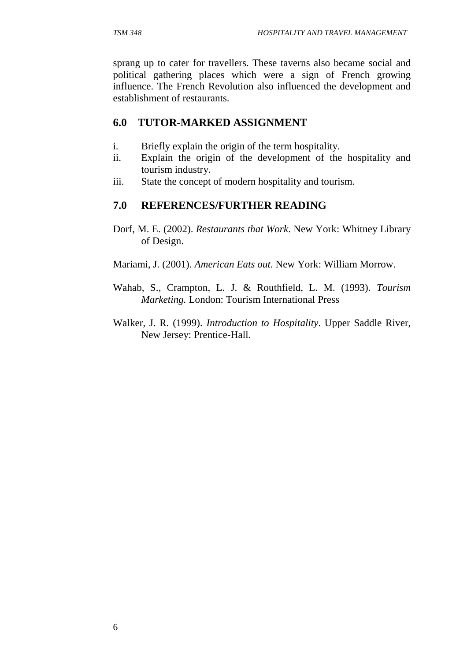sprang up to cater for travellers. These taverns also became social and political gathering places which were a sign of French growing influence. The French Revolution also influenced the development and establishment of restaurants.

#### **6.0 TUTOR-MARKED ASSIGNMENT**

- i. Briefly explain the origin of the term hospitality.
- ii. Explain the origin of the development of the hospitality and tourism industry.
- iii. State the concept of modern hospitality and tourism.

#### **7.0 REFERENCES/FURTHER READING**

- Dorf, M. E. (2002). *Restaurants that Work*. New York: Whitney Library of Design.
- Mariami, J. (2001). *American Eats out*. New York: William Morrow.
- Wahab, S., Crampton, L. J. & Routhfield, L. M. (1993). *Tourism Marketing.* London: Tourism International Press
- Walker, J. R. (1999). *Introduction to Hospitality*. Upper Saddle River, New Jersey: Prentice-Hall.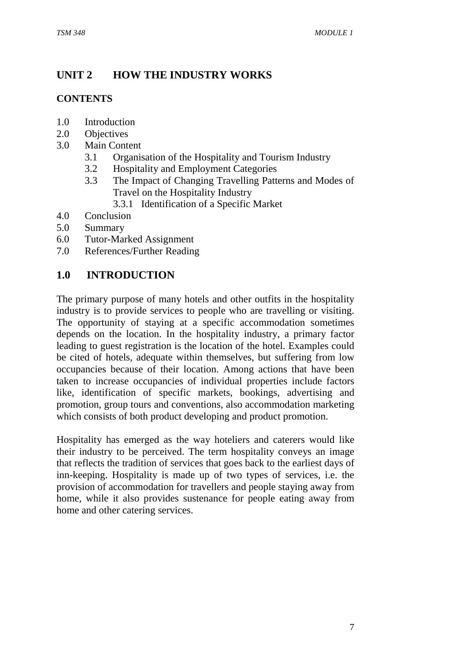# **UNIT 2 HOW THE INDUSTRY WORKS**

# **CONTENTS**

- 1.0 Introduction
- 2.0 Objectives
- 3.0 Main Content
	- 3.1 Organisation of the Hospitality and Tourism Industry
	- 3.2 Hospitality and Employment Categories
	- 3.3 The Impact of Changing Travelling Patterns and Modes of Travel on the Hospitality Industry
		- 3.3.1 Identification of a Specific Market
- 4.0 Conclusion
- 5.0 Summary
- 6.0 Tutor-Marked Assignment
- 7.0 References/Further Reading

# **1.0 INTRODUCTION**

The primary purpose of many hotels and other outfits in the hospitality industry is to provide services to people who are travelling or visiting. The opportunity of staying at a specific accommodation sometimes depends on the location. In the hospitality industry, a primary factor leading to guest registration is the location of the hotel. Examples could be cited of hotels, adequate within themselves, but suffering from low occupancies because of their location. Among actions that have been taken to increase occupancies of individual properties include factors like, identification of specific markets, bookings, advertising and promotion, group tours and conventions, also accommodation marketing which consists of both product developing and product promotion.

Hospitality has emerged as the way hoteliers and caterers would like their industry to be perceived. The term hospitality conveys an image that reflects the tradition of services that goes back to the earliest days of inn-keeping. Hospitality is made up of two types of services, i.e. the provision of accommodation for travellers and people staying away from home, while it also provides sustenance for people eating away from home and other catering services.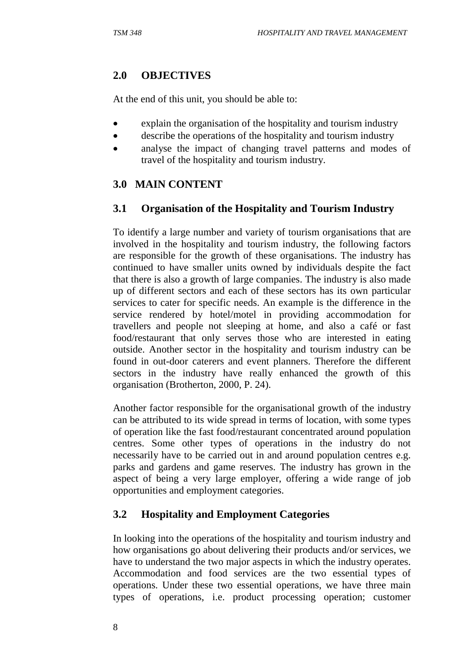# **2.0 OBJECTIVES**

At the end of this unit, you should be able to:

- explain the organisation of the hospitality and tourism industry
- describe the operations of the hospitality and tourism industry
- analyse the impact of changing travel patterns and modes of travel of the hospitality and tourism industry.

# **3.0 MAIN CONTENT**

# **3.1 Organisation of the Hospitality and Tourism Industry**

To identify a large number and variety of tourism organisations that are involved in the hospitality and tourism industry, the following factors are responsible for the growth of these organisations. The industry has continued to have smaller units owned by individuals despite the fact that there is also a growth of large companies. The industry is also made up of different sectors and each of these sectors has its own particular services to cater for specific needs. An example is the difference in the service rendered by hotel/motel in providing accommodation for travellers and people not sleeping at home, and also a café or fast food/restaurant that only serves those who are interested in eating outside. Another sector in the hospitality and tourism industry can be found in out-door caterers and event planners. Therefore the different sectors in the industry have really enhanced the growth of this organisation (Brotherton, 2000, P. 24).

Another factor responsible for the organisational growth of the industry can be attributed to its wide spread in terms of location, with some types of operation like the fast food/restaurant concentrated around population centres. Some other types of operations in the industry do not necessarily have to be carried out in and around population centres e.g. parks and gardens and game reserves. The industry has grown in the aspect of being a very large employer, offering a wide range of job opportunities and employment categories.

# **3.2 Hospitality and Employment Categories**

In looking into the operations of the hospitality and tourism industry and how organisations go about delivering their products and/or services, we have to understand the two major aspects in which the industry operates. Accommodation and food services are the two essential types of operations. Under these two essential operations, we have three main types of operations, i.e. product processing operation; customer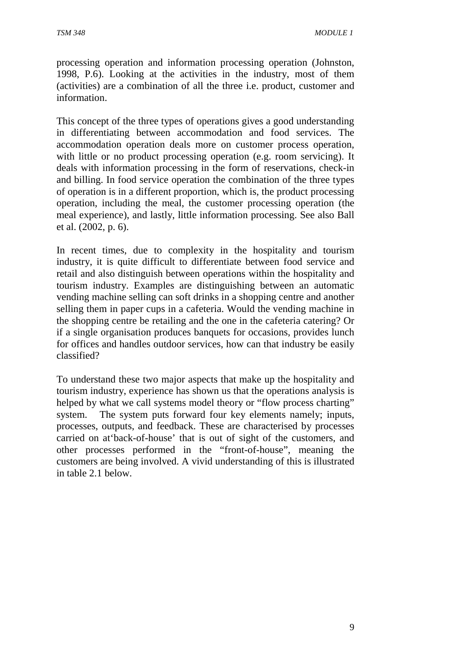processing operation and information processing operation (Johnston, 1998, P.6). Looking at the activities in the industry, most of them (activities) are a combination of all the three i.e. product, customer and information.

This concept of the three types of operations gives a good understanding in differentiating between accommodation and food services. The accommodation operation deals more on customer process operation, with little or no product processing operation (e.g. room servicing). It deals with information processing in the form of reservations, check-in and billing. In food service operation the combination of the three types of operation is in a different proportion, which is, the product processing operation, including the meal, the customer processing operation (the meal experience), and lastly, little information processing. See also Ball et al. (2002, p. 6).

In recent times, due to complexity in the hospitality and tourism industry, it is quite difficult to differentiate between food service and retail and also distinguish between operations within the hospitality and tourism industry. Examples are distinguishing between an automatic vending machine selling can soft drinks in a shopping centre and another selling them in paper cups in a cafeteria. Would the vending machine in the shopping centre be retailing and the one in the cafeteria catering? Or if a single organisation produces banquets for occasions, provides lunch for offices and handles outdoor services, how can that industry be easily classified?

To understand these two major aspects that make up the hospitality and tourism industry, experience has shown us that the operations analysis is helped by what we call systems model theory or "flow process charting" system. The system puts forward four key elements namely; inputs, processes, outputs, and feedback. These are characterised by processes carried on at'back-of-house' that is out of sight of the customers, and other processes performed in the "front-of-house", meaning the customers are being involved. A vivid understanding of this is illustrated in table 2.1 below.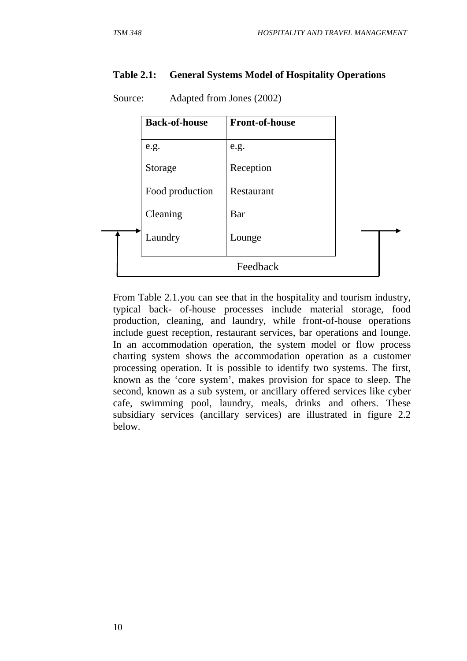#### **Table 2.1: General Systems Model of Hospitality Operations**

|  | <b>Back-of-house</b> | <b>Front-of-house</b> |  |
|--|----------------------|-----------------------|--|
|  | e.g.                 | e.g.                  |  |
|  | Storage              | Reception             |  |
|  | Food production      | Restaurant            |  |
|  | Cleaning             | Bar                   |  |
|  | Laundry              | Lounge                |  |
|  |                      | Feedback              |  |

Source: Adapted from Jones (2002)

From Table 2.1.you can see that in the hospitality and tourism industry, typical back- of-house processes include material storage, food production, cleaning, and laundry, while front-of-house operations include guest reception, restaurant services, bar operations and lounge. In an accommodation operation, the system model or flow process charting system shows the accommodation operation as a customer processing operation. It is possible to identify two systems. The first, known as the 'core system', makes provision for space to sleep. The second, known as a sub system, or ancillary offered services like cyber cafe, swimming pool, laundry, meals, drinks and others. These subsidiary services (ancillary services) are illustrated in figure 2.2 below.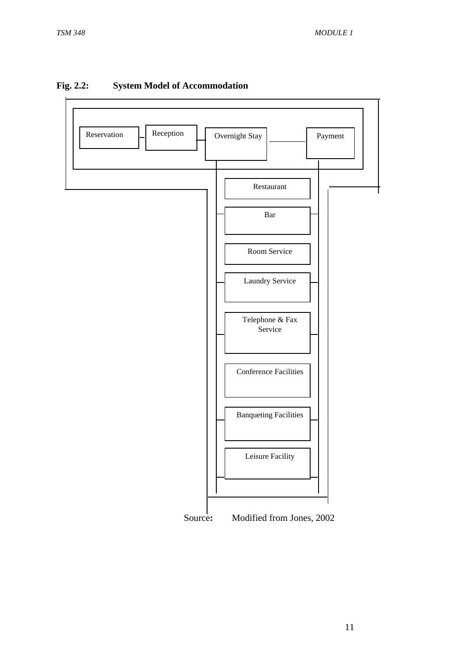

#### **Fig. 2.2: System Model of Accommodation**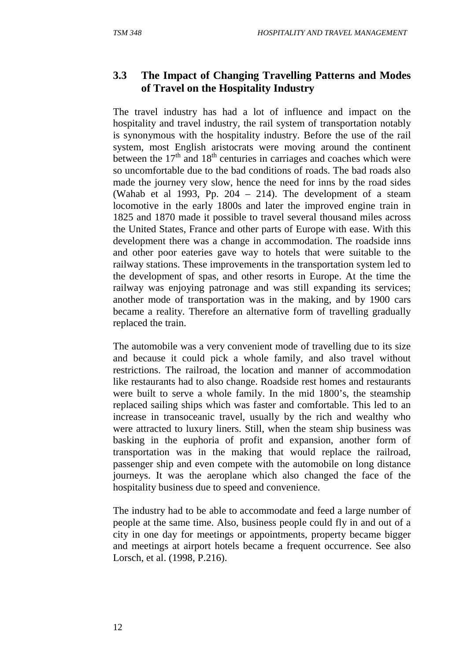### **3.3 The Impact of Changing Travelling Patterns and Modes of Travel on the Hospitality Industry**

The travel industry has had a lot of influence and impact on the hospitality and travel industry, the rail system of transportation notably is synonymous with the hospitality industry. Before the use of the rail system, most English aristocrats were moving around the continent between the  $17<sup>th</sup>$  and  $18<sup>th</sup>$  centuries in carriages and coaches which were so uncomfortable due to the bad conditions of roads. The bad roads also made the journey very slow, hence the need for inns by the road sides (Wahab et al 1993, Pp. 204 – 214). The development of a steam locomotive in the early 1800s and later the improved engine train in 1825 and 1870 made it possible to travel several thousand miles across the United States, France and other parts of Europe with ease. With this development there was a change in accommodation. The roadside inns and other poor eateries gave way to hotels that were suitable to the railway stations. These improvements in the transportation system led to the development of spas, and other resorts in Europe. At the time the railway was enjoying patronage and was still expanding its services; another mode of transportation was in the making, and by 1900 cars became a reality. Therefore an alternative form of travelling gradually replaced the train.

The automobile was a very convenient mode of travelling due to its size and because it could pick a whole family, and also travel without restrictions. The railroad, the location and manner of accommodation like restaurants had to also change. Roadside rest homes and restaurants were built to serve a whole family. In the mid 1800's, the steamship replaced sailing ships which was faster and comfortable. This led to an increase in transoceanic travel, usually by the rich and wealthy who were attracted to luxury liners. Still, when the steam ship business was basking in the euphoria of profit and expansion, another form of transportation was in the making that would replace the railroad, passenger ship and even compete with the automobile on long distance journeys. It was the aeroplane which also changed the face of the hospitality business due to speed and convenience.

The industry had to be able to accommodate and feed a large number of people at the same time. Also, business people could fly in and out of a city in one day for meetings or appointments, property became bigger and meetings at airport hotels became a frequent occurrence. See also Lorsch, et al. (1998, P.216).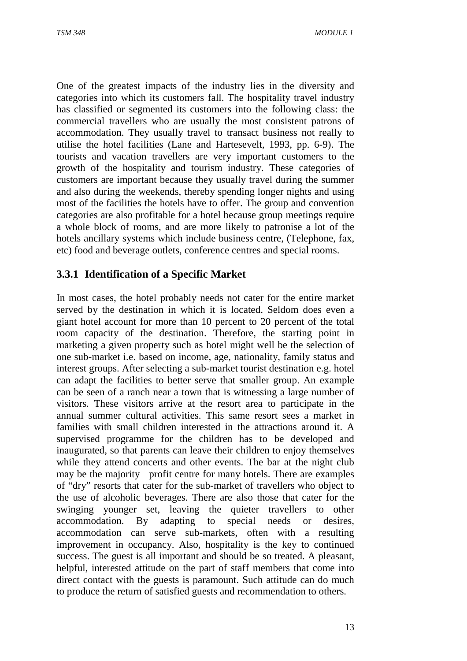One of the greatest impacts of the industry lies in the diversity and categories into which its customers fall. The hospitality travel industry has classified or segmented its customers into the following class: the commercial travellers who are usually the most consistent patrons of accommodation. They usually travel to transact business not really to utilise the hotel facilities (Lane and Hartesevelt, 1993, pp. 6-9). The tourists and vacation travellers are very important customers to the growth of the hospitality and tourism industry. These categories of customers are important because they usually travel during the summer and also during the weekends, thereby spending longer nights and using most of the facilities the hotels have to offer. The group and convention categories are also profitable for a hotel because group meetings require a whole block of rooms, and are more likely to patronise a lot of the hotels ancillary systems which include business centre, (Telephone, fax, etc) food and beverage outlets, conference centres and special rooms.

# **3.3.1 Identification of a Specific Market**

In most cases, the hotel probably needs not cater for the entire market served by the destination in which it is located. Seldom does even a giant hotel account for more than 10 percent to 20 percent of the total room capacity of the destination. Therefore, the starting point in marketing a given property such as hotel might well be the selection of one sub-market i.e. based on income, age, nationality, family status and interest groups. After selecting a sub-market tourist destination e.g. hotel can adapt the facilities to better serve that smaller group. An example can be seen of a ranch near a town that is witnessing a large number of visitors. These visitors arrive at the resort area to participate in the annual summer cultural activities. This same resort sees a market in families with small children interested in the attractions around it. A supervised programme for the children has to be developed and inaugurated, so that parents can leave their children to enjoy themselves while they attend concerts and other events. The bar at the night club may be the majority profit centre for many hotels. There are examples of "dry" resorts that cater for the sub-market of travellers who object to the use of alcoholic beverages. There are also those that cater for the swinging younger set, leaving the quieter travellers to other accommodation. By adapting to special needs or desires, accommodation can serve sub-markets, often with a resulting improvement in occupancy. Also, hospitality is the key to continued success. The guest is all important and should be so treated. A pleasant, helpful, interested attitude on the part of staff members that come into direct contact with the guests is paramount. Such attitude can do much to produce the return of satisfied guests and recommendation to others.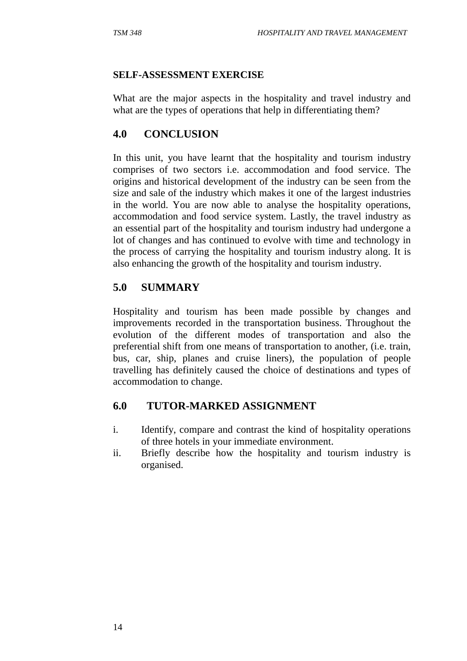#### **SELF-ASSESSMENT EXERCISE**

What are the major aspects in the hospitality and travel industry and what are the types of operations that help in differentiating them?

# **4.0 CONCLUSION**

In this unit, you have learnt that the hospitality and tourism industry comprises of two sectors i.e. accommodation and food service. The origins and historical development of the industry can be seen from the size and sale of the industry which makes it one of the largest industries in the world. You are now able to analyse the hospitality operations, accommodation and food service system. Lastly, the travel industry as an essential part of the hospitality and tourism industry had undergone a lot of changes and has continued to evolve with time and technology in the process of carrying the hospitality and tourism industry along. It is also enhancing the growth of the hospitality and tourism industry.

# **5.0 SUMMARY**

Hospitality and tourism has been made possible by changes and improvements recorded in the transportation business. Throughout the evolution of the different modes of transportation and also the preferential shift from one means of transportation to another, (i.e. train, bus, car, ship, planes and cruise liners), the population of people travelling has definitely caused the choice of destinations and types of accommodation to change.

#### **6.0 TUTOR-MARKED ASSIGNMENT**

- i. Identify, compare and contrast the kind of hospitality operations of three hotels in your immediate environment.
- ii. Briefly describe how the hospitality and tourism industry is organised.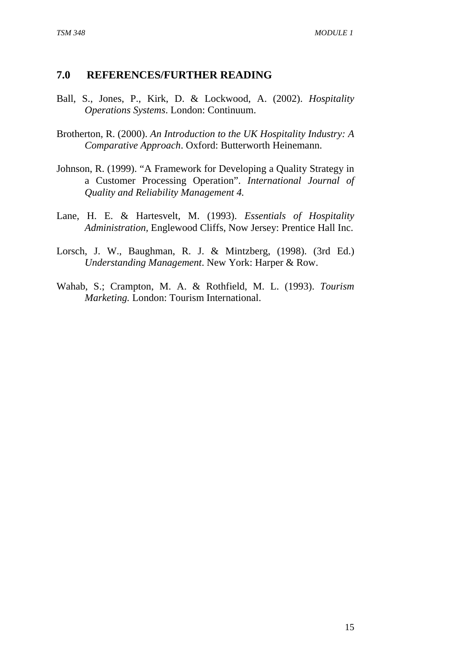#### **7.0 REFERENCES/FURTHER READING**

- Ball, S., Jones, P., Kirk, D. & Lockwood, A. (2002). *Hospitality Operations Systems*. London: Continuum.
- Brotherton, R. (2000). *An Introduction to the UK Hospitality Industry: A Comparative Approach*. Oxford: Butterworth Heinemann.
- Johnson, R. (1999). "A Framework for Developing a Quality Strategy in a Customer Processing Operation". *International Journal of Quality and Reliability Management 4.*
- Lane, H. E. & Hartesvelt, M. (1993). *Essentials of Hospitality Administration,* Englewood Cliffs, Now Jersey: Prentice Hall Inc.
- Lorsch, J. W., Baughman, R. J. & Mintzberg, (1998). (3rd Ed.) *Understanding Management*. New York: Harper & Row.
- Wahab, S.; Crampton, M. A. & Rothfield, M. L. (1993). *Tourism Marketing.* London: Tourism International.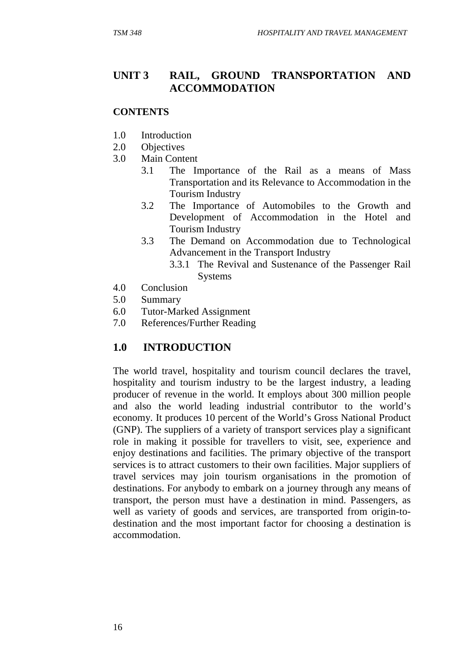#### **UNIT 3 RAIL, GROUND TRANSPORTATION AND ACCOMMODATION**

#### **CONTENTS**

- 1.0 Introduction
- 2.0 Objectives
- 3.0 Main Content
	- 3.1 The Importance of the Rail as a means of Mass Transportation and its Relevance to Accommodation in the Tourism Industry
	- 3.2 The Importance of Automobiles to the Growth and Development of Accommodation in the Hotel and Tourism Industry
	- 3.3 The Demand on Accommodation due to Technological Advancement in the Transport Industry
		- 3.3.1 The Revival and Sustenance of the Passenger Rail Systems
- 4.0 Conclusion
- 5.0 Summary
- 6.0 Tutor-Marked Assignment
- 7.0 References/Further Reading

#### **1.0 INTRODUCTION**

The world travel, hospitality and tourism council declares the travel, hospitality and tourism industry to be the largest industry, a leading producer of revenue in the world. It employs about 300 million people and also the world leading industrial contributor to the world's economy. It produces 10 percent of the World's Gross National Product (GNP). The suppliers of a variety of transport services play a significant role in making it possible for travellers to visit, see, experience and enjoy destinations and facilities. The primary objective of the transport services is to attract customers to their own facilities. Major suppliers of travel services may join tourism organisations in the promotion of destinations. For anybody to embark on a journey through any means of transport, the person must have a destination in mind. Passengers, as well as variety of goods and services, are transported from origin-todestination and the most important factor for choosing a destination is accommodation.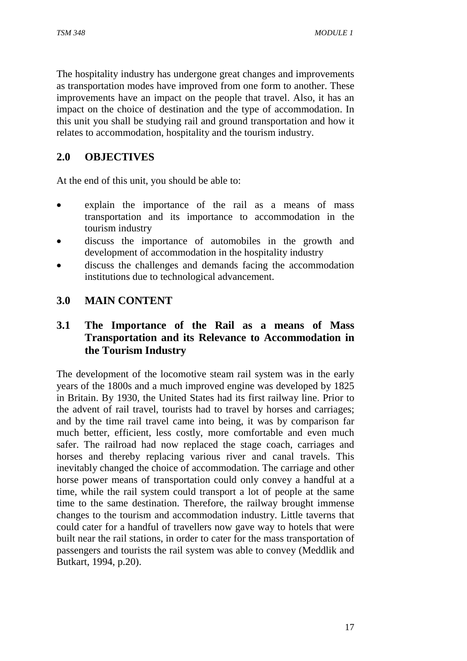The hospitality industry has undergone great changes and improvements as transportation modes have improved from one form to another. These improvements have an impact on the people that travel. Also, it has an impact on the choice of destination and the type of accommodation. In this unit you shall be studying rail and ground transportation and how it relates to accommodation, hospitality and the tourism industry.

# **2.0 OBJECTIVES**

At the end of this unit, you should be able to:

- explain the importance of the rail as a means of mass transportation and its importance to accommodation in the tourism industry
- discuss the importance of automobiles in the growth and development of accommodation in the hospitality industry
- discuss the challenges and demands facing the accommodation institutions due to technological advancement.

#### **3.0 MAIN CONTENT**

### **3.1 The Importance of the Rail as a means of Mass Transportation and its Relevance to Accommodation in the Tourism Industry**

The development of the locomotive steam rail system was in the early years of the 1800s and a much improved engine was developed by 1825 in Britain. By 1930, the United States had its first railway line. Prior to the advent of rail travel, tourists had to travel by horses and carriages; and by the time rail travel came into being, it was by comparison far much better, efficient, less costly, more comfortable and even much safer. The railroad had now replaced the stage coach, carriages and horses and thereby replacing various river and canal travels. This inevitably changed the choice of accommodation. The carriage and other horse power means of transportation could only convey a handful at a time, while the rail system could transport a lot of people at the same time to the same destination. Therefore, the railway brought immense changes to the tourism and accommodation industry. Little taverns that could cater for a handful of travellers now gave way to hotels that were built near the rail stations, in order to cater for the mass transportation of passengers and tourists the rail system was able to convey (Meddlik and Butkart, 1994, p.20).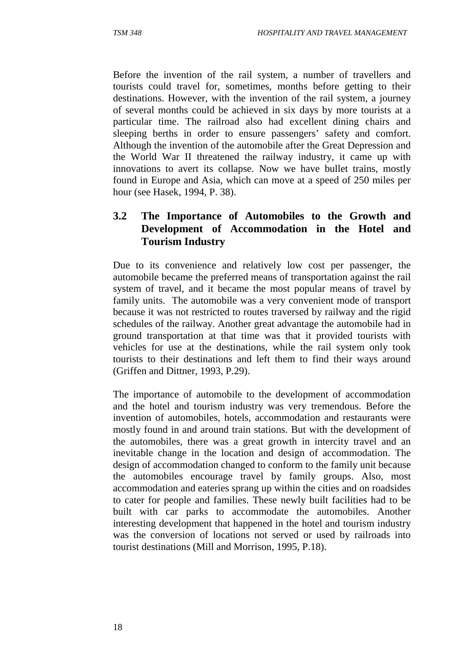Before the invention of the rail system, a number of travellers and tourists could travel for, sometimes, months before getting to their destinations. However, with the invention of the rail system, a journey of several months could be achieved in six days by more tourists at a particular time. The railroad also had excellent dining chairs and sleeping berths in order to ensure passengers' safety and comfort. Although the invention of the automobile after the Great Depression and the World War II threatened the railway industry, it came up with innovations to avert its collapse. Now we have bullet trains, mostly found in Europe and Asia, which can move at a speed of 250 miles per hour (see Hasek, 1994, P. 38).

#### **3.2 The Importance of Automobiles to the Growth and Development of Accommodation in the Hotel and Tourism Industry**

Due to its convenience and relatively low cost per passenger, the automobile became the preferred means of transportation against the rail system of travel, and it became the most popular means of travel by family units. The automobile was a very convenient mode of transport because it was not restricted to routes traversed by railway and the rigid schedules of the railway. Another great advantage the automobile had in ground transportation at that time was that it provided tourists with vehicles for use at the destinations, while the rail system only took tourists to their destinations and left them to find their ways around (Griffen and Dittner, 1993, P.29).

The importance of automobile to the development of accommodation and the hotel and tourism industry was very tremendous. Before the invention of automobiles, hotels, accommodation and restaurants were mostly found in and around train stations. But with the development of the automobiles, there was a great growth in intercity travel and an inevitable change in the location and design of accommodation. The design of accommodation changed to conform to the family unit because the automobiles encourage travel by family groups. Also, most accommodation and eateries sprang up within the cities and on roadsides to cater for people and families. These newly built facilities had to be built with car parks to accommodate the automobiles. Another interesting development that happened in the hotel and tourism industry was the conversion of locations not served or used by railroads into tourist destinations (Mill and Morrison, 1995, P.18).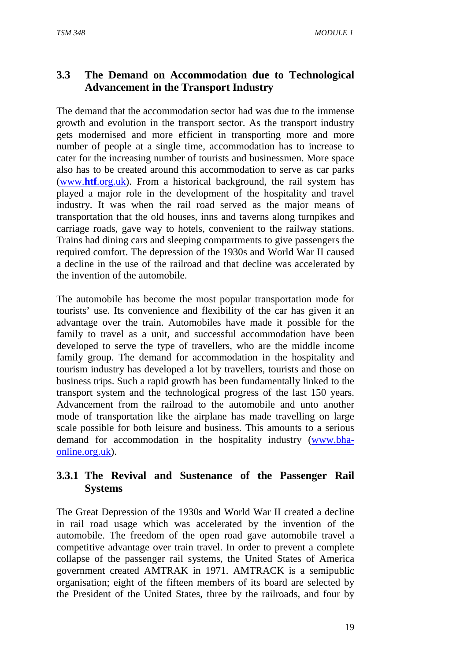# **3.3 The Demand on Accommodation due to Technological Advancement in the Transport Industry**

The demand that the accommodation sector had was due to the immense growth and evolution in the transport sector. As the transport industry gets modernised and more efficient in transporting more and more number of people at a single time, accommodation has to increase to cater for the increasing number of tourists and businessmen. More space also has to be created around this accommodation to serve as car parks (www.**htf**.org.uk). From a historical background, the rail system has played a major role in the development of the hospitality and travel industry. It was when the rail road served as the major means of transportation that the old houses, inns and taverns along turnpikes and carriage roads, gave way to hotels, convenient to the railway stations. Trains had dining cars and sleeping compartments to give passengers the required comfort. The depression of the 1930s and World War II caused a decline in the use of the railroad and that decline was accelerated by the invention of the automobile.

The automobile has become the most popular transportation mode for tourists' use. Its convenience and flexibility of the car has given it an advantage over the train. Automobiles have made it possible for the family to travel as a unit, and successful accommodation have been developed to serve the type of travellers, who are the middle income family group. The demand for accommodation in the hospitality and tourism industry has developed a lot by travellers, tourists and those on business trips. Such a rapid growth has been fundamentally linked to the transport system and the technological progress of the last 150 years. Advancement from the railroad to the automobile and unto another mode of transportation like the airplane has made travelling on large scale possible for both leisure and business. This amounts to a serious demand for accommodation in the hospitality industry (www.bhaonline.org.uk).

# **3.3.1 The Revival and Sustenance of the Passenger Rail Systems**

The Great Depression of the 1930s and World War II created a decline in rail road usage which was accelerated by the invention of the automobile. The freedom of the open road gave automobile travel a competitive advantage over train travel. In order to prevent a complete collapse of the passenger rail systems, the United States of America government created AMTRAK in 1971. AMTRACK is a semipublic organisation; eight of the fifteen members of its board are selected by the President of the United States, three by the railroads, and four by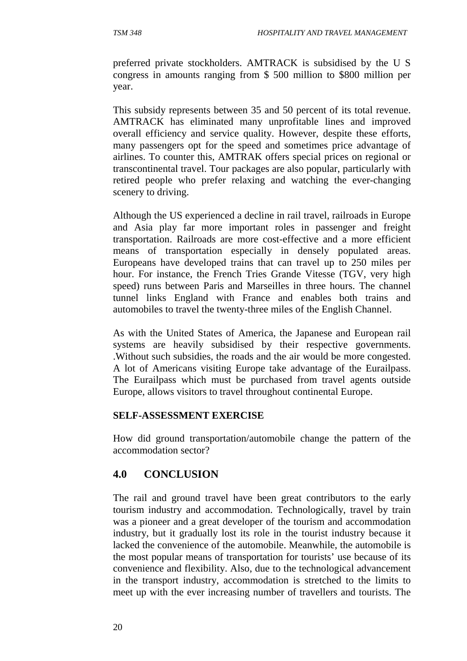preferred private stockholders. AMTRACK is subsidised by the U S congress in amounts ranging from \$ 500 million to \$800 million per year.

This subsidy represents between 35 and 50 percent of its total revenue. AMTRACK has eliminated many unprofitable lines and improved overall efficiency and service quality. However, despite these efforts, many passengers opt for the speed and sometimes price advantage of airlines. To counter this, AMTRAK offers special prices on regional or transcontinental travel. Tour packages are also popular, particularly with retired people who prefer relaxing and watching the ever-changing scenery to driving.

Although the US experienced a decline in rail travel, railroads in Europe and Asia play far more important roles in passenger and freight transportation. Railroads are more cost-effective and a more efficient means of transportation especially in densely populated areas. Europeans have developed trains that can travel up to 250 miles per hour. For instance, the French Tries Grande Vitesse (TGV, very high speed) runs between Paris and Marseilles in three hours. The channel tunnel links England with France and enables both trains and automobiles to travel the twenty-three miles of the English Channel.

As with the United States of America, the Japanese and European rail systems are heavily subsidised by their respective governments. .Without such subsidies, the roads and the air would be more congested. A lot of Americans visiting Europe take advantage of the Eurailpass. The Eurailpass which must be purchased from travel agents outside Europe, allows visitors to travel throughout continental Europe.

#### **SELF-ASSESSMENT EXERCISE**

How did ground transportation/automobile change the pattern of the accommodation sector?

# **4.0 CONCLUSION**

The rail and ground travel have been great contributors to the early tourism industry and accommodation. Technologically, travel by train was a pioneer and a great developer of the tourism and accommodation industry, but it gradually lost its role in the tourist industry because it lacked the convenience of the automobile. Meanwhile, the automobile is the most popular means of transportation for tourists' use because of its convenience and flexibility. Also, due to the technological advancement in the transport industry, accommodation is stretched to the limits to meet up with the ever increasing number of travellers and tourists. The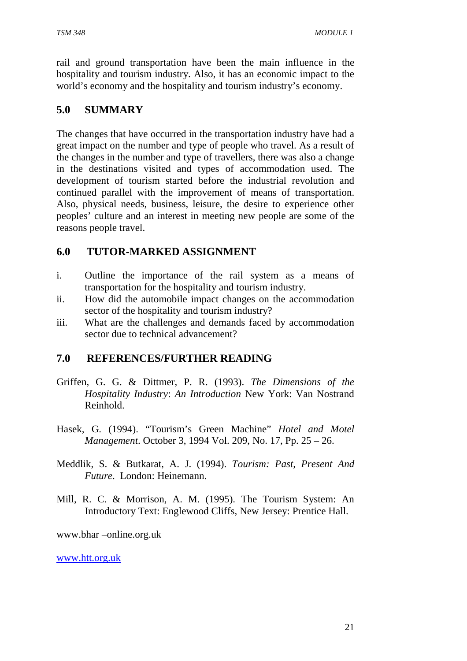rail and ground transportation have been the main influence in the hospitality and tourism industry. Also, it has an economic impact to the world's economy and the hospitality and tourism industry's economy.

# **5.0 SUMMARY**

The changes that have occurred in the transportation industry have had a great impact on the number and type of people who travel. As a result of the changes in the number and type of travellers, there was also a change in the destinations visited and types of accommodation used. The development of tourism started before the industrial revolution and continued parallel with the improvement of means of transportation. Also, physical needs, business, leisure, the desire to experience other peoples' culture and an interest in meeting new people are some of the reasons people travel.

# **6.0 TUTOR-MARKED ASSIGNMENT**

- i. Outline the importance of the rail system as a means of transportation for the hospitality and tourism industry.
- ii. How did the automobile impact changes on the accommodation sector of the hospitality and tourism industry?
- iii. What are the challenges and demands faced by accommodation sector due to technical advancement?

# **7.0 REFERENCES/FURTHER READING**

- Griffen, G. G. & Dittmer, P. R. (1993). *The Dimensions of the Hospitality Industry*: *An Introduction* New York: Van Nostrand Reinhold.
- Hasek, G. (1994). "Tourism's Green Machine" *Hotel and Motel Management*. October 3, 1994 Vol. 209, No. 17, Pp. 25 – 26.
- Meddlik, S. & Butkarat, A. J. (1994). *Tourism: Past, Present And Future*. London: Heinemann.
- Mill, R. C. & Morrison, A. M. (1995). The Tourism System: An Introductory Text: Englewood Cliffs, New Jersey: Prentice Hall.

www.bhar –online.org.uk

www.htt.org.uk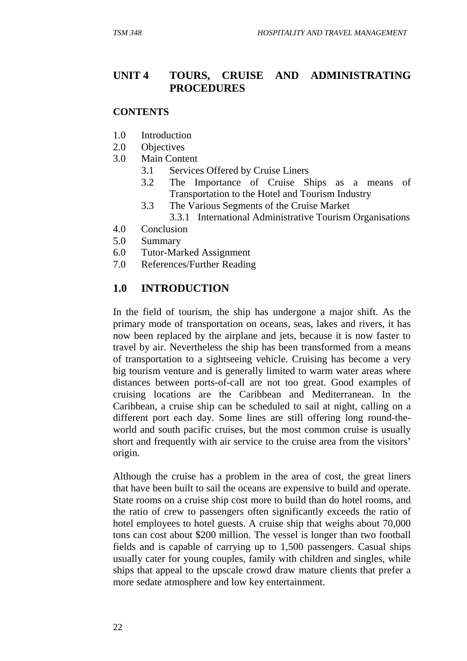### **UNIT 4 TOURS, CRUISE AND ADMINISTRATING PROCEDURES**

#### **CONTENTS**

- 1.0 Introduction
- 2.0 Objectives
- 3.0 Main Content
	- 3.1 Services Offered by Cruise Liners
	- 3.2 The Importance of Cruise Ships as a means of Transportation to the Hotel and Tourism Industry
	- 3.3 The Various Segments of the Cruise Market
		- 3.3.1 International Administrative Tourism Organisations
- 4.0 Conclusion
- 5.0 Summary
- 6.0 Tutor-Marked Assignment
- 7.0 References/Further Reading

### **1.0 INTRODUCTION**

In the field of tourism, the ship has undergone a major shift. As the primary mode of transportation on oceans, seas, lakes and rivers, it has now been replaced by the airplane and jets, because it is now faster to travel by air. Nevertheless the ship has been transformed from a means of transportation to a sightseeing vehicle. Cruising has become a very big tourism venture and is generally limited to warm water areas where distances between ports-of-call are not too great. Good examples of cruising locations are the Caribbean and Mediterranean. In the Caribbean, a cruise ship can be scheduled to sail at night, calling on a different port each day. Some lines are still offering long round-theworld and south pacific cruises, but the most common cruise is usually short and frequently with air service to the cruise area from the visitors' origin.

Although the cruise has a problem in the area of cost, the great liners that have been built to sail the oceans are expensive to build and operate. State rooms on a cruise ship cost more to build than do hotel rooms, and the ratio of crew to passengers often significantly exceeds the ratio of hotel employees to hotel guests. A cruise ship that weighs about 70,000 tons can cost about \$200 million. The vessel is longer than two football fields and is capable of carrying up to 1,500 passengers. Casual ships usually cater for young couples, family with children and singles, while ships that appeal to the upscale crowd draw mature clients that prefer a more sedate atmosphere and low key entertainment.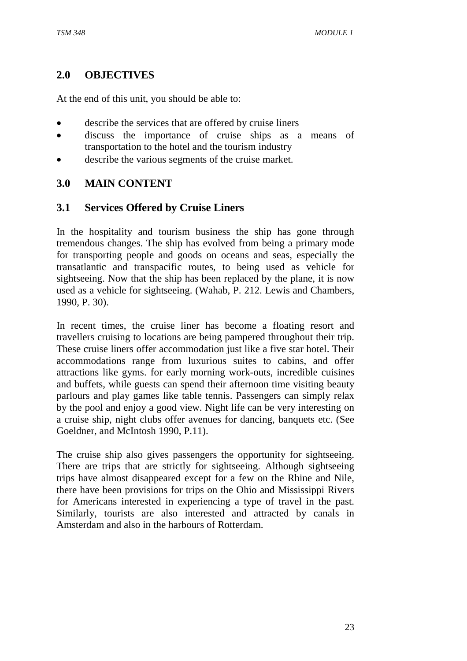# **2.0 OBJECTIVES**

At the end of this unit, you should be able to:

- describe the services that are offered by cruise liners
- discuss the importance of cruise ships as a means of transportation to the hotel and the tourism industry
- describe the various segments of the cruise market.

### **3.0 MAIN CONTENT**

### **3.1 Services Offered by Cruise Liners**

In the hospitality and tourism business the ship has gone through tremendous changes. The ship has evolved from being a primary mode for transporting people and goods on oceans and seas, especially the transatlantic and transpacific routes, to being used as vehicle for sightseeing. Now that the ship has been replaced by the plane, it is now used as a vehicle for sightseeing. (Wahab, P. 212. Lewis and Chambers, 1990, P. 30).

In recent times, the cruise liner has become a floating resort and travellers cruising to locations are being pampered throughout their trip. These cruise liners offer accommodation just like a five star hotel. Their accommodations range from luxurious suites to cabins, and offer attractions like gyms. for early morning work-outs, incredible cuisines and buffets, while guests can spend their afternoon time visiting beauty parlours and play games like table tennis. Passengers can simply relax by the pool and enjoy a good view. Night life can be very interesting on a cruise ship, night clubs offer avenues for dancing, banquets etc. (See Goeldner, and McIntosh 1990, P.11).

The cruise ship also gives passengers the opportunity for sightseeing. There are trips that are strictly for sightseeing. Although sightseeing trips have almost disappeared except for a few on the Rhine and Nile, there have been provisions for trips on the Ohio and Mississippi Rivers for Americans interested in experiencing a type of travel in the past. Similarly, tourists are also interested and attracted by canals in Amsterdam and also in the harbours of Rotterdam.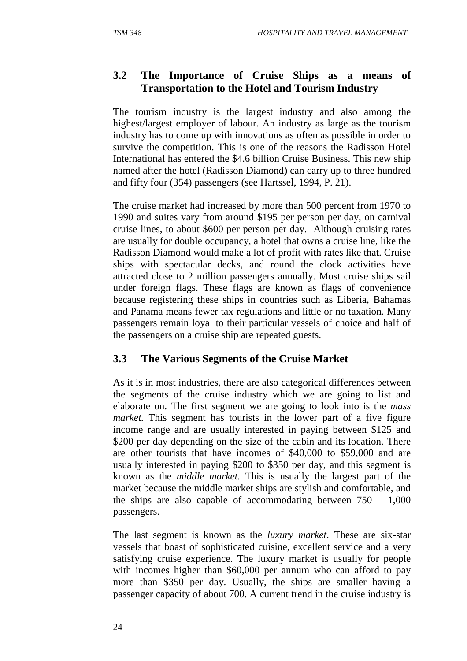# **3.2 The Importance of Cruise Ships as a means of Transportation to the Hotel and Tourism Industry**

The tourism industry is the largest industry and also among the highest/largest employer of labour. An industry as large as the tourism industry has to come up with innovations as often as possible in order to survive the competition. This is one of the reasons the Radisson Hotel International has entered the \$4.6 billion Cruise Business. This new ship named after the hotel (Radisson Diamond) can carry up to three hundred and fifty four (354) passengers (see Hartssel, 1994, P. 21).

The cruise market had increased by more than 500 percent from 1970 to 1990 and suites vary from around \$195 per person per day, on carnival cruise lines, to about \$600 per person per day. Although cruising rates are usually for double occupancy, a hotel that owns a cruise line, like the Radisson Diamond would make a lot of profit with rates like that. Cruise ships with spectacular decks, and round the clock activities have attracted close to 2 million passengers annually. Most cruise ships sail under foreign flags. These flags are known as flags of convenience because registering these ships in countries such as Liberia, Bahamas and Panama means fewer tax regulations and little or no taxation. Many passengers remain loyal to their particular vessels of choice and half of the passengers on a cruise ship are repeated guests.

# **3.3 The Various Segments of the Cruise Market**

As it is in most industries, there are also categorical differences between the segments of the cruise industry which we are going to list and elaborate on. The first segment we are going to look into is the *mass market.* This segment has tourists in the lower part of a five figure income range and are usually interested in paying between \$125 and \$200 per day depending on the size of the cabin and its location. There are other tourists that have incomes of \$40,000 to \$59,000 and are usually interested in paying \$200 to \$350 per day, and this segment is known as the *middle market.* This is usually the largest part of the market because the middle market ships are stylish and comfortable, and the ships are also capable of accommodating between 750 – 1,000 passengers.

The last segment is known as the *luxury market*. These are six-star vessels that boast of sophisticated cuisine, excellent service and a very satisfying cruise experience. The luxury market is usually for people with incomes higher than \$60,000 per annum who can afford to pay more than \$350 per day. Usually, the ships are smaller having a passenger capacity of about 700. A current trend in the cruise industry is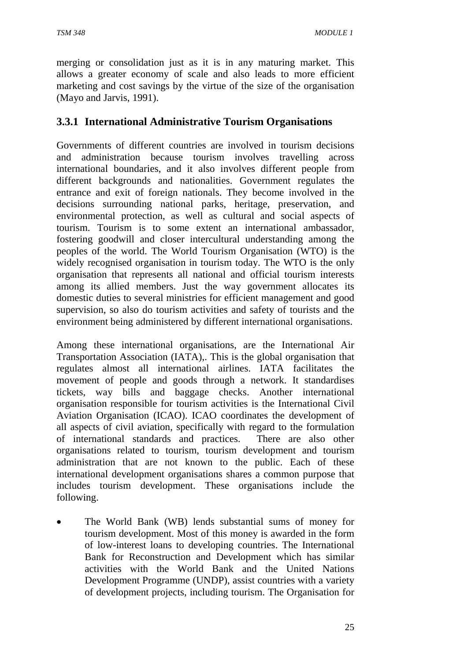merging or consolidation just as it is in any maturing market. This allows a greater economy of scale and also leads to more efficient marketing and cost savings by the virtue of the size of the organisation (Mayo and Jarvis, 1991).

# **3.3.1 International Administrative Tourism Organisations**

Governments of different countries are involved in tourism decisions and administration because tourism involves travelling across international boundaries, and it also involves different people from different backgrounds and nationalities. Government regulates the entrance and exit of foreign nationals. They become involved in the decisions surrounding national parks, heritage, preservation, and environmental protection, as well as cultural and social aspects of tourism. Tourism is to some extent an international ambassador, fostering goodwill and closer intercultural understanding among the peoples of the world. The World Tourism Organisation (WTO) is the widely recognised organisation in tourism today. The WTO is the only organisation that represents all national and official tourism interests among its allied members. Just the way government allocates its domestic duties to several ministries for efficient management and good supervision, so also do tourism activities and safety of tourists and the environment being administered by different international organisations.

Among these international organisations, are the International Air Transportation Association (IATA),. This is the global organisation that regulates almost all international airlines. IATA facilitates the movement of people and goods through a network. It standardises tickets, way bills and baggage checks. Another international organisation responsible for tourism activities is the International Civil Aviation Organisation (ICAO). ICAO coordinates the development of all aspects of civil aviation, specifically with regard to the formulation of international standards and practices. There are also other organisations related to tourism, tourism development and tourism administration that are not known to the public. Each of these international development organisations shares a common purpose that includes tourism development. These organisations include the following.

The World Bank (WB) lends substantial sums of money for tourism development. Most of this money is awarded in the form of low-interest loans to developing countries. The International Bank for Reconstruction and Development which has similar activities with the World Bank and the United Nations Development Programme (UNDP), assist countries with a variety of development projects, including tourism. The Organisation for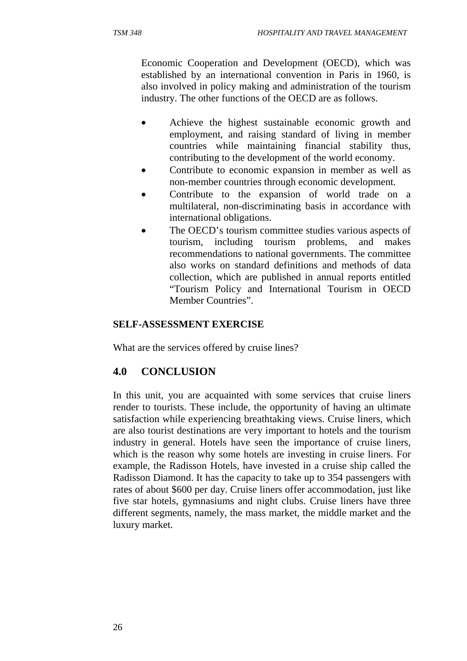- Achieve the highest sustainable economic growth and employment, and raising standard of living in member countries while maintaining financial stability thus, contributing to the development of the world economy.
- Contribute to economic expansion in member as well as non-member countries through economic development.
- Contribute to the expansion of world trade on a multilateral, non-discriminating basis in accordance with international obligations.
- The OECD's tourism committee studies various aspects of tourism, including tourism problems, and makes recommendations to national governments. The committee also works on standard definitions and methods of data collection, which are published in annual reports entitled "Tourism Policy and International Tourism in OECD Member Countries".

#### **SELF-ASSESSMENT EXERCISE**

What are the services offered by cruise lines?

# **4.0 CONCLUSION**

In this unit, you are acquainted with some services that cruise liners render to tourists. These include, the opportunity of having an ultimate satisfaction while experiencing breathtaking views. Cruise liners, which are also tourist destinations are very important to hotels and the tourism industry in general. Hotels have seen the importance of cruise liners, which is the reason why some hotels are investing in cruise liners. For example, the Radisson Hotels, have invested in a cruise ship called the Radisson Diamond. It has the capacity to take up to 354 passengers with rates of about \$600 per day. Cruise liners offer accommodation, just like five star hotels, gymnasiums and night clubs. Cruise liners have three different segments, namely, the mass market, the middle market and the luxury market.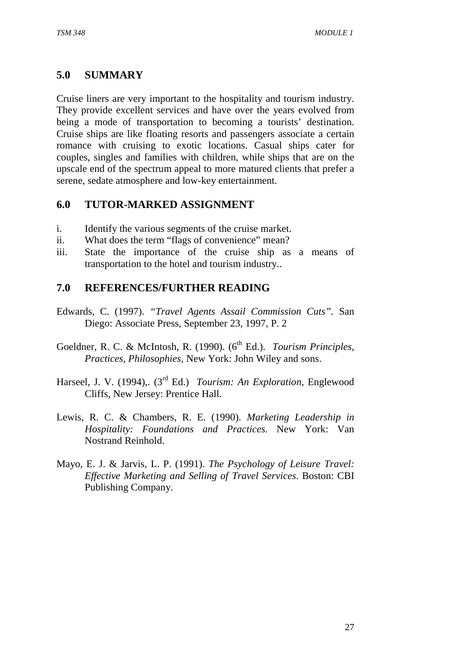# **5.0 SUMMARY**

Cruise liners are very important to the hospitality and tourism industry. They provide excellent services and have over the years evolved from being a mode of transportation to becoming a tourists' destination. Cruise ships are like floating resorts and passengers associate a certain romance with cruising to exotic locations. Casual ships cater for couples, singles and families with children, while ships that are on the upscale end of the spectrum appeal to more matured clients that prefer a serene, sedate atmosphere and low-key entertainment.

# **6.0 TUTOR-MARKED ASSIGNMENT**

- i. Identify the various segments of the cruise market.
- ii. What does the term "flags of convenience" mean?
- iii. State the importance of the cruise ship as a means of transportation to the hotel and tourism industry..

# **7.0 REFERENCES/FURTHER READING**

- Edwards, C. (1997). *"Travel Agents Assail Commission Cuts".* San Diego: Associate Press, September 23, 1997, P. 2
- Goeldner, R. C. & McIntosh, R. (1990). (6<sup>th</sup> Ed.). *Tourism Principles, Practices, Philosophies,* New York: John Wiley and sons.
- Harseel, J. V. (1994),. (3rd Ed.) *Tourism: An Exploration*, Englewood Cliffs, New Jersey: Prentice Hall.
- Lewis, R. C. & Chambers, R. E. (1990). *Marketing Leadership in Hospitality: Foundations and Practices*. New York: Van Nostrand Reinhold.
- Mayo, E. J. & Jarvis, L. P. (1991). *The Psychology of Leisure Travel: Effective Marketing and Selling of Travel Services*. Boston: CBI Publishing Company.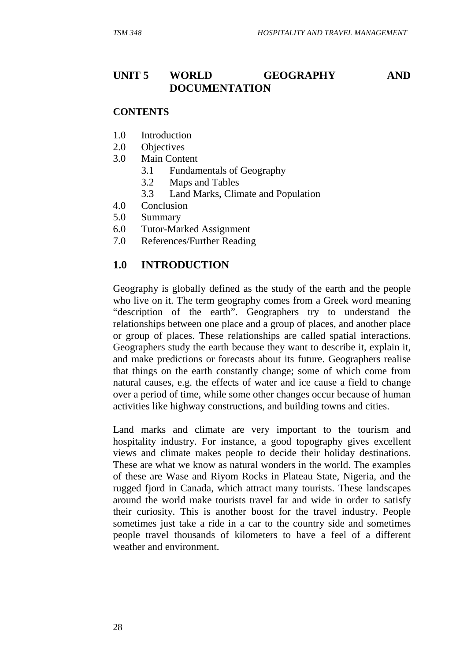# **UNIT 5 WORLD GEOGRAPHY AND DOCUMENTATION**

#### **CONTENTS**

- 1.0 Introduction
- 2.0 Objectives
- 3.0 Main Content
	- 3.1 Fundamentals of Geography
	- 3.2 Maps and Tables
	- 3.3 Land Marks, Climate and Population
- 4.0 Conclusion
- 5.0 Summary
- 6.0 Tutor-Marked Assignment
- 7.0 References/Further Reading

#### **1.0 INTRODUCTION**

Geography is globally defined as the study of the earth and the people who live on it. The term geography comes from a Greek word meaning "description of the earth". Geographers try to understand the relationships between one place and a group of places, and another place or group of places. These relationships are called spatial interactions. Geographers study the earth because they want to describe it, explain it, and make predictions or forecasts about its future. Geographers realise that things on the earth constantly change; some of which come from natural causes, e.g. the effects of water and ice cause a field to change over a period of time, while some other changes occur because of human activities like highway constructions, and building towns and cities.

Land marks and climate are very important to the tourism and hospitality industry. For instance, a good topography gives excellent views and climate makes people to decide their holiday destinations. These are what we know as natural wonders in the world. The examples of these are Wase and Riyom Rocks in Plateau State, Nigeria, and the rugged fjord in Canada, which attract many tourists. These landscapes around the world make tourists travel far and wide in order to satisfy their curiosity. This is another boost for the travel industry. People sometimes just take a ride in a car to the country side and sometimes people travel thousands of kilometers to have a feel of a different weather and environment.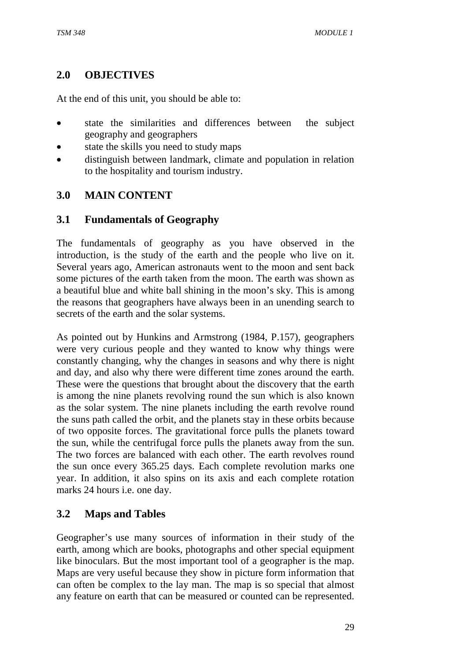# **2.0 OBJECTIVES**

At the end of this unit, you should be able to:

- state the similarities and differences between the subject geography and geographers
- state the skills you need to study maps
- distinguish between landmark, climate and population in relation to the hospitality and tourism industry.

### **3.0 MAIN CONTENT**

### **3.1 Fundamentals of Geography**

The fundamentals of geography as you have observed in the introduction, is the study of the earth and the people who live on it. Several years ago, American astronauts went to the moon and sent back some pictures of the earth taken from the moon. The earth was shown as a beautiful blue and white ball shining in the moon's sky. This is among the reasons that geographers have always been in an unending search to secrets of the earth and the solar systems.

As pointed out by Hunkins and Armstrong (1984, P.157), geographers were very curious people and they wanted to know why things were constantly changing, why the changes in seasons and why there is night and day, and also why there were different time zones around the earth. These were the questions that brought about the discovery that the earth is among the nine planets revolving round the sun which is also known as the solar system. The nine planets including the earth revolve round the suns path called the orbit, and the planets stay in these orbits because of two opposite forces. The gravitational force pulls the planets toward the sun, while the centrifugal force pulls the planets away from the sun. The two forces are balanced with each other. The earth revolves round the sun once every 365.25 days. Each complete revolution marks one year. In addition, it also spins on its axis and each complete rotation marks 24 hours i.e. one day.

### **3.2 Maps and Tables**

Geographer's use many sources of information in their study of the earth, among which are books, photographs and other special equipment like binoculars. But the most important tool of a geographer is the map. Maps are very useful because they show in picture form information that can often be complex to the lay man. The map is so special that almost any feature on earth that can be measured or counted can be represented.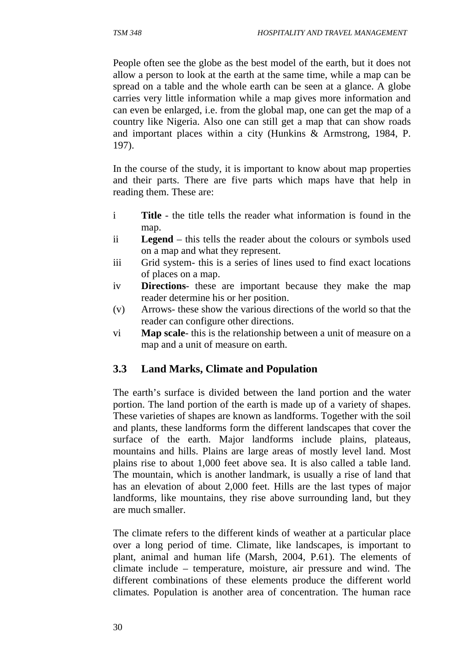People often see the globe as the best model of the earth, but it does not allow a person to look at the earth at the same time, while a map can be spread on a table and the whole earth can be seen at a glance. A globe carries very little information while a map gives more information and can even be enlarged, i.e. from the global map, one can get the map of a country like Nigeria. Also one can still get a map that can show roads and important places within a city (Hunkins & Armstrong, 1984, P. 197).

In the course of the study, it is important to know about map properties and their parts. There are five parts which maps have that help in reading them. These are:

- i **Title** the title tells the reader what information is found in the map.
- ii **Legend** this tells the reader about the colours or symbols used on a map and what they represent.
- iii Grid system- this is a series of lines used to find exact locations of places on a map.
- iv **Directions** these are important because they make the map reader determine his or her position.
- (v) Arrows- these show the various directions of the world so that the reader can configure other directions.
- vi **Map scale** this is the relationship between a unit of measure on a map and a unit of measure on earth.

### **3.3 Land Marks, Climate and Population**

The earth's surface is divided between the land portion and the water portion. The land portion of the earth is made up of a variety of shapes. These varieties of shapes are known as landforms. Together with the soil and plants, these landforms form the different landscapes that cover the surface of the earth. Major landforms include plains, plateaus, mountains and hills. Plains are large areas of mostly level land. Most plains rise to about 1,000 feet above sea. It is also called a table land. The mountain, which is another landmark, is usually a rise of land that has an elevation of about 2,000 feet. Hills are the last types of major landforms, like mountains, they rise above surrounding land, but they are much smaller.

The climate refers to the different kinds of weather at a particular place over a long period of time. Climate, like landscapes, is important to plant, animal and human life (Marsh, 2004, P.61). The elements of climate include – temperature, moisture, air pressure and wind. The different combinations of these elements produce the different world climates. Population is another area of concentration. The human race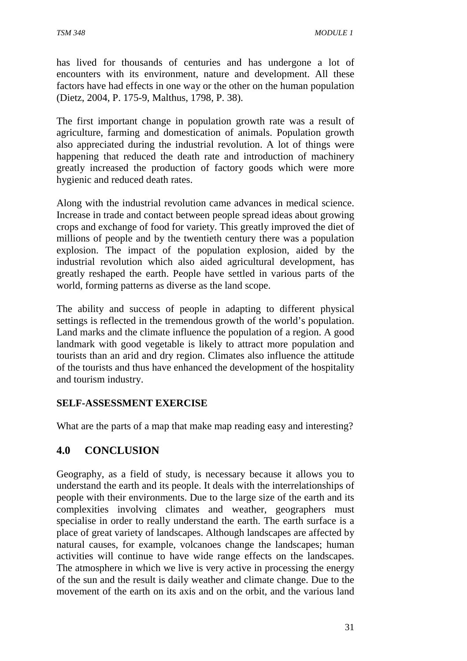has lived for thousands of centuries and has undergone a lot of encounters with its environment, nature and development. All these factors have had effects in one way or the other on the human population (Dietz, 2004, P. 175-9, Malthus, 1798, P. 38).

The first important change in population growth rate was a result of agriculture, farming and domestication of animals. Population growth also appreciated during the industrial revolution. A lot of things were happening that reduced the death rate and introduction of machinery greatly increased the production of factory goods which were more hygienic and reduced death rates.

Along with the industrial revolution came advances in medical science. Increase in trade and contact between people spread ideas about growing crops and exchange of food for variety. This greatly improved the diet of millions of people and by the twentieth century there was a population explosion. The impact of the population explosion, aided by the industrial revolution which also aided agricultural development, has greatly reshaped the earth. People have settled in various parts of the world, forming patterns as diverse as the land scope.

The ability and success of people in adapting to different physical settings is reflected in the tremendous growth of the world's population. Land marks and the climate influence the population of a region. A good landmark with good vegetable is likely to attract more population and tourists than an arid and dry region. Climates also influence the attitude of the tourists and thus have enhanced the development of the hospitality and tourism industry.

#### **SELF-ASSESSMENT EXERCISE**

What are the parts of a map that make map reading easy and interesting?

### **4.0 CONCLUSION**

Geography, as a field of study, is necessary because it allows you to understand the earth and its people. It deals with the interrelationships of people with their environments. Due to the large size of the earth and its complexities involving climates and weather, geographers must specialise in order to really understand the earth. The earth surface is a place of great variety of landscapes. Although landscapes are affected by natural causes, for example, volcanoes change the landscapes; human activities will continue to have wide range effects on the landscapes. The atmosphere in which we live is very active in processing the energy of the sun and the result is daily weather and climate change. Due to the movement of the earth on its axis and on the orbit, and the various land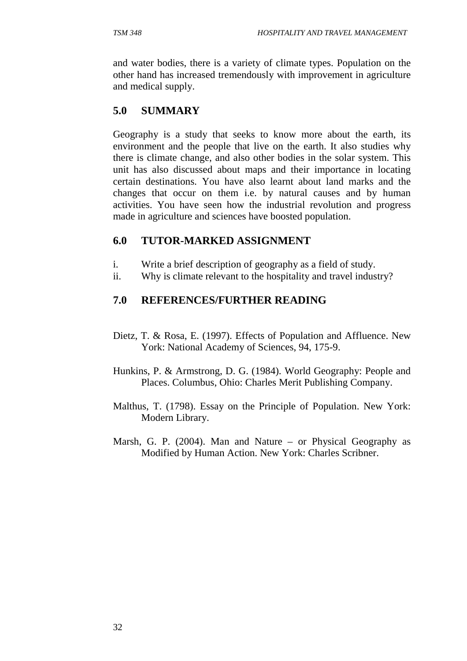and water bodies, there is a variety of climate types. Population on the other hand has increased tremendously with improvement in agriculture and medical supply.

# **5.0 SUMMARY**

Geography is a study that seeks to know more about the earth, its environment and the people that live on the earth. It also studies why there is climate change, and also other bodies in the solar system. This unit has also discussed about maps and their importance in locating certain destinations. You have also learnt about land marks and the changes that occur on them i.e. by natural causes and by human activities. You have seen how the industrial revolution and progress made in agriculture and sciences have boosted population.

### **6.0 TUTOR-MARKED ASSIGNMENT**

- i. Write a brief description of geography as a field of study.
- ii. Why is climate relevant to the hospitality and travel industry?

### **7.0 REFERENCES/FURTHER READING**

- Dietz, T. & Rosa, E. (1997). Effects of Population and Affluence. New York: National Academy of Sciences, 94, 175-9.
- Hunkins, P. & Armstrong, D. G. (1984). World Geography: People and Places. Columbus, Ohio: Charles Merit Publishing Company.
- Malthus, T. (1798). Essay on the Principle of Population. New York: Modern Library.
- Marsh, G. P. (2004). Man and Nature or Physical Geography as Modified by Human Action. New York: Charles Scribner.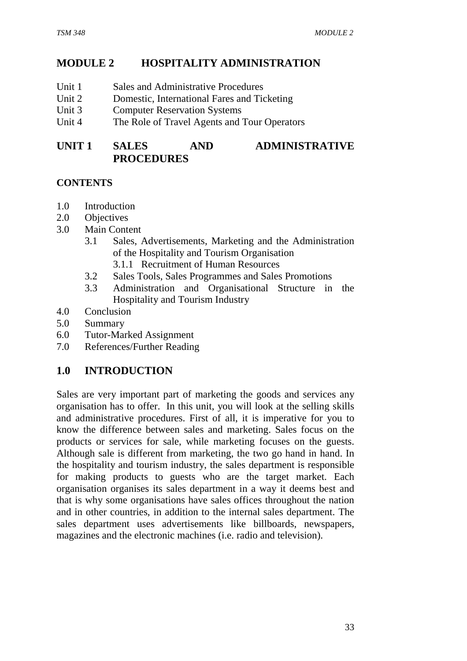# **MODULE 2 HOSPITALITY ADMINISTRATION**

- Unit 1 Sales and Administrative Procedures
- Unit 2 Domestic, International Fares and Ticketing
- Unit 3 Computer Reservation Systems
- Unit 4 The Role of Travel Agents and Tour Operators

# **UNIT 1 SALES AND ADMINISTRATIVE PROCEDURES**

#### **CONTENTS**

- 1.0 Introduction
- 2.0 Objectives
- 3.0 Main Content
	- 3.1 Sales, Advertisements, Marketing and the Administration of the Hospitality and Tourism Organisation
		- 3.1.1 Recruitment of Human Resources
	- 3.2 Sales Tools, Sales Programmes and Sales Promotions
	- 3.3 Administration and Organisational Structure in the Hospitality and Tourism Industry
- 4.0 Conclusion
- 5.0 Summary
- 6.0 Tutor-Marked Assignment
- 7.0 References/Further Reading

### **1.0 INTRODUCTION**

Sales are very important part of marketing the goods and services any organisation has to offer. In this unit, you will look at the selling skills and administrative procedures. First of all, it is imperative for you to know the difference between sales and marketing. Sales focus on the products or services for sale, while marketing focuses on the guests. Although sale is different from marketing, the two go hand in hand. In the hospitality and tourism industry, the sales department is responsible for making products to guests who are the target market. Each organisation organises its sales department in a way it deems best and that is why some organisations have sales offices throughout the nation and in other countries, in addition to the internal sales department. The sales department uses advertisements like billboards, newspapers, magazines and the electronic machines (i.e. radio and television).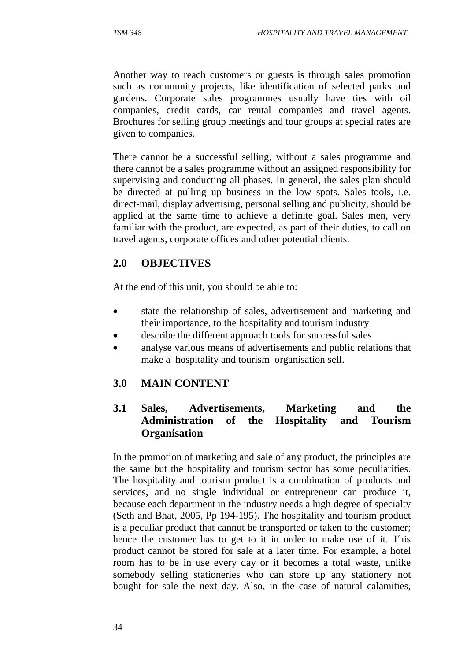Another way to reach customers or guests is through sales promotion such as community projects, like identification of selected parks and gardens. Corporate sales programmes usually have ties with oil companies, credit cards, car rental companies and travel agents. Brochures for selling group meetings and tour groups at special rates are given to companies.

There cannot be a successful selling, without a sales programme and there cannot be a sales programme without an assigned responsibility for supervising and conducting all phases. In general, the sales plan should be directed at pulling up business in the low spots. Sales tools, i.e. direct-mail, display advertising, personal selling and publicity, should be applied at the same time to achieve a definite goal. Sales men, very familiar with the product, are expected, as part of their duties, to call on travel agents, corporate offices and other potential clients.

# **2.0 OBJECTIVES**

At the end of this unit, you should be able to:

- state the relationship of sales, advertisement and marketing and their importance, to the hospitality and tourism industry
- describe the different approach tools for successful sales
- analyse various means of advertisements and public relations that make a hospitality and tourism organisation sell.

### **3.0 MAIN CONTENT**

# **3.1 Sales, Advertisements, Marketing and the Administration of the Hospitality and Tourism Organisation**

In the promotion of marketing and sale of any product, the principles are the same but the hospitality and tourism sector has some peculiarities. The hospitality and tourism product is a combination of products and services, and no single individual or entrepreneur can produce it, because each department in the industry needs a high degree of specialty (Seth and Bhat, 2005, Pp 194-195). The hospitality and tourism product is a peculiar product that cannot be transported or taken to the customer; hence the customer has to get to it in order to make use of it. This product cannot be stored for sale at a later time. For example, a hotel room has to be in use every day or it becomes a total waste, unlike somebody selling stationeries who can store up any stationery not bought for sale the next day. Also, in the case of natural calamities,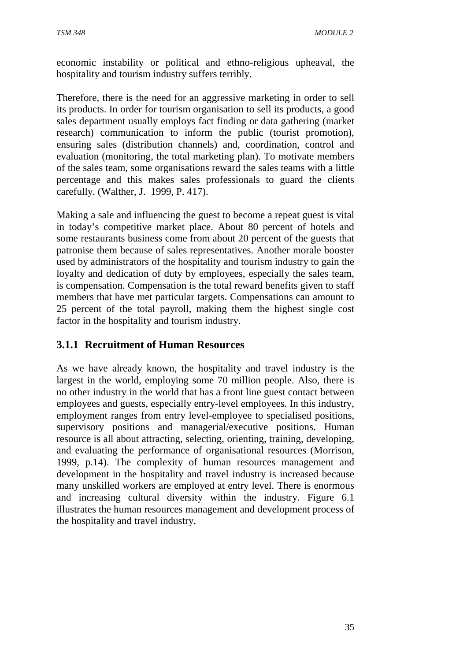economic instability or political and ethno-religious upheaval, the hospitality and tourism industry suffers terribly.

Therefore, there is the need for an aggressive marketing in order to sell its products. In order for tourism organisation to sell its products, a good sales department usually employs fact finding or data gathering (market research) communication to inform the public (tourist promotion), ensuring sales (distribution channels) and, coordination, control and evaluation (monitoring, the total marketing plan). To motivate members of the sales team, some organisations reward the sales teams with a little percentage and this makes sales professionals to guard the clients carefully. (Walther, J. 1999, P. 417).

Making a sale and influencing the guest to become a repeat guest is vital in today's competitive market place. About 80 percent of hotels and some restaurants business come from about 20 percent of the guests that patronise them because of sales representatives. Another morale booster used by administrators of the hospitality and tourism industry to gain the loyalty and dedication of duty by employees, especially the sales team, is compensation. Compensation is the total reward benefits given to staff members that have met particular targets. Compensations can amount to 25 percent of the total payroll, making them the highest single cost factor in the hospitality and tourism industry.

### **3.1.1 Recruitment of Human Resources**

As we have already known, the hospitality and travel industry is the largest in the world, employing some 70 million people. Also, there is no other industry in the world that has a front line guest contact between employees and guests, especially entry-level employees. In this industry, employment ranges from entry level-employee to specialised positions, supervisory positions and managerial/executive positions. Human resource is all about attracting, selecting, orienting, training, developing, and evaluating the performance of organisational resources (Morrison, 1999, p.14). The complexity of human resources management and development in the hospitality and travel industry is increased because many unskilled workers are employed at entry level. There is enormous and increasing cultural diversity within the industry. Figure 6.1 illustrates the human resources management and development process of the hospitality and travel industry.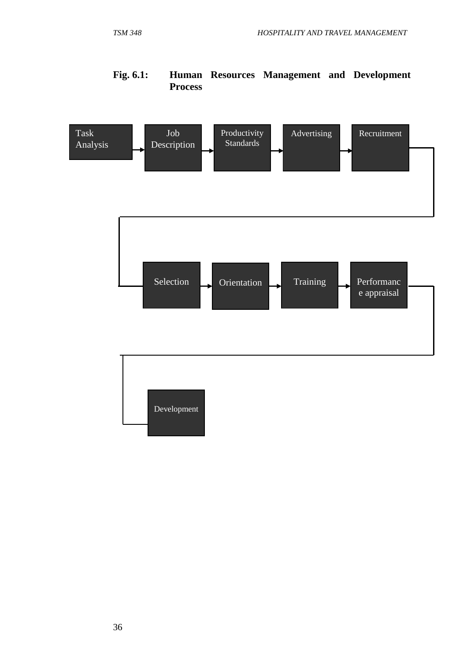# **Fig. 6.1: Human Resources Management and Development Process**

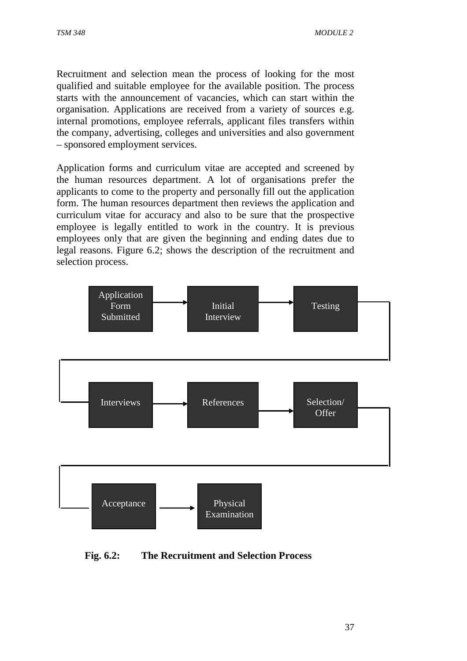Recruitment and selection mean the process of looking for the most qualified and suitable employee for the available position. The process starts with the announcement of vacancies, which can start within the organisation. Applications are received from a variety of sources e.g. internal promotions, employee referrals, applicant files transfers within the company, advertising, colleges and universities and also government – sponsored employment services.

Application forms and curriculum vitae are accepted and screened by the human resources department. A lot of organisations prefer the applicants to come to the property and personally fill out the application form. The human resources department then reviews the application and curriculum vitae for accuracy and also to be sure that the prospective employee is legally entitled to work in the country. It is previous employees only that are given the beginning and ending dates due to legal reasons. Figure 6.2; shows the description of the recruitment and selection process.



 **Fig. 6.2: The Recruitment and Selection Process**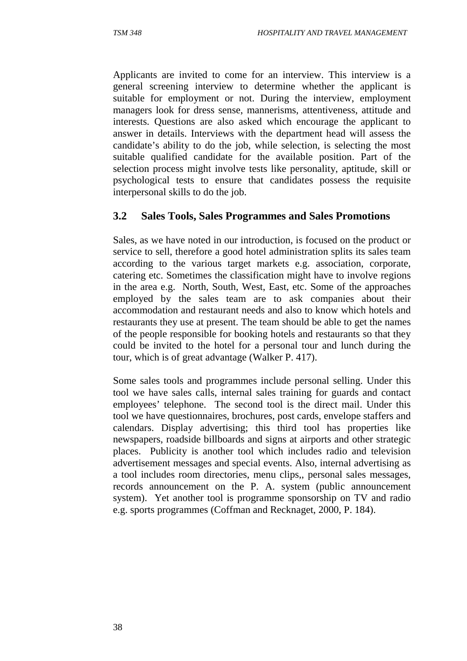Applicants are invited to come for an interview. This interview is a general screening interview to determine whether the applicant is suitable for employment or not. During the interview, employment managers look for dress sense, mannerisms, attentiveness, attitude and interests. Questions are also asked which encourage the applicant to answer in details. Interviews with the department head will assess the candidate's ability to do the job, while selection, is selecting the most suitable qualified candidate for the available position. Part of the selection process might involve tests like personality, aptitude, skill or psychological tests to ensure that candidates possess the requisite interpersonal skills to do the job.

### **3.2 Sales Tools, Sales Programmes and Sales Promotions**

Sales, as we have noted in our introduction, is focused on the product or service to sell, therefore a good hotel administration splits its sales team according to the various target markets e.g. association, corporate, catering etc. Sometimes the classification might have to involve regions in the area e.g. North, South, West, East, etc. Some of the approaches employed by the sales team are to ask companies about their accommodation and restaurant needs and also to know which hotels and restaurants they use at present. The team should be able to get the names of the people responsible for booking hotels and restaurants so that they could be invited to the hotel for a personal tour and lunch during the tour, which is of great advantage (Walker P. 417).

Some sales tools and programmes include personal selling. Under this tool we have sales calls, internal sales training for guards and contact employees' telephone. The second tool is the direct mail. Under this tool we have questionnaires, brochures, post cards, envelope staffers and calendars. Display advertising; this third tool has properties like newspapers, roadside billboards and signs at airports and other strategic places. Publicity is another tool which includes radio and television advertisement messages and special events. Also, internal advertising as a tool includes room directories, menu clips,, personal sales messages, records announcement on the P. A. system (public announcement system). Yet another tool is programme sponsorship on TV and radio e.g. sports programmes (Coffman and Recknaget, 2000, P. 184).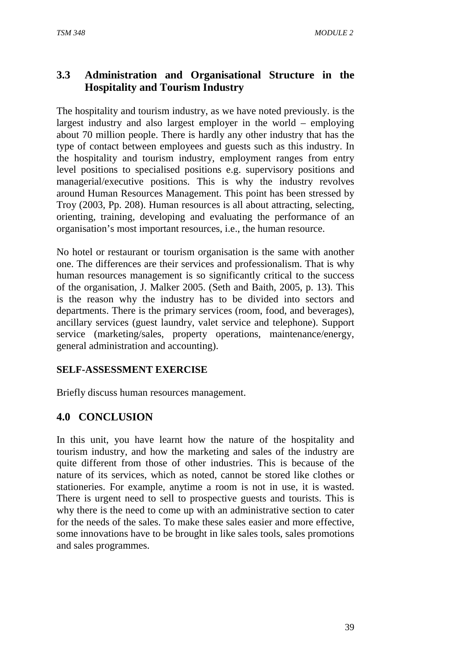# **3.3 Administration and Organisational Structure in the Hospitality and Tourism Industry**

The hospitality and tourism industry, as we have noted previously. is the largest industry and also largest employer in the world – employing about 70 million people. There is hardly any other industry that has the type of contact between employees and guests such as this industry. In the hospitality and tourism industry, employment ranges from entry level positions to specialised positions e.g. supervisory positions and managerial/executive positions. This is why the industry revolves around Human Resources Management. This point has been stressed by Troy (2003, Pp. 208). Human resources is all about attracting, selecting, orienting, training, developing and evaluating the performance of an organisation's most important resources, i.e., the human resource.

No hotel or restaurant or tourism organisation is the same with another one. The differences are their services and professionalism. That is why human resources management is so significantly critical to the success of the organisation, J. Malker 2005. (Seth and Baith, 2005, p. 13). This is the reason why the industry has to be divided into sectors and departments. There is the primary services (room, food, and beverages), ancillary services (guest laundry, valet service and telephone). Support service (marketing/sales, property operations, maintenance/energy, general administration and accounting).

### **SELF-ASSESSMENT EXERCISE**

Briefly discuss human resources management.

### **4.0 CONCLUSION**

In this unit, you have learnt how the nature of the hospitality and tourism industry, and how the marketing and sales of the industry are quite different from those of other industries. This is because of the nature of its services, which as noted, cannot be stored like clothes or stationeries. For example, anytime a room is not in use, it is wasted. There is urgent need to sell to prospective guests and tourists. This is why there is the need to come up with an administrative section to cater for the needs of the sales. To make these sales easier and more effective, some innovations have to be brought in like sales tools, sales promotions and sales programmes.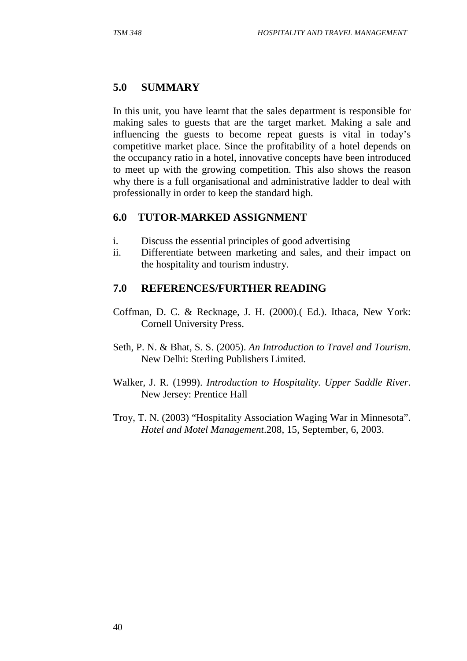### **5.0 SUMMARY**

In this unit, you have learnt that the sales department is responsible for making sales to guests that are the target market. Making a sale and influencing the guests to become repeat guests is vital in today's competitive market place. Since the profitability of a hotel depends on the occupancy ratio in a hotel, innovative concepts have been introduced to meet up with the growing competition. This also shows the reason why there is a full organisational and administrative ladder to deal with professionally in order to keep the standard high.

### **6.0 TUTOR-MARKED ASSIGNMENT**

- i. Discuss the essential principles of good advertising
- ii. Differentiate between marketing and sales, and their impact on the hospitality and tourism industry.

### **7.0 REFERENCES/FURTHER READING**

- Coffman, D. C. & Recknage, J. H. (2000).( Ed.). Ithaca, New York: Cornell University Press.
- Seth, P. N. & Bhat, S. S. (2005). *An Introduction to Travel and Tourism*. New Delhi: Sterling Publishers Limited.
- Walker, J. R. (1999). *Introduction to Hospitality. Upper Saddle River*. New Jersey: Prentice Hall
- Troy, T. N. (2003) "Hospitality Association Waging War in Minnesota". *Hotel and Motel Management*.208, 15, September, 6, 2003.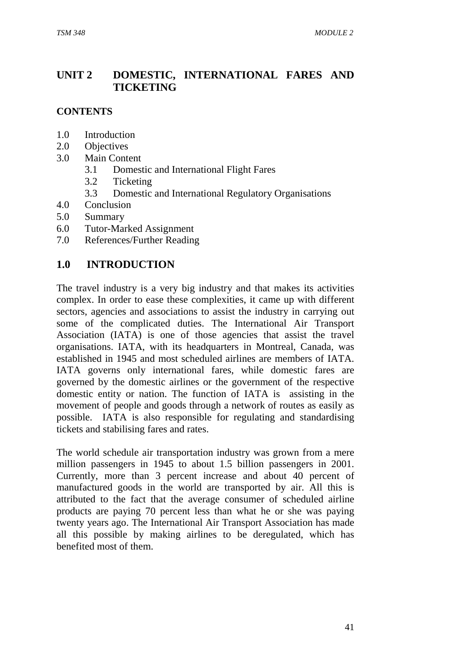# **UNIT 2 DOMESTIC, INTERNATIONAL FARES AND TICKETING**

### **CONTENTS**

- 1.0 Introduction
- 2.0 Objectives
- 3.0 Main Content
	- 3.1 Domestic and International Flight Fares
	- 3.2 Ticketing
	- 3.3 Domestic and International Regulatory Organisations
- 4.0 Conclusion
- 5.0 Summary
- 6.0 Tutor-Marked Assignment
- 7.0 References/Further Reading

### **1.0 INTRODUCTION**

The travel industry is a very big industry and that makes its activities complex. In order to ease these complexities, it came up with different sectors, agencies and associations to assist the industry in carrying out some of the complicated duties. The International Air Transport Association (IATA) is one of those agencies that assist the travel organisations. IATA, with its headquarters in Montreal, Canada, was established in 1945 and most scheduled airlines are members of IATA. IATA governs only international fares, while domestic fares are governed by the domestic airlines or the government of the respective domestic entity or nation. The function of IATA is assisting in the movement of people and goods through a network of routes as easily as possible. IATA is also responsible for regulating and standardising tickets and stabilising fares and rates.

The world schedule air transportation industry was grown from a mere million passengers in 1945 to about 1.5 billion passengers in 2001. Currently, more than 3 percent increase and about 40 percent of manufactured goods in the world are transported by air. All this is attributed to the fact that the average consumer of scheduled airline products are paying 70 percent less than what he or she was paying twenty years ago. The International Air Transport Association has made all this possible by making airlines to be deregulated, which has benefited most of them.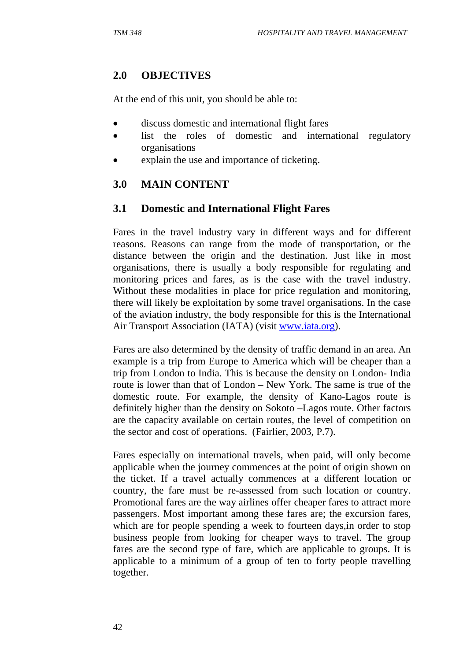# **2.0 OBJECTIVES**

At the end of this unit, you should be able to:

- discuss domestic and international flight fares
- list the roles of domestic and international regulatory organisations
- explain the use and importance of ticketing.

# **3.0 MAIN CONTENT**

# **3.1 Domestic and International Flight Fares**

Fares in the travel industry vary in different ways and for different reasons. Reasons can range from the mode of transportation, or the distance between the origin and the destination. Just like in most organisations, there is usually a body responsible for regulating and monitoring prices and fares, as is the case with the travel industry. Without these modalities in place for price regulation and monitoring, there will likely be exploitation by some travel organisations. In the case of the aviation industry, the body responsible for this is the International Air Transport Association (IATA) (visit www.iata.org).

Fares are also determined by the density of traffic demand in an area. An example is a trip from Europe to America which will be cheaper than a trip from London to India. This is because the density on London- India route is lower than that of London – New York. The same is true of the domestic route. For example, the density of Kano-Lagos route is definitely higher than the density on Sokoto –Lagos route. Other factors are the capacity available on certain routes, the level of competition on the sector and cost of operations. (Fairlier, 2003, P.7).

Fares especially on international travels, when paid, will only become applicable when the journey commences at the point of origin shown on the ticket. If a travel actually commences at a different location or country, the fare must be re-assessed from such location or country. Promotional fares are the way airlines offer cheaper fares to attract more passengers. Most important among these fares are; the excursion fares, which are for people spending a week to fourteen days,in order to stop business people from looking for cheaper ways to travel. The group fares are the second type of fare, which are applicable to groups. It is applicable to a minimum of a group of ten to forty people travelling together.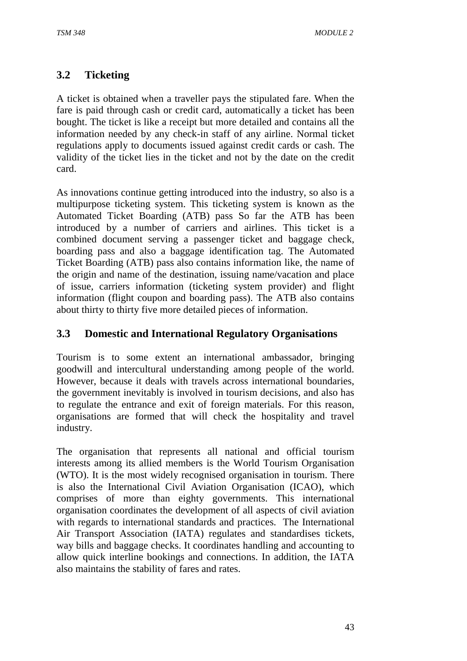# **3.2 Ticketing**

A ticket is obtained when a traveller pays the stipulated fare. When the fare is paid through cash or credit card, automatically a ticket has been bought. The ticket is like a receipt but more detailed and contains all the information needed by any check-in staff of any airline. Normal ticket regulations apply to documents issued against credit cards or cash. The validity of the ticket lies in the ticket and not by the date on the credit card.

As innovations continue getting introduced into the industry, so also is a multipurpose ticketing system. This ticketing system is known as the Automated Ticket Boarding (ATB) pass So far the ATB has been introduced by a number of carriers and airlines. This ticket is a combined document serving a passenger ticket and baggage check, boarding pass and also a baggage identification tag. The Automated Ticket Boarding (ATB) pass also contains information like, the name of the origin and name of the destination, issuing name/vacation and place of issue, carriers information (ticketing system provider) and flight information (flight coupon and boarding pass). The ATB also contains about thirty to thirty five more detailed pieces of information.

### **3.3 Domestic and International Regulatory Organisations**

Tourism is to some extent an international ambassador, bringing goodwill and intercultural understanding among people of the world. However, because it deals with travels across international boundaries, the government inevitably is involved in tourism decisions, and also has to regulate the entrance and exit of foreign materials. For this reason, organisations are formed that will check the hospitality and travel industry.

The organisation that represents all national and official tourism interests among its allied members is the World Tourism Organisation (WTO). It is the most widely recognised organisation in tourism. There is also the International Civil Aviation Organisation (ICAO), which comprises of more than eighty governments. This international organisation coordinates the development of all aspects of civil aviation with regards to international standards and practices. The International Air Transport Association (IATA) regulates and standardises tickets, way bills and baggage checks. It coordinates handling and accounting to allow quick interline bookings and connections. In addition, the IATA also maintains the stability of fares and rates.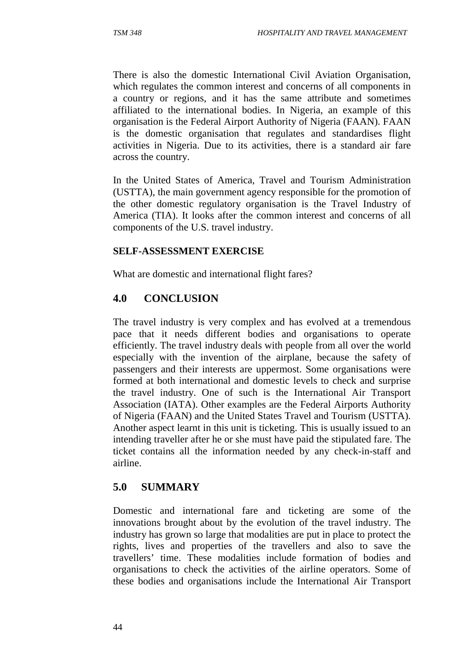There is also the domestic International Civil Aviation Organisation, which regulates the common interest and concerns of all components in a country or regions, and it has the same attribute and sometimes affiliated to the international bodies. In Nigeria, an example of this organisation is the Federal Airport Authority of Nigeria (FAAN). FAAN is the domestic organisation that regulates and standardises flight activities in Nigeria. Due to its activities, there is a standard air fare across the country.

In the United States of America, Travel and Tourism Administration (USTTA), the main government agency responsible for the promotion of the other domestic regulatory organisation is the Travel Industry of America (TIA). It looks after the common interest and concerns of all components of the U.S. travel industry.

#### **SELF-ASSESSMENT EXERCISE**

What are domestic and international flight fares?

# **4.0 CONCLUSION**

The travel industry is very complex and has evolved at a tremendous pace that it needs different bodies and organisations to operate efficiently. The travel industry deals with people from all over the world especially with the invention of the airplane, because the safety of passengers and their interests are uppermost. Some organisations were formed at both international and domestic levels to check and surprise the travel industry. One of such is the International Air Transport Association (IATA). Other examples are the Federal Airports Authority of Nigeria (FAAN) and the United States Travel and Tourism (USTTA). Another aspect learnt in this unit is ticketing. This is usually issued to an intending traveller after he or she must have paid the stipulated fare. The ticket contains all the information needed by any check-in-staff and airline.

# **5.0 SUMMARY**

Domestic and international fare and ticketing are some of the innovations brought about by the evolution of the travel industry. The industry has grown so large that modalities are put in place to protect the rights, lives and properties of the travellers and also to save the travellers' time. These modalities include formation of bodies and organisations to check the activities of the airline operators. Some of these bodies and organisations include the International Air Transport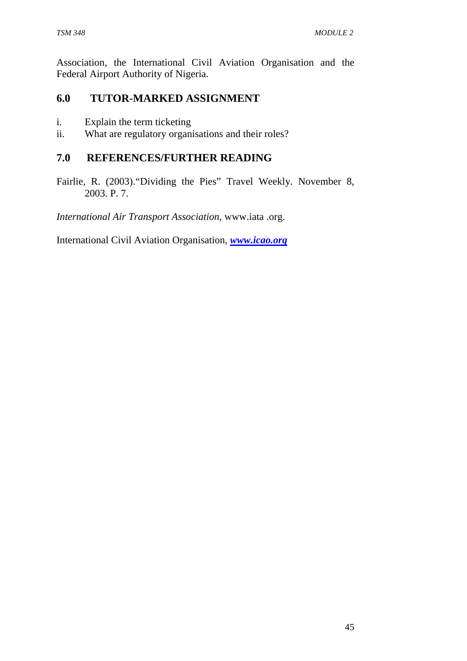Association, the International Civil Aviation Organisation and the Federal Airport Authority of Nigeria.

### **6.0 TUTOR-MARKED ASSIGNMENT**

- i. Explain the term ticketing
- ii. What are regulatory organisations and their roles?

### **7.0 REFERENCES/FURTHER READING**

Fairlie, R. (2003)."Dividing the Pies" Travel Weekly. November 8, 2003. P. 7.

*International Air Transport Association*, www.iata .org.

International Civil Aviation Organisation, *www.icao.org*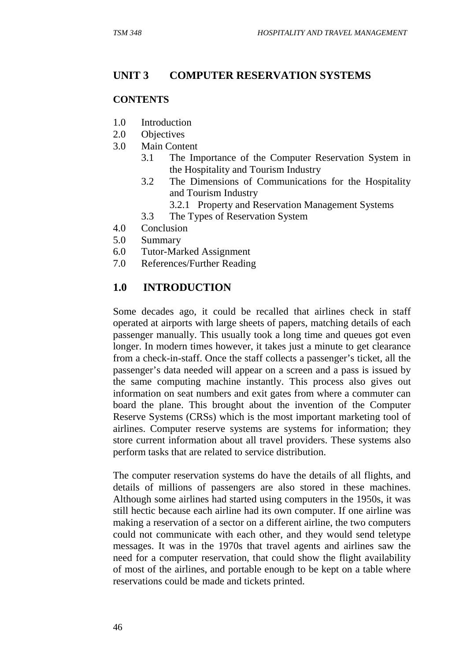### **UNIT 3 COMPUTER RESERVATION SYSTEMS**

#### **CONTENTS**

- 1.0 Introduction
- 2.0 Objectives
- 3.0 Main Content
	- 3.1 The Importance of the Computer Reservation System in the Hospitality and Tourism Industry
	- 3.2 The Dimensions of Communications for the Hospitality and Tourism Industry
		- 3.2.1 Property and Reservation Management Systems
	- 3.3 The Types of Reservation System
- 4.0 Conclusion
- 5.0 Summary
- 6.0 Tutor-Marked Assignment
- 7.0 References/Further Reading

### **1.0 INTRODUCTION**

Some decades ago, it could be recalled that airlines check in staff operated at airports with large sheets of papers, matching details of each passenger manually. This usually took a long time and queues got even longer. In modern times however, it takes just a minute to get clearance from a check-in-staff. Once the staff collects a passenger's ticket, all the passenger's data needed will appear on a screen and a pass is issued by the same computing machine instantly. This process also gives out information on seat numbers and exit gates from where a commuter can board the plane. This brought about the invention of the Computer Reserve Systems (CRSs) which is the most important marketing tool of airlines. Computer reserve systems are systems for information; they store current information about all travel providers. These systems also perform tasks that are related to service distribution.

The computer reservation systems do have the details of all flights, and details of millions of passengers are also stored in these machines. Although some airlines had started using computers in the 1950s, it was still hectic because each airline had its own computer. If one airline was making a reservation of a sector on a different airline, the two computers could not communicate with each other, and they would send teletype messages. It was in the 1970s that travel agents and airlines saw the need for a computer reservation, that could show the flight availability of most of the airlines, and portable enough to be kept on a table where reservations could be made and tickets printed.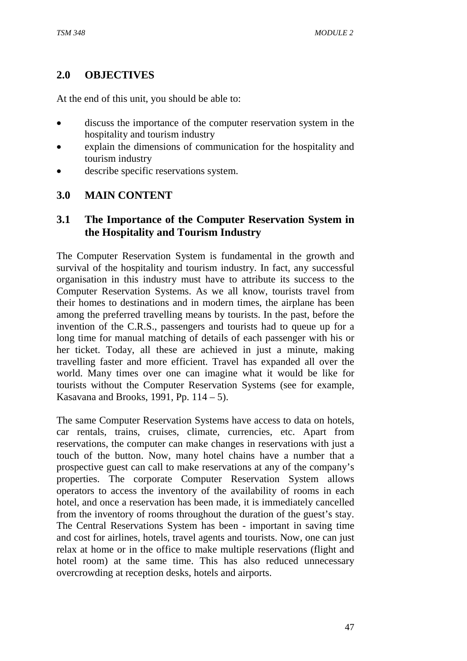# **2.0 OBJECTIVES**

At the end of this unit, you should be able to:

- discuss the importance of the computer reservation system in the hospitality and tourism industry
- explain the dimensions of communication for the hospitality and tourism industry
- describe specific reservations system.

### **3.0 MAIN CONTENT**

# **3.1 The Importance of the Computer Reservation System in the Hospitality and Tourism Industry**

The Computer Reservation System is fundamental in the growth and survival of the hospitality and tourism industry. In fact, any successful organisation in this industry must have to attribute its success to the Computer Reservation Systems. As we all know, tourists travel from their homes to destinations and in modern times, the airplane has been among the preferred travelling means by tourists. In the past, before the invention of the C.R.S., passengers and tourists had to queue up for a long time for manual matching of details of each passenger with his or her ticket. Today, all these are achieved in just a minute, making travelling faster and more efficient. Travel has expanded all over the world. Many times over one can imagine what it would be like for tourists without the Computer Reservation Systems (see for example, Kasavana and Brooks, 1991, Pp.  $114 - 5$ ).

The same Computer Reservation Systems have access to data on hotels, car rentals, trains, cruises, climate, currencies, etc. Apart from reservations, the computer can make changes in reservations with just a touch of the button. Now, many hotel chains have a number that a prospective guest can call to make reservations at any of the company's properties. The corporate Computer Reservation System allows operators to access the inventory of the availability of rooms in each hotel, and once a reservation has been made, it is immediately cancelled from the inventory of rooms throughout the duration of the guest's stay. The Central Reservations System has been - important in saving time and cost for airlines, hotels, travel agents and tourists. Now, one can just relax at home or in the office to make multiple reservations (flight and hotel room) at the same time. This has also reduced unnecessary overcrowding at reception desks, hotels and airports.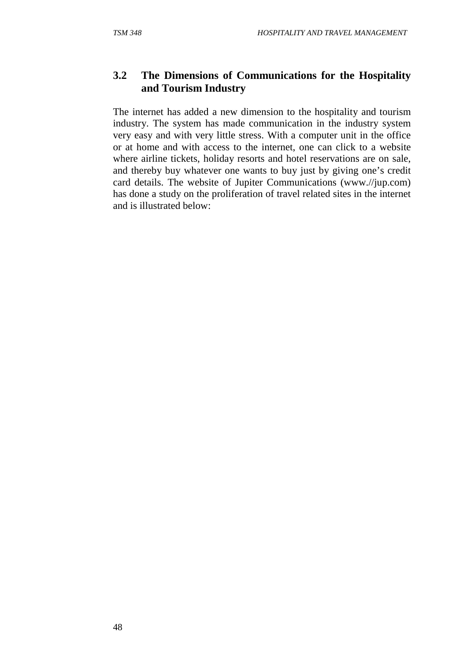# **3.2 The Dimensions of Communications for the Hospitality and Tourism Industry**

The internet has added a new dimension to the hospitality and tourism industry. The system has made communication in the industry system very easy and with very little stress. With a computer unit in the office or at home and with access to the internet, one can click to a website where airline tickets, holiday resorts and hotel reservations are on sale, and thereby buy whatever one wants to buy just by giving one's credit card details. The website of Jupiter Communications (www.//jup.com) has done a study on the proliferation of travel related sites in the internet and is illustrated below: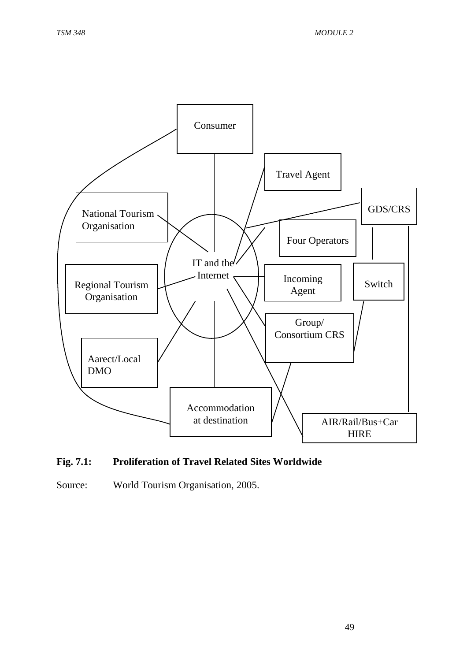

#### **Fig. 7.1: Proliferation of Travel Related Sites Worldwide**

Source: World Tourism Organisation, 2005.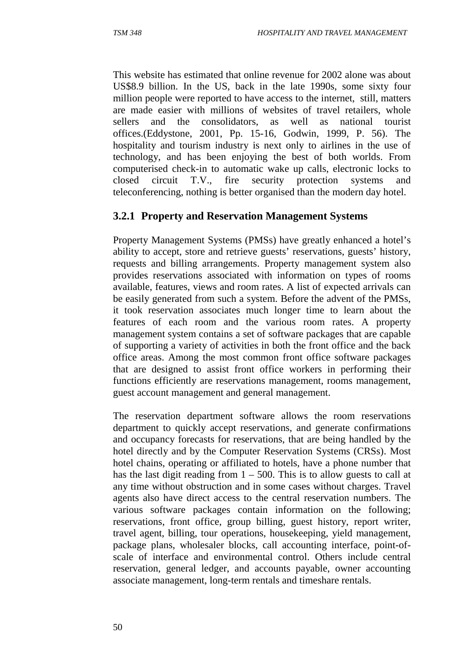This website has estimated that online revenue for 2002 alone was about US\$8.9 billion. In the US, back in the late 1990s, some sixty four million people were reported to have access to the internet, still, matters are made easier with millions of websites of travel retailers, whole sellers and the consolidators, as well as national tourist offices.(Eddystone, 2001, Pp. 15-16, Godwin, 1999, P. 56). The hospitality and tourism industry is next only to airlines in the use of technology, and has been enjoying the best of both worlds. From computerised check-in to automatic wake up calls, electronic locks to closed circuit T.V., fire security protection systems and teleconferencing, nothing is better organised than the modern day hotel.

# **3.2.1 Property and Reservation Management Systems**

Property Management Systems (PMSs) have greatly enhanced a hotel's ability to accept, store and retrieve guests' reservations, guests' history, requests and billing arrangements. Property management system also provides reservations associated with information on types of rooms available, features, views and room rates. A list of expected arrivals can be easily generated from such a system. Before the advent of the PMSs, it took reservation associates much longer time to learn about the features of each room and the various room rates. A property management system contains a set of software packages that are capable of supporting a variety of activities in both the front office and the back office areas. Among the most common front office software packages that are designed to assist front office workers in performing their functions efficiently are reservations management, rooms management, guest account management and general management.

The reservation department software allows the room reservations department to quickly accept reservations, and generate confirmations and occupancy forecasts for reservations, that are being handled by the hotel directly and by the Computer Reservation Systems (CRSs). Most hotel chains, operating or affiliated to hotels, have a phone number that has the last digit reading from  $1 - 500$ . This is to allow guests to call at any time without obstruction and in some cases without charges. Travel agents also have direct access to the central reservation numbers. The various software packages contain information on the following; reservations, front office, group billing, guest history, report writer, travel agent, billing, tour operations, housekeeping, yield management, package plans, wholesaler blocks, call accounting interface, point-ofscale of interface and environmental control. Others include central reservation, general ledger, and accounts payable, owner accounting associate management, long-term rentals and timeshare rentals.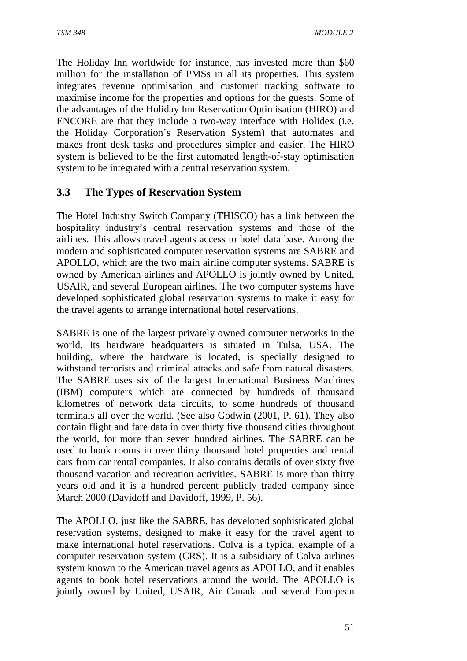The Holiday Inn worldwide for instance, has invested more than \$60 million for the installation of PMSs in all its properties. This system integrates revenue optimisation and customer tracking software to maximise income for the properties and options for the guests. Some of the advantages of the Holiday Inn Reservation Optimisation (HIRO) and ENCORE are that they include a two-way interface with Holidex (i.e. the Holiday Corporation's Reservation System) that automates and makes front desk tasks and procedures simpler and easier. The HIRO system is believed to be the first automated length-of-stay optimisation system to be integrated with a central reservation system.

# **3.3 The Types of Reservation System**

The Hotel Industry Switch Company (THISCO) has a link between the hospitality industry's central reservation systems and those of the airlines. This allows travel agents access to hotel data base. Among the modern and sophisticated computer reservation systems are SABRE and APOLLO, which are the two main airline computer systems. SABRE is owned by American airlines and APOLLO is jointly owned by United, USAIR, and several European airlines. The two computer systems have developed sophisticated global reservation systems to make it easy for the travel agents to arrange international hotel reservations.

SABRE is one of the largest privately owned computer networks in the world. Its hardware headquarters is situated in Tulsa, USA. The building, where the hardware is located, is specially designed to withstand terrorists and criminal attacks and safe from natural disasters. The SABRE uses six of the largest International Business Machines (IBM) computers which are connected by hundreds of thousand kilometres of network data circuits, to some hundreds of thousand terminals all over the world. (See also Godwin (2001, P. 61). They also contain flight and fare data in over thirty five thousand cities throughout the world, for more than seven hundred airlines. The SABRE can be used to book rooms in over thirty thousand hotel properties and rental cars from car rental companies. It also contains details of over sixty five thousand vacation and recreation activities. SABRE is more than thirty years old and it is a hundred percent publicly traded company since March 2000.(Davidoff and Davidoff, 1999, P. 56).

The APOLLO, just like the SABRE, has developed sophisticated global reservation systems, designed to make it easy for the travel agent to make international hotel reservations. Colva is a typical example of a computer reservation system (CRS). It is a subsidiary of Colva airlines system known to the American travel agents as APOLLO, and it enables agents to book hotel reservations around the world. The APOLLO is jointly owned by United, USAIR, Air Canada and several European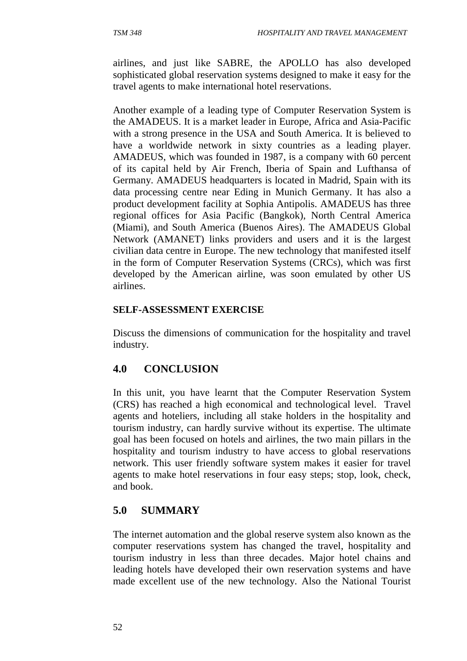airlines, and just like SABRE, the APOLLO has also developed sophisticated global reservation systems designed to make it easy for the travel agents to make international hotel reservations.

Another example of a leading type of Computer Reservation System is the AMADEUS. It is a market leader in Europe, Africa and Asia-Pacific with a strong presence in the USA and South America. It is believed to have a worldwide network in sixty countries as a leading player. AMADEUS, which was founded in 1987, is a company with 60 percent of its capital held by Air French, Iberia of Spain and Lufthansa of Germany. AMADEUS headquarters is located in Madrid, Spain with its data processing centre near Eding in Munich Germany. It has also a product development facility at Sophia Antipolis. AMADEUS has three regional offices for Asia Pacific (Bangkok), North Central America (Miami), and South America (Buenos Aires). The AMADEUS Global Network (AMANET) links providers and users and it is the largest civilian data centre in Europe. The new technology that manifested itself in the form of Computer Reservation Systems (CRCs), which was first developed by the American airline, was soon emulated by other US airlines.

#### **SELF-ASSESSMENT EXERCISE**

Discuss the dimensions of communication for the hospitality and travel industry.

# **4.0 CONCLUSION**

In this unit, you have learnt that the Computer Reservation System (CRS) has reached a high economical and technological level. Travel agents and hoteliers, including all stake holders in the hospitality and tourism industry, can hardly survive without its expertise. The ultimate goal has been focused on hotels and airlines, the two main pillars in the hospitality and tourism industry to have access to global reservations network. This user friendly software system makes it easier for travel agents to make hotel reservations in four easy steps; stop, look, check, and book.

# **5.0 SUMMARY**

The internet automation and the global reserve system also known as the computer reservations system has changed the travel, hospitality and tourism industry in less than three decades. Major hotel chains and leading hotels have developed their own reservation systems and have made excellent use of the new technology. Also the National Tourist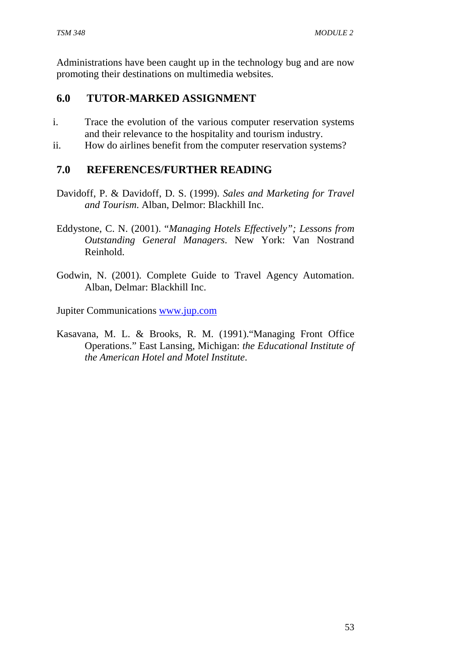Administrations have been caught up in the technology bug and are now promoting their destinations on multimedia websites.

# **6.0 TUTOR-MARKED ASSIGNMENT**

- i. Trace the evolution of the various computer reservation systems and their relevance to the hospitality and tourism industry.
- ii. How do airlines benefit from the computer reservation systems?

### **7.0 REFERENCES/FURTHER READING**

- Davidoff, P. & Davidoff, D. S. (1999). *Sales and Marketing for Travel and Tourism*. Alban, Delmor: Blackhill Inc.
- Eddystone, C. N. (2001). "*Managing Hotels Effectively"; Lessons from Outstanding General Managers*. New York: Van Nostrand Reinhold.
- Godwin, N. (2001). Complete Guide to Travel Agency Automation. Alban, Delmar: Blackhill Inc.

Jupiter Communications www.jup.com

Kasavana, M. L. & Brooks, R. M. (1991)."Managing Front Office Operations." East Lansing, Michigan: *the Educational Institute of the American Hotel and Motel Institute*.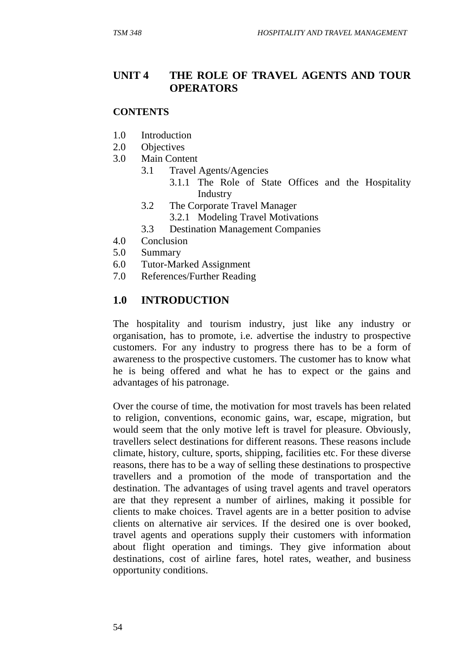### **UNIT 4 THE ROLE OF TRAVEL AGENTS AND TOUR OPERATORS**

#### **CONTENTS**

- 1.0 Introduction
- 2.0 Objectives
- 3.0 Main Content
	- 3.1 Travel Agents/Agencies
		- 3.1.1 The Role of State Offices and the Hospitality Industry
	- 3.2 The Corporate Travel Manager
		- 3.2.1 Modeling Travel Motivations
	- 3.3 Destination Management Companies
- 4.0 Conclusion
- 5.0 Summary
- 6.0 Tutor-Marked Assignment
- 7.0 References/Further Reading

#### **1.0 INTRODUCTION**

The hospitality and tourism industry, just like any industry or organisation, has to promote, i.e. advertise the industry to prospective customers. For any industry to progress there has to be a form of awareness to the prospective customers. The customer has to know what he is being offered and what he has to expect or the gains and advantages of his patronage.

Over the course of time, the motivation for most travels has been related to religion, conventions, economic gains, war, escape, migration, but would seem that the only motive left is travel for pleasure. Obviously, travellers select destinations for different reasons. These reasons include climate, history, culture, sports, shipping, facilities etc. For these diverse reasons, there has to be a way of selling these destinations to prospective travellers and a promotion of the mode of transportation and the destination. The advantages of using travel agents and travel operators are that they represent a number of airlines, making it possible for clients to make choices. Travel agents are in a better position to advise clients on alternative air services. If the desired one is over booked, travel agents and operations supply their customers with information about flight operation and timings. They give information about destinations, cost of airline fares, hotel rates, weather, and business opportunity conditions.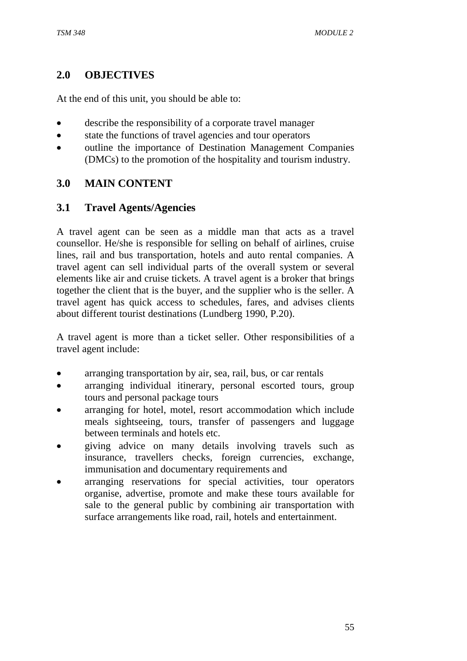### **2.0 OBJECTIVES**

At the end of this unit, you should be able to:

- describe the responsibility of a corporate travel manager
- state the functions of travel agencies and tour operators
- outline the importance of Destination Management Companies (DMCs) to the promotion of the hospitality and tourism industry.

# **3.0 MAIN CONTENT**

### **3.1 Travel Agents/Agencies**

A travel agent can be seen as a middle man that acts as a travel counsellor. He/she is responsible for selling on behalf of airlines, cruise lines, rail and bus transportation, hotels and auto rental companies. A travel agent can sell individual parts of the overall system or several elements like air and cruise tickets. A travel agent is a broker that brings together the client that is the buyer, and the supplier who is the seller. A travel agent has quick access to schedules, fares, and advises clients about different tourist destinations (Lundberg 1990, P.20).

A travel agent is more than a ticket seller. Other responsibilities of a travel agent include:

- arranging transportation by air, sea, rail, bus, or car rentals
- arranging individual itinerary, personal escorted tours, group tours and personal package tours
- arranging for hotel, motel, resort accommodation which include meals sightseeing, tours, transfer of passengers and luggage between terminals and hotels etc.
- giving advice on many details involving travels such as insurance, travellers checks, foreign currencies, exchange, immunisation and documentary requirements and
- arranging reservations for special activities, tour operators organise, advertise, promote and make these tours available for sale to the general public by combining air transportation with surface arrangements like road, rail, hotels and entertainment.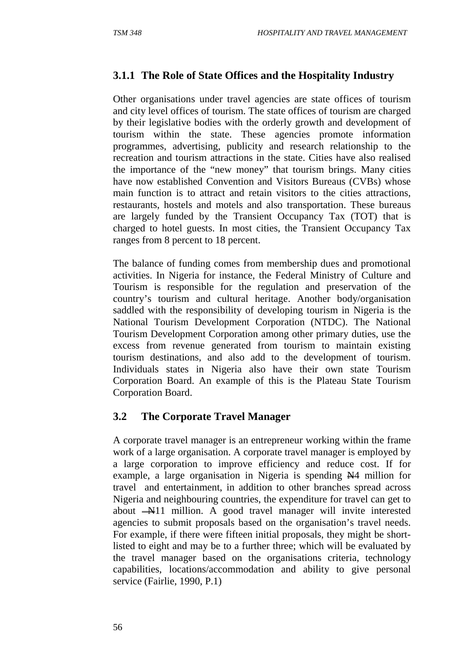# **3.1.1 The Role of State Offices and the Hospitality Industry**

Other organisations under travel agencies are state offices of tourism and city level offices of tourism. The state offices of tourism are charged by their legislative bodies with the orderly growth and development of tourism within the state. These agencies promote information programmes, advertising, publicity and research relationship to the recreation and tourism attractions in the state. Cities have also realised the importance of the "new money" that tourism brings. Many cities have now established Convention and Visitors Bureaus (CVBs) whose main function is to attract and retain visitors to the cities attractions, restaurants, hostels and motels and also transportation. These bureaus are largely funded by the Transient Occupancy Tax (TOT) that is charged to hotel guests. In most cities, the Transient Occupancy Tax ranges from 8 percent to 18 percent.

The balance of funding comes from membership dues and promotional activities. In Nigeria for instance, the Federal Ministry of Culture and Tourism is responsible for the regulation and preservation of the country's tourism and cultural heritage. Another body/organisation saddled with the responsibility of developing tourism in Nigeria is the National Tourism Development Corporation (NTDC). The National Tourism Development Corporation among other primary duties, use the excess from revenue generated from tourism to maintain existing tourism destinations, and also add to the development of tourism. Individuals states in Nigeria also have their own state Tourism Corporation Board. An example of this is the Plateau State Tourism Corporation Board.

### **3.2 The Corporate Travel Manager**

A corporate travel manager is an entrepreneur working within the frame work of a large organisation. A corporate travel manager is employed by a large corporation to improve efficiency and reduce cost. If for example, a large organisation in Nigeria is spending  $\mathbb{N}4$  million for travel and entertainment, in addition to other branches spread across Nigeria and neighbouring countries, the expenditure for travel can get to about  $-M11$  million. A good travel manager will invite interested agencies to submit proposals based on the organisation's travel needs. For example, if there were fifteen initial proposals, they might be shortlisted to eight and may be to a further three; which will be evaluated by the travel manager based on the organisations criteria, technology capabilities, locations/accommodation and ability to give personal service (Fairlie, 1990, P.1)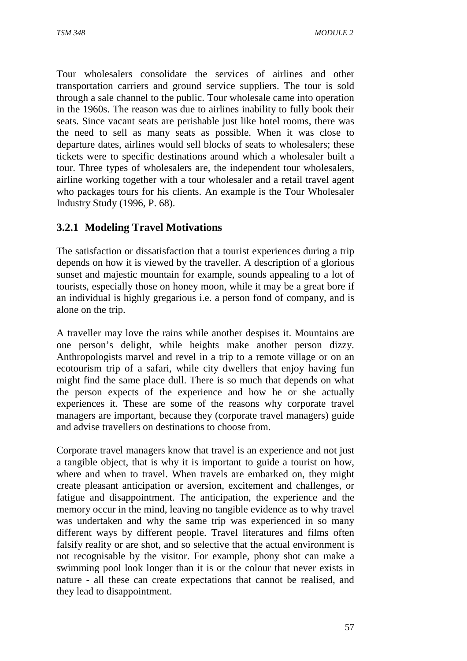Tour wholesalers consolidate the services of airlines and other transportation carriers and ground service suppliers. The tour is sold through a sale channel to the public. Tour wholesale came into operation in the 1960s. The reason was due to airlines inability to fully book their seats. Since vacant seats are perishable just like hotel rooms, there was the need to sell as many seats as possible. When it was close to departure dates, airlines would sell blocks of seats to wholesalers; these tickets were to specific destinations around which a wholesaler built a tour. Three types of wholesalers are, the independent tour wholesalers, airline working together with a tour wholesaler and a retail travel agent who packages tours for his clients. An example is the Tour Wholesaler Industry Study (1996, P. 68).

### **3.2.1 Modeling Travel Motivations**

The satisfaction or dissatisfaction that a tourist experiences during a trip depends on how it is viewed by the traveller. A description of a glorious sunset and majestic mountain for example, sounds appealing to a lot of tourists, especially those on honey moon, while it may be a great bore if an individual is highly gregarious i.e. a person fond of company, and is alone on the trip.

A traveller may love the rains while another despises it. Mountains are one person's delight, while heights make another person dizzy. Anthropologists marvel and revel in a trip to a remote village or on an ecotourism trip of a safari, while city dwellers that enjoy having fun might find the same place dull. There is so much that depends on what the person expects of the experience and how he or she actually experiences it. These are some of the reasons why corporate travel managers are important, because they (corporate travel managers) guide and advise travellers on destinations to choose from.

Corporate travel managers know that travel is an experience and not just a tangible object, that is why it is important to guide a tourist on how, where and when to travel. When travels are embarked on, they might create pleasant anticipation or aversion, excitement and challenges, or fatigue and disappointment. The anticipation, the experience and the memory occur in the mind, leaving no tangible evidence as to why travel was undertaken and why the same trip was experienced in so many different ways by different people. Travel literatures and films often falsify reality or are shot, and so selective that the actual environment is not recognisable by the visitor. For example, phony shot can make a swimming pool look longer than it is or the colour that never exists in nature - all these can create expectations that cannot be realised, and they lead to disappointment.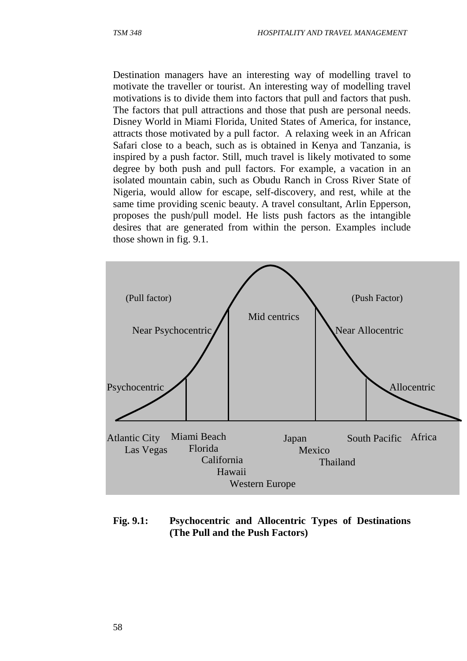Destination managers have an interesting way of modelling travel to motivate the traveller or tourist. An interesting way of modelling travel motivations is to divide them into factors that pull and factors that push. The factors that pull attractions and those that push are personal needs. Disney World in Miami Florida, United States of America, for instance, attracts those motivated by a pull factor. A relaxing week in an African Safari close to a beach, such as is obtained in Kenya and Tanzania, is inspired by a push factor. Still, much travel is likely motivated to some degree by both push and pull factors. For example, a vacation in an isolated mountain cabin, such as Obudu Ranch in Cross River State of Nigeria, would allow for escape, self-discovery, and rest, while at the same time providing scenic beauty. A travel consultant, Arlin Epperson, proposes the push/pull model. He lists push factors as the intangible desires that are generated from within the person. Examples include those shown in fig. 9.1.



**Fig. 9.1: Psychocentric and Allocentric Types of Destinations (The Pull and the Push Factors)**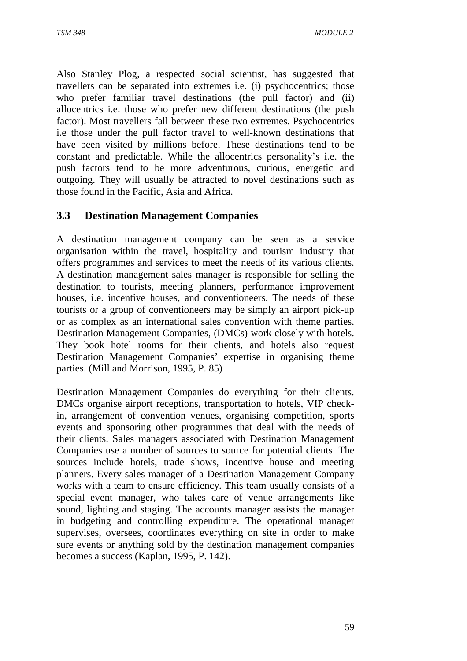Also Stanley Plog, a respected social scientist, has suggested that travellers can be separated into extremes i.e. (i) psychocentrics; those who prefer familiar travel destinations (the pull factor) and (ii) allocentrics i.e. those who prefer new different destinations (the push factor). Most travellers fall between these two extremes. Psychocentrics i.e those under the pull factor travel to well-known destinations that have been visited by millions before. These destinations tend to be constant and predictable. While the allocentrics personality's i.e. the push factors tend to be more adventurous, curious, energetic and outgoing. They will usually be attracted to novel destinations such as those found in the Pacific, Asia and Africa.

### **3.3 Destination Management Companies**

A destination management company can be seen as a service organisation within the travel, hospitality and tourism industry that offers programmes and services to meet the needs of its various clients. A destination management sales manager is responsible for selling the destination to tourists, meeting planners, performance improvement houses, i.e. incentive houses, and conventioneers. The needs of these tourists or a group of conventioneers may be simply an airport pick-up or as complex as an international sales convention with theme parties. Destination Management Companies, (DMCs) work closely with hotels. They book hotel rooms for their clients, and hotels also request Destination Management Companies' expertise in organising theme parties. (Mill and Morrison, 1995, P. 85)

Destination Management Companies do everything for their clients. DMCs organise airport receptions, transportation to hotels, VIP checkin, arrangement of convention venues, organising competition, sports events and sponsoring other programmes that deal with the needs of their clients. Sales managers associated with Destination Management Companies use a number of sources to source for potential clients. The sources include hotels, trade shows, incentive house and meeting planners. Every sales manager of a Destination Management Company works with a team to ensure efficiency. This team usually consists of a special event manager, who takes care of venue arrangements like sound, lighting and staging. The accounts manager assists the manager in budgeting and controlling expenditure. The operational manager supervises, oversees, coordinates everything on site in order to make sure events or anything sold by the destination management companies becomes a success (Kaplan, 1995, P. 142).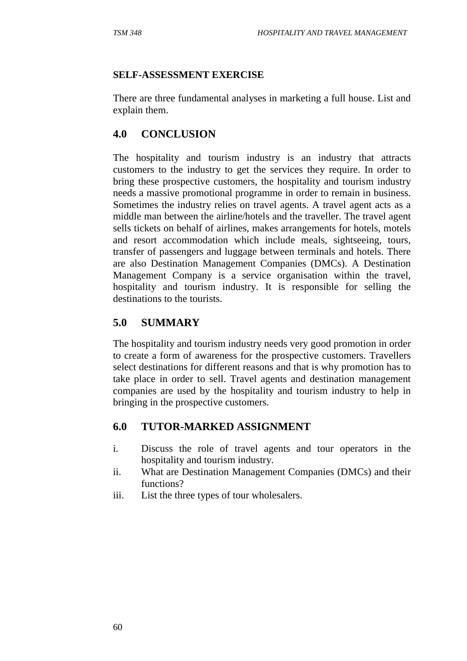#### **SELF-ASSESSMENT EXERCISE**

There are three fundamental analyses in marketing a full house. List and explain them.

### **4.0 CONCLUSION**

The hospitality and tourism industry is an industry that attracts customers to the industry to get the services they require. In order to bring these prospective customers, the hospitality and tourism industry needs a massive promotional programme in order to remain in business. Sometimes the industry relies on travel agents. A travel agent acts as a middle man between the airline/hotels and the traveller. The travel agent sells tickets on behalf of airlines, makes arrangements for hotels, motels and resort accommodation which include meals, sightseeing, tours, transfer of passengers and luggage between terminals and hotels. There are also Destination Management Companies (DMCs). A Destination Management Company is a service organisation within the travel, hospitality and tourism industry. It is responsible for selling the destinations to the tourists.

### **5.0 SUMMARY**

The hospitality and tourism industry needs very good promotion in order to create a form of awareness for the prospective customers. Travellers select destinations for different reasons and that is why promotion has to take place in order to sell. Travel agents and destination management companies are used by the hospitality and tourism industry to help in bringing in the prospective customers.

### **6.0 TUTOR-MARKED ASSIGNMENT**

- i. Discuss the role of travel agents and tour operators in the hospitality and tourism industry.
- ii. What are Destination Management Companies (DMCs) and their functions?
- iii. List the three types of tour wholesalers.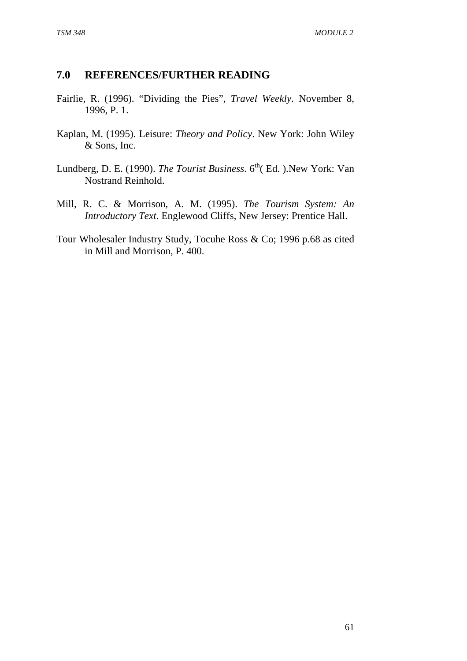### **7.0 REFERENCES/FURTHER READING**

- Fairlie, R. (1996). "Dividing the Pies", *Travel Weekly.* November 8, 1996, P. 1.
- Kaplan, M. (1995). Leisure: *Theory and Policy*. New York: John Wiley & Sons, Inc.
- Lundberg, D. E. (1990). *The Tourist Business*. 6<sup>th</sup>(Ed. ).New York: Van Nostrand Reinhold.
- Mill, R. C. & Morrison, A. M. (1995). *The Tourism System: An Introductory Text*. Englewood Cliffs, New Jersey: Prentice Hall.
- Tour Wholesaler Industry Study, Tocuhe Ross & Co; 1996 p.68 as cited in Mill and Morrison, P. 400.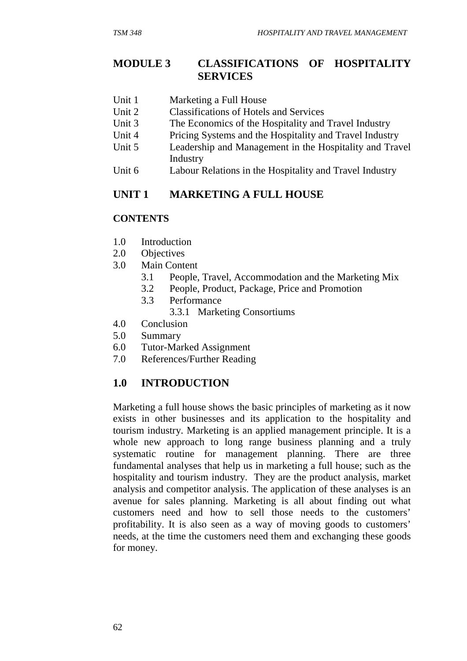### **MODULE 3 CLASSIFICATIONS OF HOSPITALITY SERVICES**

- Unit 1 Marketing a Full House
- Unit 2 Classifications of Hotels and Services
- Unit 3 The Economics of the Hospitality and Travel Industry
- Unit 4 Pricing Systems and the Hospitality and Travel Industry
- Unit 5 Leadership and Management in the Hospitality and Travel Industry
- Unit 6 Labour Relations in the Hospitality and Travel Industry

## **UNIT 1 MARKETING A FULL HOUSE**

### **CONTENTS**

- 1.0 Introduction
- 2.0 Objectives
- 3.0 Main Content
	- 3.1 People, Travel, Accommodation and the Marketing Mix
	- 3.2 People, Product, Package, Price and Promotion
	- 3.3 Performance
		- 3.3.1 Marketing Consortiums
- 4.0 Conclusion
- 5.0 Summary
- 6.0 Tutor-Marked Assignment
- 7.0 References/Further Reading

## **1.0 INTRODUCTION**

Marketing a full house shows the basic principles of marketing as it now exists in other businesses and its application to the hospitality and tourism industry. Marketing is an applied management principle. It is a whole new approach to long range business planning and a truly systematic routine for management planning. There are three fundamental analyses that help us in marketing a full house; such as the hospitality and tourism industry. They are the product analysis, market analysis and competitor analysis. The application of these analyses is an avenue for sales planning. Marketing is all about finding out what customers need and how to sell those needs to the customers' profitability. It is also seen as a way of moving goods to customers' needs, at the time the customers need them and exchanging these goods for money.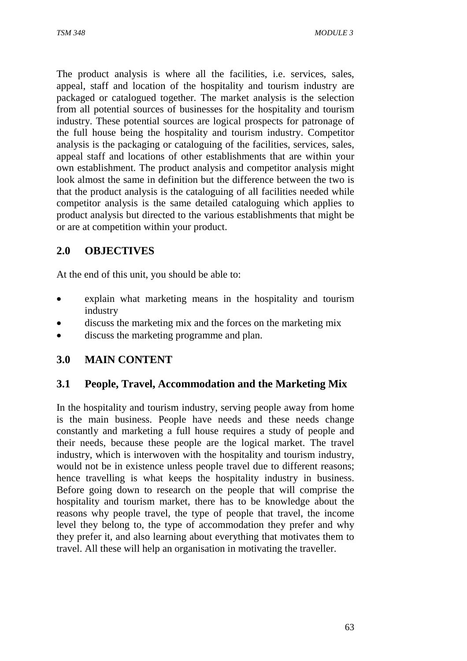The product analysis is where all the facilities, i.e. services, sales, appeal, staff and location of the hospitality and tourism industry are packaged or catalogued together. The market analysis is the selection from all potential sources of businesses for the hospitality and tourism industry. These potential sources are logical prospects for patronage of the full house being the hospitality and tourism industry. Competitor analysis is the packaging or cataloguing of the facilities, services, sales, appeal staff and locations of other establishments that are within your own establishment. The product analysis and competitor analysis might look almost the same in definition but the difference between the two is that the product analysis is the cataloguing of all facilities needed while competitor analysis is the same detailed cataloguing which applies to product analysis but directed to the various establishments that might be or are at competition within your product.

# **2.0 OBJECTIVES**

At the end of this unit, you should be able to:

- explain what marketing means in the hospitality and tourism industry
- discuss the marketing mix and the forces on the marketing mix
- discuss the marketing programme and plan.

## **3.0 MAIN CONTENT**

### **3.1 People, Travel, Accommodation and the Marketing Mix**

In the hospitality and tourism industry, serving people away from home is the main business. People have needs and these needs change constantly and marketing a full house requires a study of people and their needs, because these people are the logical market. The travel industry, which is interwoven with the hospitality and tourism industry, would not be in existence unless people travel due to different reasons; hence travelling is what keeps the hospitality industry in business. Before going down to research on the people that will comprise the hospitality and tourism market, there has to be knowledge about the reasons why people travel, the type of people that travel, the income level they belong to, the type of accommodation they prefer and why they prefer it, and also learning about everything that motivates them to travel. All these will help an organisation in motivating the traveller.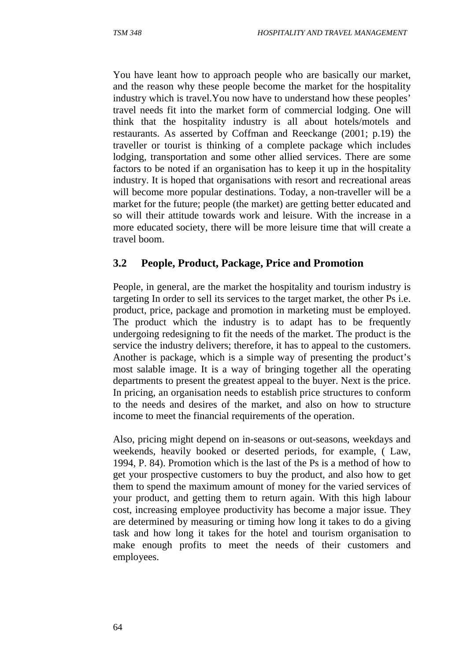You have leant how to approach people who are basically our market, and the reason why these people become the market for the hospitality industry which is travel.You now have to understand how these peoples' travel needs fit into the market form of commercial lodging. One will think that the hospitality industry is all about hotels/motels and restaurants. As asserted by Coffman and Reeckange (2001; p.19) the traveller or tourist is thinking of a complete package which includes lodging, transportation and some other allied services. There are some factors to be noted if an organisation has to keep it up in the hospitality industry. It is hoped that organisations with resort and recreational areas will become more popular destinations. Today, a non-traveller will be a market for the future; people (the market) are getting better educated and so will their attitude towards work and leisure. With the increase in a more educated society, there will be more leisure time that will create a travel boom.

### **3.2 People, Product, Package, Price and Promotion**

People, in general, are the market the hospitality and tourism industry is targeting In order to sell its services to the target market, the other Ps i.e. product, price, package and promotion in marketing must be employed. The product which the industry is to adapt has to be frequently undergoing redesigning to fit the needs of the market. The product is the service the industry delivers; therefore, it has to appeal to the customers. Another is package, which is a simple way of presenting the product's most salable image. It is a way of bringing together all the operating departments to present the greatest appeal to the buyer. Next is the price. In pricing, an organisation needs to establish price structures to conform to the needs and desires of the market, and also on how to structure income to meet the financial requirements of the operation.

Also, pricing might depend on in-seasons or out-seasons, weekdays and weekends, heavily booked or deserted periods, for example, ( Law, 1994, P. 84). Promotion which is the last of the Ps is a method of how to get your prospective customers to buy the product, and also how to get them to spend the maximum amount of money for the varied services of your product, and getting them to return again. With this high labour cost, increasing employee productivity has become a major issue. They are determined by measuring or timing how long it takes to do a giving task and how long it takes for the hotel and tourism organisation to make enough profits to meet the needs of their customers and employees.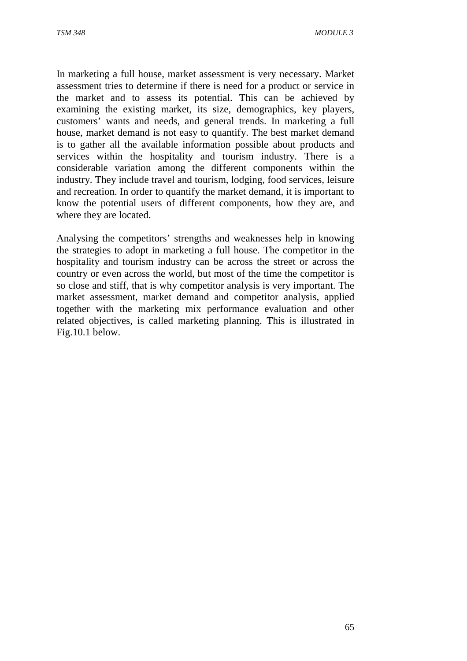In marketing a full house, market assessment is very necessary. Market assessment tries to determine if there is need for a product or service in the market and to assess its potential. This can be achieved by examining the existing market, its size, demographics, key players, customers' wants and needs, and general trends. In marketing a full house, market demand is not easy to quantify. The best market demand is to gather all the available information possible about products and services within the hospitality and tourism industry. There is a considerable variation among the different components within the industry. They include travel and tourism, lodging, food services, leisure and recreation. In order to quantify the market demand, it is important to know the potential users of different components, how they are, and where they are located.

Analysing the competitors' strengths and weaknesses help in knowing the strategies to adopt in marketing a full house. The competitor in the hospitality and tourism industry can be across the street or across the country or even across the world, but most of the time the competitor is so close and stiff, that is why competitor analysis is very important. The market assessment, market demand and competitor analysis, applied together with the marketing mix performance evaluation and other related objectives, is called marketing planning. This is illustrated in Fig.10.1 below.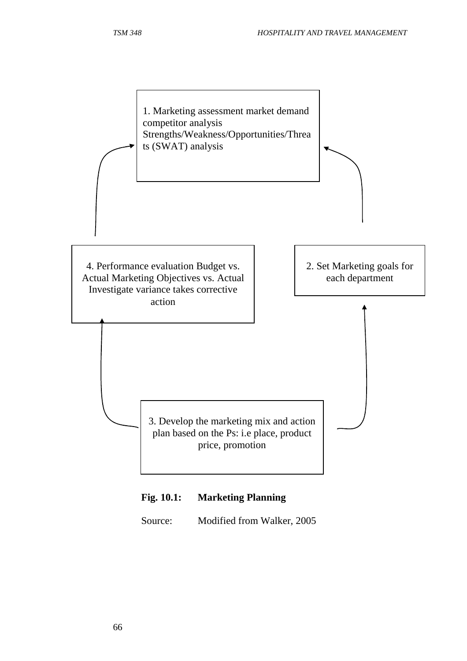

## **Fig. 10.1: Marketing Planning**

Source: Modified from Walker, 2005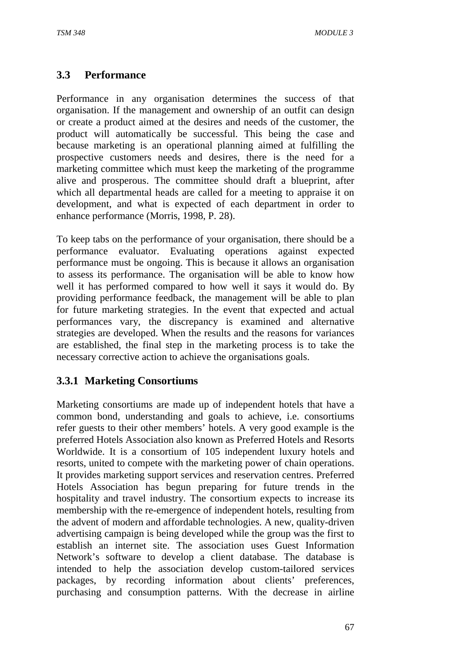## **3.3 Performance**

Performance in any organisation determines the success of that organisation. If the management and ownership of an outfit can design or create a product aimed at the desires and needs of the customer, the product will automatically be successful. This being the case and because marketing is an operational planning aimed at fulfilling the prospective customers needs and desires, there is the need for a marketing committee which must keep the marketing of the programme alive and prosperous. The committee should draft a blueprint, after which all departmental heads are called for a meeting to appraise it on development, and what is expected of each department in order to enhance performance (Morris, 1998, P. 28).

To keep tabs on the performance of your organisation, there should be a performance evaluator. Evaluating operations against expected performance must be ongoing. This is because it allows an organisation to assess its performance. The organisation will be able to know how well it has performed compared to how well it says it would do. By providing performance feedback, the management will be able to plan for future marketing strategies. In the event that expected and actual performances vary, the discrepancy is examined and alternative strategies are developed. When the results and the reasons for variances are established, the final step in the marketing process is to take the necessary corrective action to achieve the organisations goals.

## **3.3.1 Marketing Consortiums**

Marketing consortiums are made up of independent hotels that have a common bond, understanding and goals to achieve, i.e. consortiums refer guests to their other members' hotels. A very good example is the preferred Hotels Association also known as Preferred Hotels and Resorts Worldwide. It is a consortium of 105 independent luxury hotels and resorts, united to compete with the marketing power of chain operations. It provides marketing support services and reservation centres. Preferred Hotels Association has begun preparing for future trends in the hospitality and travel industry. The consortium expects to increase its membership with the re-emergence of independent hotels, resulting from the advent of modern and affordable technologies. A new, quality-driven advertising campaign is being developed while the group was the first to establish an internet site. The association uses Guest Information Network's software to develop a client database. The database is intended to help the association develop custom-tailored services packages, by recording information about clients' preferences, purchasing and consumption patterns. With the decrease in airline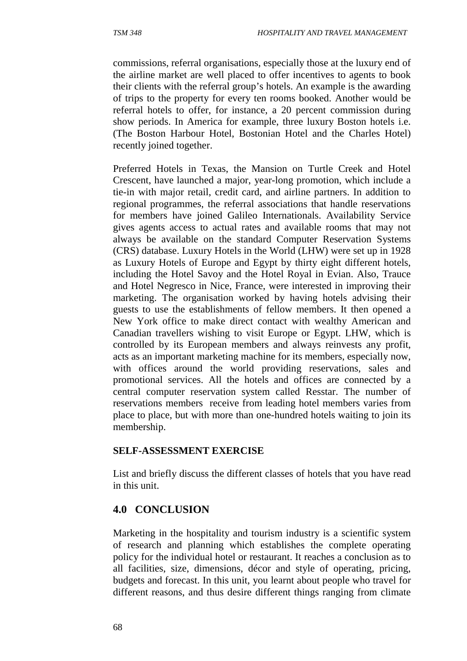commissions, referral organisations, especially those at the luxury end of the airline market are well placed to offer incentives to agents to book their clients with the referral group's hotels. An example is the awarding of trips to the property for every ten rooms booked. Another would be referral hotels to offer, for instance, a 20 percent commission during show periods. In America for example, three luxury Boston hotels i.e. (The Boston Harbour Hotel, Bostonian Hotel and the Charles Hotel) recently joined together.

Preferred Hotels in Texas, the Mansion on Turtle Creek and Hotel Crescent, have launched a major, year-long promotion, which include a tie-in with major retail, credit card, and airline partners. In addition to regional programmes, the referral associations that handle reservations for members have joined Galileo Internationals. Availability Service gives agents access to actual rates and available rooms that may not always be available on the standard Computer Reservation Systems (CRS) database. Luxury Hotels in the World (LHW) were set up in 1928 as Luxury Hotels of Europe and Egypt by thirty eight different hotels, including the Hotel Savoy and the Hotel Royal in Evian. Also, Trauce and Hotel Negresco in Nice, France, were interested in improving their marketing. The organisation worked by having hotels advising their guests to use the establishments of fellow members. It then opened a New York office to make direct contact with wealthy American and Canadian travellers wishing to visit Europe or Egypt. LHW, which is controlled by its European members and always reinvests any profit, acts as an important marketing machine for its members, especially now, with offices around the world providing reservations, sales and promotional services. All the hotels and offices are connected by a central computer reservation system called Resstar. The number of reservations members receive from leading hotel members varies from place to place, but with more than one-hundred hotels waiting to join its membership.

#### **SELF-ASSESSMENT EXERCISE**

List and briefly discuss the different classes of hotels that you have read in this unit.

## **4.0 CONCLUSION**

Marketing in the hospitality and tourism industry is a scientific system of research and planning which establishes the complete operating policy for the individual hotel or restaurant. It reaches a conclusion as to all facilities, size, dimensions, décor and style of operating, pricing, budgets and forecast. In this unit, you learnt about people who travel for different reasons, and thus desire different things ranging from climate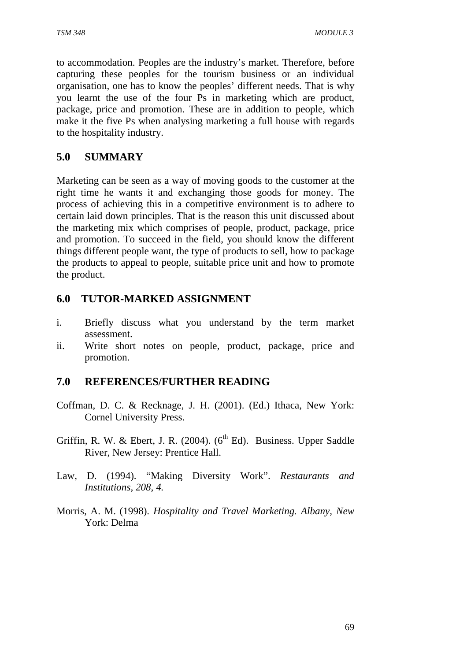to accommodation. Peoples are the industry's market. Therefore, before capturing these peoples for the tourism business or an individual organisation, one has to know the peoples' different needs. That is why you learnt the use of the four Ps in marketing which are product, package, price and promotion. These are in addition to people, which make it the five Ps when analysing marketing a full house with regards to the hospitality industry.

### **5.0 SUMMARY**

Marketing can be seen as a way of moving goods to the customer at the right time he wants it and exchanging those goods for money. The process of achieving this in a competitive environment is to adhere to certain laid down principles. That is the reason this unit discussed about the marketing mix which comprises of people, product, package, price and promotion. To succeed in the field, you should know the different things different people want, the type of products to sell, how to package the products to appeal to people, suitable price unit and how to promote the product.

### **6.0 TUTOR-MARKED ASSIGNMENT**

- i. Briefly discuss what you understand by the term market assessment.
- ii. Write short notes on people, product, package, price and promotion.

### **7.0 REFERENCES/FURTHER READING**

- Coffman, D. C. & Recknage, J. H. (2001). (Ed.) Ithaca, New York: Cornel University Press.
- Griffin, R. W. & Ebert, J. R. (2004).  $(6^{th}$  Ed). Business. Upper Saddle River, New Jersey: Prentice Hall.
- Law, D. (1994). "Making Diversity Work". *Restaurants and Institutions, 208, 4.*
- Morris, A. M. (1998). *Hospitality and Travel Marketing. Albany, New*  York: Delma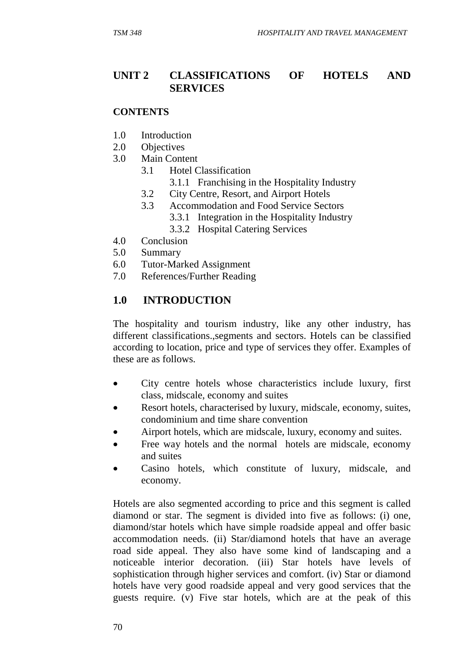#### **UNIT 2 CLASSIFICATIONS OF HOTELS AND SERVICES**

#### **CONTENTS**

- 1.0 Introduction
- 2.0 Objectives
- 3.0 Main Content
	- 3.1 Hotel Classification
		- 3.1.1 Franchising in the Hospitality Industry
	- 3.2 City Centre, Resort, and Airport Hotels
	- 3.3 Accommodation and Food Service Sectors
		- 3.3.1 Integration in the Hospitality Industry
		- 3.3.2 Hospital Catering Services
- 4.0 Conclusion
- 5.0 Summary
- 6.0 Tutor-Marked Assignment
- 7.0 References/Further Reading

#### **1.0 INTRODUCTION**

The hospitality and tourism industry, like any other industry, has different classifications.,segments and sectors. Hotels can be classified according to location, price and type of services they offer. Examples of these are as follows.

- City centre hotels whose characteristics include luxury, first class, midscale, economy and suites
- Resort hotels, characterised by luxury, midscale, economy, suites, condominium and time share convention
- Airport hotels, which are midscale, luxury, economy and suites.
- Free way hotels and the normal hotels are midscale, economy and suites
- Casino hotels, which constitute of luxury, midscale, and economy.

Hotels are also segmented according to price and this segment is called diamond or star. The segment is divided into five as follows: (i) one, diamond/star hotels which have simple roadside appeal and offer basic accommodation needs. (ii) Star/diamond hotels that have an average road side appeal. They also have some kind of landscaping and a noticeable interior decoration. (iii) Star hotels have levels of sophistication through higher services and comfort. (iv) Star or diamond hotels have very good roadside appeal and very good services that the guests require. (v) Five star hotels, which are at the peak of this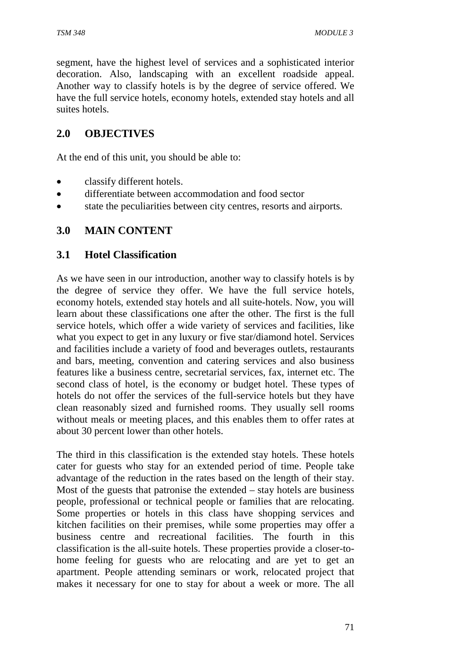segment, have the highest level of services and a sophisticated interior decoration. Also, landscaping with an excellent roadside appeal. Another way to classify hotels is by the degree of service offered. We have the full service hotels, economy hotels, extended stay hotels and all suites hotels.

## **2.0 OBJECTIVES**

At the end of this unit, you should be able to:

- classify different hotels.
- differentiate between accommodation and food sector
- state the peculiarities between city centres, resorts and airports.

### **3.0 MAIN CONTENT**

### **3.1 Hotel Classification**

As we have seen in our introduction, another way to classify hotels is by the degree of service they offer. We have the full service hotels, economy hotels, extended stay hotels and all suite-hotels. Now, you will learn about these classifications one after the other. The first is the full service hotels, which offer a wide variety of services and facilities, like what you expect to get in any luxury or five star/diamond hotel. Services and facilities include a variety of food and beverages outlets, restaurants and bars, meeting, convention and catering services and also business features like a business centre, secretarial services, fax, internet etc. The second class of hotel, is the economy or budget hotel. These types of hotels do not offer the services of the full-service hotels but they have clean reasonably sized and furnished rooms. They usually sell rooms without meals or meeting places, and this enables them to offer rates at about 30 percent lower than other hotels.

The third in this classification is the extended stay hotels. These hotels cater for guests who stay for an extended period of time. People take advantage of the reduction in the rates based on the length of their stay. Most of the guests that patronise the extended – stay hotels are business people, professional or technical people or families that are relocating. Some properties or hotels in this class have shopping services and kitchen facilities on their premises, while some properties may offer a business centre and recreational facilities. The fourth in this classification is the all-suite hotels. These properties provide a closer-tohome feeling for guests who are relocating and are yet to get an apartment. People attending seminars or work, relocated project that makes it necessary for one to stay for about a week or more. The all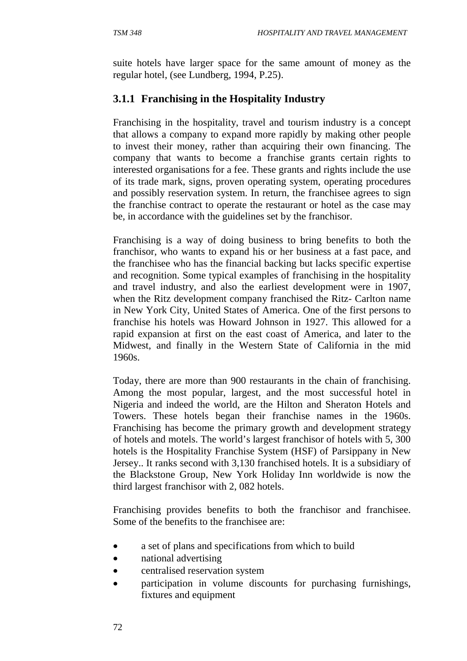suite hotels have larger space for the same amount of money as the regular hotel, (see Lundberg, 1994, P.25).

# **3.1.1 Franchising in the Hospitality Industry**

Franchising in the hospitality, travel and tourism industry is a concept that allows a company to expand more rapidly by making other people to invest their money, rather than acquiring their own financing. The company that wants to become a franchise grants certain rights to interested organisations for a fee. These grants and rights include the use of its trade mark, signs, proven operating system, operating procedures and possibly reservation system. In return, the franchisee agrees to sign the franchise contract to operate the restaurant or hotel as the case may be, in accordance with the guidelines set by the franchisor.

Franchising is a way of doing business to bring benefits to both the franchisor, who wants to expand his or her business at a fast pace, and the franchisee who has the financial backing but lacks specific expertise and recognition. Some typical examples of franchising in the hospitality and travel industry, and also the earliest development were in 1907, when the Ritz development company franchised the Ritz- Carlton name in New York City, United States of America. One of the first persons to franchise his hotels was Howard Johnson in 1927. This allowed for a rapid expansion at first on the east coast of America, and later to the Midwest, and finally in the Western State of California in the mid 1960s.

Today, there are more than 900 restaurants in the chain of franchising. Among the most popular, largest, and the most successful hotel in Nigeria and indeed the world, are the Hilton and Sheraton Hotels and Towers. These hotels began their franchise names in the 1960s. Franchising has become the primary growth and development strategy of hotels and motels. The world's largest franchisor of hotels with 5, 300 hotels is the Hospitality Franchise System (HSF) of Parsippany in New Jersey.. It ranks second with 3,130 franchised hotels. It is a subsidiary of the Blackstone Group, New York Holiday Inn worldwide is now the third largest franchisor with 2, 082 hotels.

Franchising provides benefits to both the franchisor and franchisee. Some of the benefits to the franchisee are:

- a set of plans and specifications from which to build
- national advertising
- centralised reservation system
- participation in volume discounts for purchasing furnishings, fixtures and equipment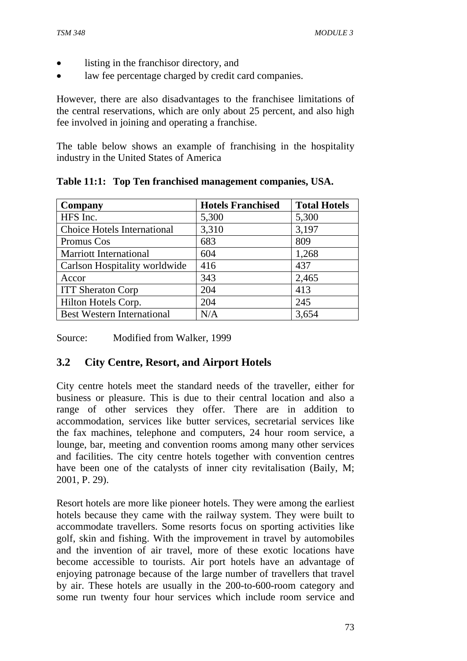- listing in the franchisor directory, and
- law fee percentage charged by credit card companies.

However, there are also disadvantages to the franchisee limitations of the central reservations, which are only about 25 percent, and also high fee involved in joining and operating a franchise.

The table below shows an example of franchising in the hospitality industry in the United States of America

| Company                            | <b>Hotels Franchised</b> | <b>Total Hotels</b> |
|------------------------------------|--------------------------|---------------------|
| HFS Inc.                           | 5,300                    | 5,300               |
| <b>Choice Hotels International</b> | 3,310                    | 3,197               |
| Promus Cos                         | 683                      | 809                 |
| <b>Marriott International</b>      | 604                      | 1,268               |
| Carlson Hospitality worldwide      | 416                      | 437                 |
| Accor                              | 343                      | 2,465               |
| <b>ITT Sheraton Corp</b>           | 204                      | 413                 |
| Hilton Hotels Corp.                | 204                      | 245                 |
| <b>Best Western International</b>  | N/A                      | 3,654               |

**Table 11:1: Top Ten franchised management companies, USA.** 

Source: Modified from Walker, 1999

### **3.2 City Centre, Resort, and Airport Hotels**

City centre hotels meet the standard needs of the traveller, either for business or pleasure. This is due to their central location and also a range of other services they offer. There are in addition to accommodation, services like butter services, secretarial services like the fax machines, telephone and computers, 24 hour room service, a lounge, bar, meeting and convention rooms among many other services and facilities. The city centre hotels together with convention centres have been one of the catalysts of inner city revitalisation (Baily, M; 2001, P. 29).

Resort hotels are more like pioneer hotels. They were among the earliest hotels because they came with the railway system. They were built to accommodate travellers. Some resorts focus on sporting activities like golf, skin and fishing. With the improvement in travel by automobiles and the invention of air travel, more of these exotic locations have become accessible to tourists. Air port hotels have an advantage of enjoying patronage because of the large number of travellers that travel by air. These hotels are usually in the 200-to-600-room category and some run twenty four hour services which include room service and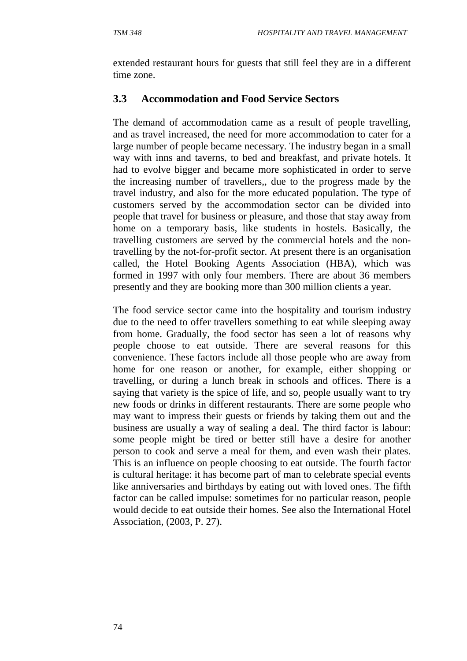extended restaurant hours for guests that still feel they are in a different time zone.

### **3.3 Accommodation and Food Service Sectors**

The demand of accommodation came as a result of people travelling, and as travel increased, the need for more accommodation to cater for a large number of people became necessary. The industry began in a small way with inns and taverns, to bed and breakfast, and private hotels. It had to evolve bigger and became more sophisticated in order to serve the increasing number of travellers,, due to the progress made by the travel industry, and also for the more educated population. The type of customers served by the accommodation sector can be divided into people that travel for business or pleasure, and those that stay away from home on a temporary basis, like students in hostels. Basically, the travelling customers are served by the commercial hotels and the nontravelling by the not-for-profit sector. At present there is an organisation called, the Hotel Booking Agents Association (HBA), which was formed in 1997 with only four members. There are about 36 members presently and they are booking more than 300 million clients a year.

The food service sector came into the hospitality and tourism industry due to the need to offer travellers something to eat while sleeping away from home. Gradually, the food sector has seen a lot of reasons why people choose to eat outside. There are several reasons for this convenience. These factors include all those people who are away from home for one reason or another, for example, either shopping or travelling, or during a lunch break in schools and offices. There is a saying that variety is the spice of life, and so, people usually want to try new foods or drinks in different restaurants. There are some people who may want to impress their guests or friends by taking them out and the business are usually a way of sealing a deal. The third factor is labour: some people might be tired or better still have a desire for another person to cook and serve a meal for them, and even wash their plates. This is an influence on people choosing to eat outside. The fourth factor is cultural heritage: it has become part of man to celebrate special events like anniversaries and birthdays by eating out with loved ones. The fifth factor can be called impulse: sometimes for no particular reason, people would decide to eat outside their homes. See also the International Hotel Association, (2003, P. 27).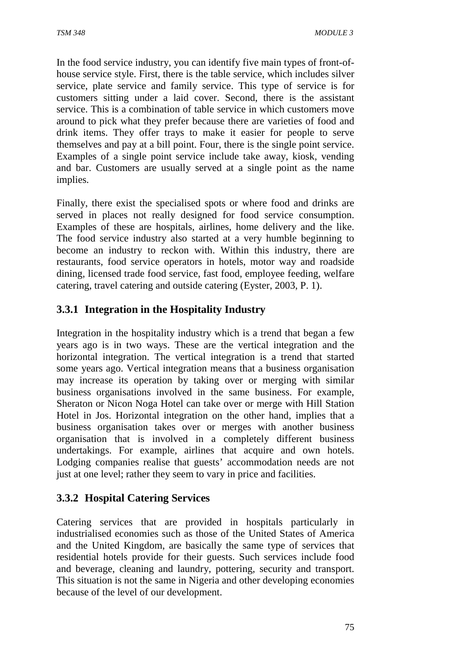In the food service industry, you can identify five main types of front-ofhouse service style. First, there is the table service, which includes silver service, plate service and family service. This type of service is for customers sitting under a laid cover. Second, there is the assistant service. This is a combination of table service in which customers move around to pick what they prefer because there are varieties of food and drink items. They offer trays to make it easier for people to serve themselves and pay at a bill point. Four, there is the single point service. Examples of a single point service include take away, kiosk, vending and bar. Customers are usually served at a single point as the name implies.

Finally, there exist the specialised spots or where food and drinks are served in places not really designed for food service consumption. Examples of these are hospitals, airlines, home delivery and the like. The food service industry also started at a very humble beginning to become an industry to reckon with. Within this industry, there are restaurants, food service operators in hotels, motor way and roadside dining, licensed trade food service, fast food, employee feeding, welfare catering, travel catering and outside catering (Eyster, 2003, P. 1).

## **3.3.1 Integration in the Hospitality Industry**

Integration in the hospitality industry which is a trend that began a few years ago is in two ways. These are the vertical integration and the horizontal integration. The vertical integration is a trend that started some years ago. Vertical integration means that a business organisation may increase its operation by taking over or merging with similar business organisations involved in the same business. For example, Sheraton or Nicon Noga Hotel can take over or merge with Hill Station Hotel in Jos. Horizontal integration on the other hand, implies that a business organisation takes over or merges with another business organisation that is involved in a completely different business undertakings. For example, airlines that acquire and own hotels. Lodging companies realise that guests' accommodation needs are not just at one level; rather they seem to vary in price and facilities.

### **3.3.2 Hospital Catering Services**

Catering services that are provided in hospitals particularly in industrialised economies such as those of the United States of America and the United Kingdom, are basically the same type of services that residential hotels provide for their guests. Such services include food and beverage, cleaning and laundry, pottering, security and transport. This situation is not the same in Nigeria and other developing economies because of the level of our development.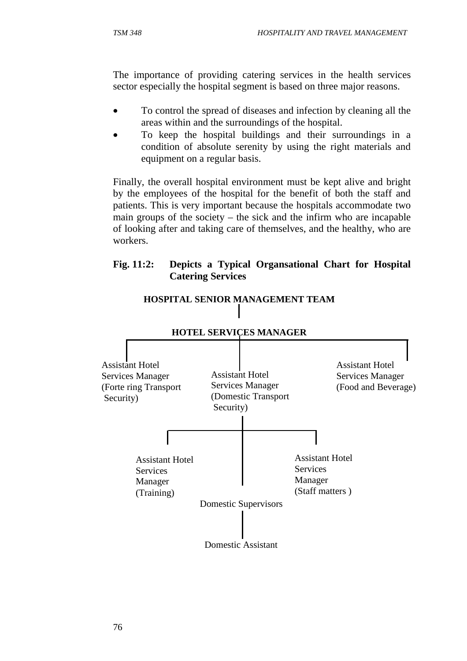The importance of providing catering services in the health services sector especially the hospital segment is based on three major reasons.

- To control the spread of diseases and infection by cleaning all the areas within and the surroundings of the hospital.
- To keep the hospital buildings and their surroundings in a condition of absolute serenity by using the right materials and equipment on a regular basis.

Finally, the overall hospital environment must be kept alive and bright by the employees of the hospital for the benefit of both the staff and patients. This is very important because the hospitals accommodate two main groups of the society – the sick and the infirm who are incapable of looking after and taking care of themselves, and the healthy, who are workers.

#### **Fig. 11:2: Depicts a Typical Organsational Chart for Hospital Catering Services**



### **HOSPITAL SENIOR MANAGEMENT TEAM**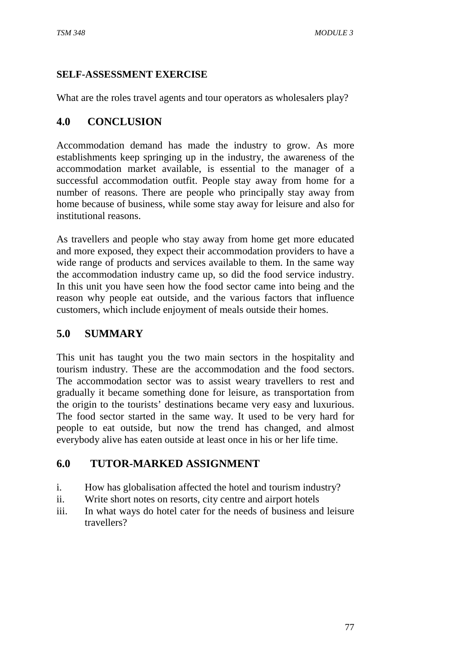#### **SELF-ASSESSMENT EXERCISE**

What are the roles travel agents and tour operators as wholesalers play?

## **4.0 CONCLUSION**

Accommodation demand has made the industry to grow. As more establishments keep springing up in the industry, the awareness of the accommodation market available, is essential to the manager of a successful accommodation outfit. People stay away from home for a number of reasons. There are people who principally stay away from home because of business, while some stay away for leisure and also for institutional reasons.

As travellers and people who stay away from home get more educated and more exposed, they expect their accommodation providers to have a wide range of products and services available to them. In the same way the accommodation industry came up, so did the food service industry. In this unit you have seen how the food sector came into being and the reason why people eat outside, and the various factors that influence customers, which include enjoyment of meals outside their homes.

## **5.0 SUMMARY**

This unit has taught you the two main sectors in the hospitality and tourism industry. These are the accommodation and the food sectors. The accommodation sector was to assist weary travellers to rest and gradually it became something done for leisure, as transportation from the origin to the tourists' destinations became very easy and luxurious. The food sector started in the same way. It used to be very hard for people to eat outside, but now the trend has changed, and almost everybody alive has eaten outside at least once in his or her life time.

## **6.0 TUTOR-MARKED ASSIGNMENT**

- i. How has globalisation affected the hotel and tourism industry?
- ii. Write short notes on resorts, city centre and airport hotels
- iii. In what ways do hotel cater for the needs of business and leisure travellers?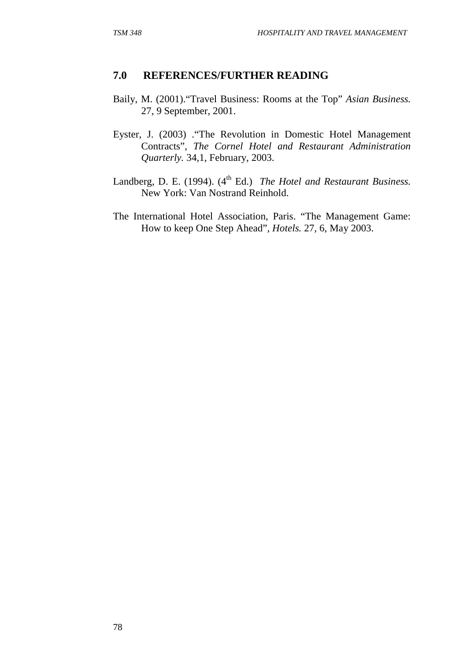#### **7.0 REFERENCES/FURTHER READING**

- Baily, M. (2001)."Travel Business: Rooms at the Top" *Asian Business.*  27, 9 September, 2001.
- Eyster, J. (2003) ."The Revolution in Domestic Hotel Management Contracts", *The Cornel Hotel and Restaurant Administration Quarterly.* 34,1, February, 2003.
- Landberg, D. E. (1994). (4<sup>th</sup> Ed.) *The Hotel and Restaurant Business.* New York: Van Nostrand Reinhold.
- The International Hotel Association, Paris. "The Management Game: How to keep One Step Ahead", *Hotels.* 27, 6, May 2003.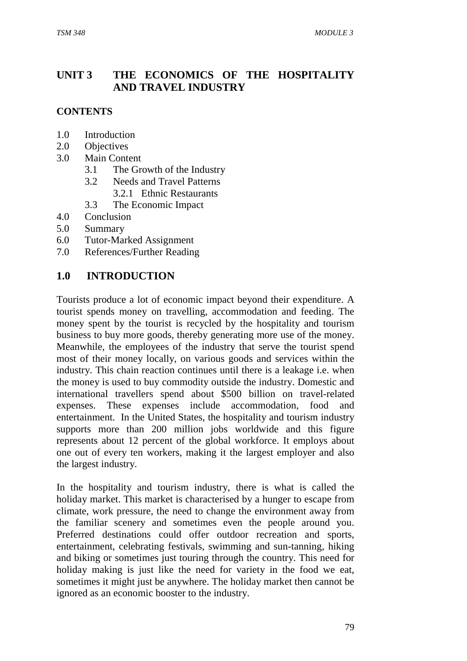## **UNIT 3 THE ECONOMICS OF THE HOSPITALITY AND TRAVEL INDUSTRY**

### **CONTENTS**

- 1.0 Introduction
- 2.0 Objectives
- 3.0 Main Content
	- 3.1 The Growth of the Industry
	- 3.2 Needs and Travel Patterns
		- 3.2.1 Ethnic Restaurants
	- 3.3 The Economic Impact
- 4.0 Conclusion
- 5.0 Summary
- 6.0 Tutor-Marked Assignment
- 7.0 References/Further Reading

## **1.0 INTRODUCTION**

Tourists produce a lot of economic impact beyond their expenditure. A tourist spends money on travelling, accommodation and feeding. The money spent by the tourist is recycled by the hospitality and tourism business to buy more goods, thereby generating more use of the money. Meanwhile, the employees of the industry that serve the tourist spend most of their money locally, on various goods and services within the industry. This chain reaction continues until there is a leakage i.e. when the money is used to buy commodity outside the industry. Domestic and international travellers spend about \$500 billion on travel-related expenses. These expenses include accommodation, food and entertainment. In the United States, the hospitality and tourism industry supports more than 200 million jobs worldwide and this figure represents about 12 percent of the global workforce. It employs about one out of every ten workers, making it the largest employer and also the largest industry.

In the hospitality and tourism industry, there is what is called the holiday market. This market is characterised by a hunger to escape from climate, work pressure, the need to change the environment away from the familiar scenery and sometimes even the people around you. Preferred destinations could offer outdoor recreation and sports, entertainment, celebrating festivals, swimming and sun-tanning, hiking and biking or sometimes just touring through the country. This need for holiday making is just like the need for variety in the food we eat, sometimes it might just be anywhere. The holiday market then cannot be ignored as an economic booster to the industry.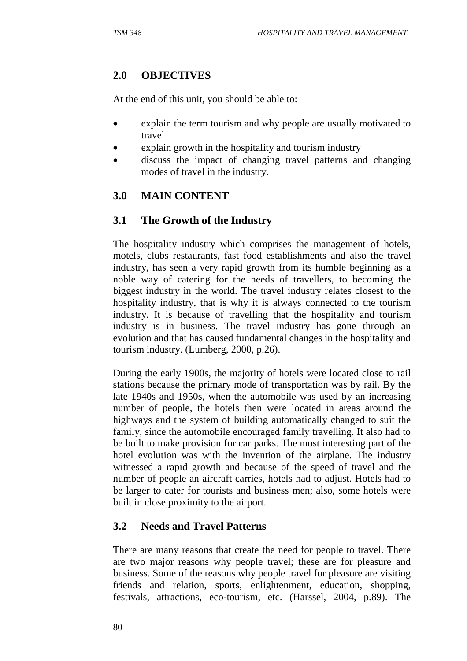## **2.0 OBJECTIVES**

At the end of this unit, you should be able to:

- explain the term tourism and why people are usually motivated to travel
- explain growth in the hospitality and tourism industry
- discuss the impact of changing travel patterns and changing modes of travel in the industry.

### **3.0 MAIN CONTENT**

### **3.1 The Growth of the Industry**

The hospitality industry which comprises the management of hotels, motels, clubs restaurants, fast food establishments and also the travel industry, has seen a very rapid growth from its humble beginning as a noble way of catering for the needs of travellers, to becoming the biggest industry in the world. The travel industry relates closest to the hospitality industry, that is why it is always connected to the tourism industry. It is because of travelling that the hospitality and tourism industry is in business. The travel industry has gone through an evolution and that has caused fundamental changes in the hospitality and tourism industry. (Lumberg, 2000, p.26).

During the early 1900s, the majority of hotels were located close to rail stations because the primary mode of transportation was by rail. By the late 1940s and 1950s, when the automobile was used by an increasing number of people, the hotels then were located in areas around the highways and the system of building automatically changed to suit the family, since the automobile encouraged family travelling. It also had to be built to make provision for car parks. The most interesting part of the hotel evolution was with the invention of the airplane. The industry witnessed a rapid growth and because of the speed of travel and the number of people an aircraft carries, hotels had to adjust. Hotels had to be larger to cater for tourists and business men; also, some hotels were built in close proximity to the airport.

### **3.2 Needs and Travel Patterns**

There are many reasons that create the need for people to travel. There are two major reasons why people travel; these are for pleasure and business. Some of the reasons why people travel for pleasure are visiting friends and relation, sports, enlightenment, education, shopping, festivals, attractions, eco-tourism, etc. (Harssel, 2004, p.89). The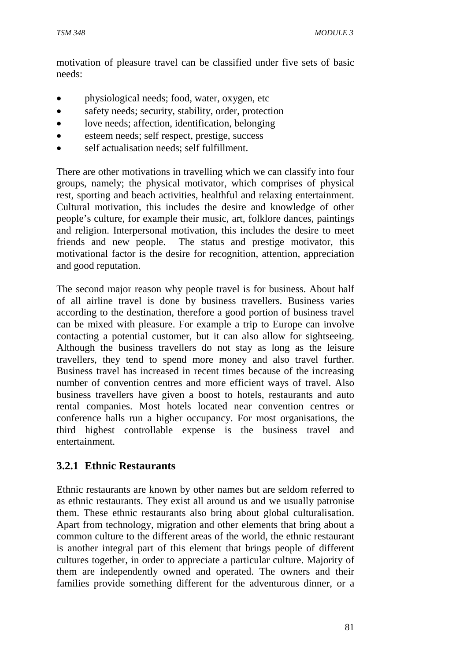motivation of pleasure travel can be classified under five sets of basic needs:

- physiological needs; food, water, oxygen, etc
- safety needs; security, stability, order, protection
- love needs; affection, identification, belonging
- esteem needs; self respect, prestige, success
- self actualisation needs; self fulfillment.

There are other motivations in travelling which we can classify into four groups, namely; the physical motivator, which comprises of physical rest, sporting and beach activities, healthful and relaxing entertainment. Cultural motivation, this includes the desire and knowledge of other people's culture, for example their music, art, folklore dances, paintings and religion. Interpersonal motivation, this includes the desire to meet friends and new people. The status and prestige motivator, this motivational factor is the desire for recognition, attention, appreciation and good reputation.

The second major reason why people travel is for business. About half of all airline travel is done by business travellers. Business varies according to the destination, therefore a good portion of business travel can be mixed with pleasure. For example a trip to Europe can involve contacting a potential customer, but it can also allow for sightseeing. Although the business travellers do not stay as long as the leisure travellers, they tend to spend more money and also travel further. Business travel has increased in recent times because of the increasing number of convention centres and more efficient ways of travel. Also business travellers have given a boost to hotels, restaurants and auto rental companies. Most hotels located near convention centres or conference halls run a higher occupancy. For most organisations, the third highest controllable expense is the business travel and entertainment.

### **3.2.1 Ethnic Restaurants**

Ethnic restaurants are known by other names but are seldom referred to as ethnic restaurants. They exist all around us and we usually patronise them. These ethnic restaurants also bring about global culturalisation. Apart from technology, migration and other elements that bring about a common culture to the different areas of the world, the ethnic restaurant is another integral part of this element that brings people of different cultures together, in order to appreciate a particular culture. Majority of them are independently owned and operated. The owners and their families provide something different for the adventurous dinner, or a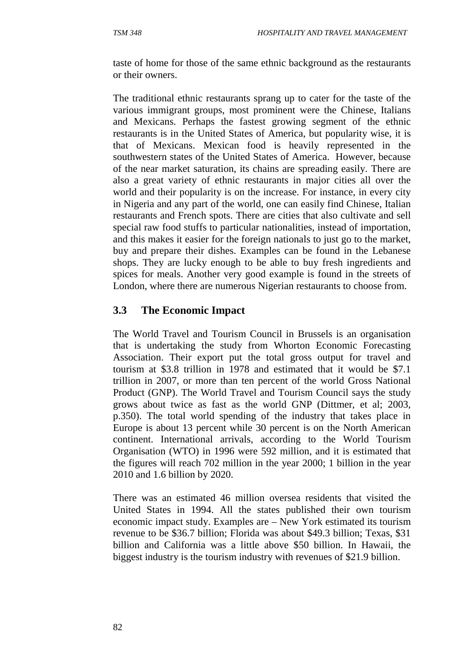taste of home for those of the same ethnic background as the restaurants or their owners.

The traditional ethnic restaurants sprang up to cater for the taste of the various immigrant groups, most prominent were the Chinese, Italians and Mexicans. Perhaps the fastest growing segment of the ethnic restaurants is in the United States of America, but popularity wise, it is that of Mexicans. Mexican food is heavily represented in the southwestern states of the United States of America. However, because of the near market saturation, its chains are spreading easily. There are also a great variety of ethnic restaurants in major cities all over the world and their popularity is on the increase. For instance, in every city in Nigeria and any part of the world, one can easily find Chinese, Italian restaurants and French spots. There are cities that also cultivate and sell special raw food stuffs to particular nationalities, instead of importation, and this makes it easier for the foreign nationals to just go to the market, buy and prepare their dishes. Examples can be found in the Lebanese shops. They are lucky enough to be able to buy fresh ingredients and spices for meals. Another very good example is found in the streets of London, where there are numerous Nigerian restaurants to choose from.

### **3.3 The Economic Impact**

The World Travel and Tourism Council in Brussels is an organisation that is undertaking the study from Whorton Economic Forecasting Association. Their export put the total gross output for travel and tourism at \$3.8 trillion in 1978 and estimated that it would be \$7.1 trillion in 2007, or more than ten percent of the world Gross National Product (GNP). The World Travel and Tourism Council says the study grows about twice as fast as the world GNP (Dittmer, et al; 2003, p.350). The total world spending of the industry that takes place in Europe is about 13 percent while 30 percent is on the North American continent. International arrivals, according to the World Tourism Organisation (WTO) in 1996 were 592 million, and it is estimated that the figures will reach 702 million in the year 2000; 1 billion in the year 2010 and 1.6 billion by 2020.

There was an estimated 46 million oversea residents that visited the United States in 1994. All the states published their own tourism economic impact study. Examples are – New York estimated its tourism revenue to be \$36.7 billion; Florida was about \$49.3 billion; Texas, \$31 billion and California was a little above \$50 billion. In Hawaii, the biggest industry is the tourism industry with revenues of \$21.9 billion.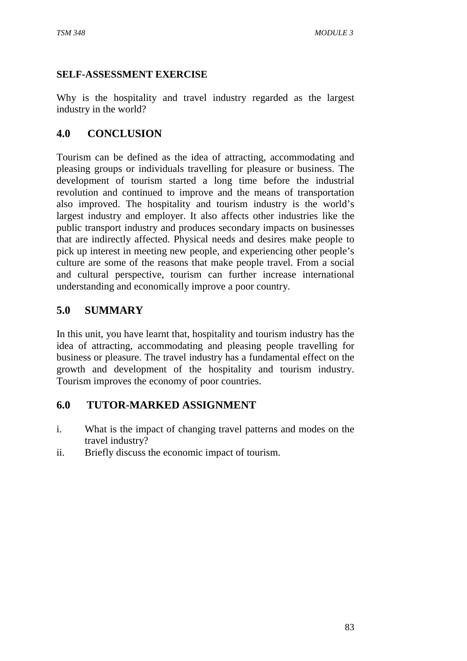#### **SELF-ASSESSMENT EXERCISE**

Why is the hospitality and travel industry regarded as the largest industry in the world?

### **4.0 CONCLUSION**

Tourism can be defined as the idea of attracting, accommodating and pleasing groups or individuals travelling for pleasure or business. The development of tourism started a long time before the industrial revolution and continued to improve and the means of transportation also improved. The hospitality and tourism industry is the world's largest industry and employer. It also affects other industries like the public transport industry and produces secondary impacts on businesses that are indirectly affected. Physical needs and desires make people to pick up interest in meeting new people, and experiencing other people's culture are some of the reasons that make people travel. From a social and cultural perspective, tourism can further increase international understanding and economically improve a poor country.

### **5.0 SUMMARY**

In this unit, you have learnt that, hospitality and tourism industry has the idea of attracting, accommodating and pleasing people travelling for business or pleasure. The travel industry has a fundamental effect on the growth and development of the hospitality and tourism industry. Tourism improves the economy of poor countries.

### **6.0 TUTOR-MARKED ASSIGNMENT**

- i. What is the impact of changing travel patterns and modes on the travel industry?
- ii. Briefly discuss the economic impact of tourism.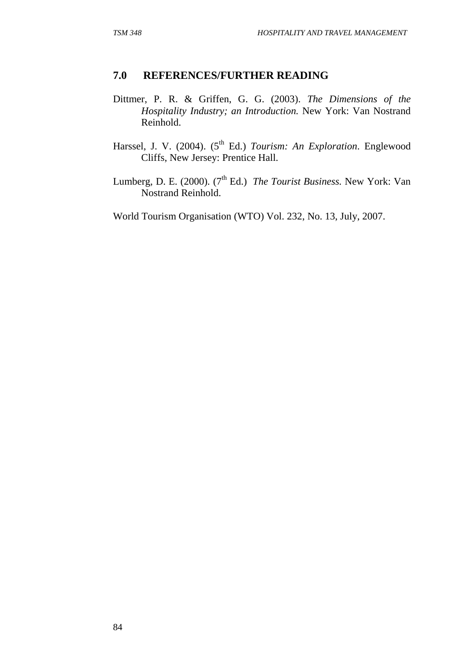### **7.0 REFERENCES/FURTHER READING**

- Dittmer, P. R. & Griffen, G. G. (2003). *The Dimensions of the Hospitality Industry; an Introduction.* New York: Van Nostrand Reinhold.
- Harssel, J. V. (2004). (5<sup>th</sup> Ed.) *Tourism: An Exploration*. Englewood Cliffs, New Jersey: Prentice Hall.
- Lumberg, D. E. (2000). (7<sup>th</sup> Ed.) *The Tourist Business*. New York: Van Nostrand Reinhold.
- World Tourism Organisation (WTO) Vol. 232, No. 13, July, 2007.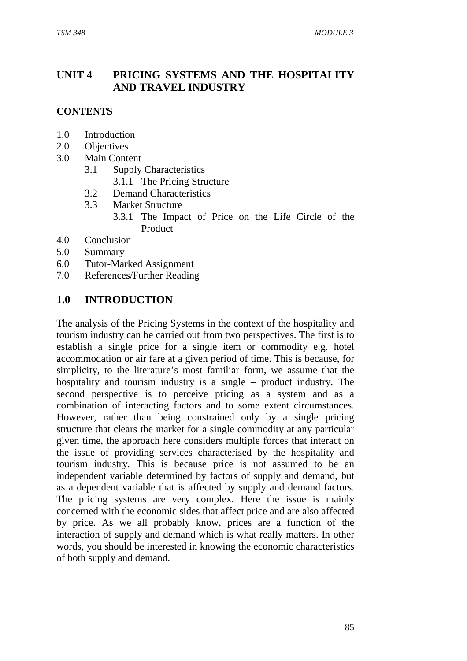### **UNIT 4 PRICING SYSTEMS AND THE HOSPITALITY AND TRAVEL INDUSTRY**

#### **CONTENTS**

- 1.0 Introduction
- 2.0 Objectives
- 3.0 Main Content
	- 3.1 Supply Characteristics
		- 3.1.1 The Pricing Structure
	- 3.2 Demand Characteristics
	- 3.3 Market Structure
		- 3.3.1 The Impact of Price on the Life Circle of the Product
- 4.0 Conclusion
- 5.0 Summary
- 6.0 Tutor-Marked Assignment
- 7.0 References/Further Reading

#### **1.0 INTRODUCTION**

The analysis of the Pricing Systems in the context of the hospitality and tourism industry can be carried out from two perspectives. The first is to establish a single price for a single item or commodity e.g. hotel accommodation or air fare at a given period of time. This is because, for simplicity, to the literature's most familiar form, we assume that the hospitality and tourism industry is a single – product industry. The second perspective is to perceive pricing as a system and as a combination of interacting factors and to some extent circumstances. However, rather than being constrained only by a single pricing structure that clears the market for a single commodity at any particular given time, the approach here considers multiple forces that interact on the issue of providing services characterised by the hospitality and tourism industry. This is because price is not assumed to be an independent variable determined by factors of supply and demand, but as a dependent variable that is affected by supply and demand factors. The pricing systems are very complex. Here the issue is mainly concerned with the economic sides that affect price and are also affected by price. As we all probably know, prices are a function of the interaction of supply and demand which is what really matters. In other words, you should be interested in knowing the economic characteristics of both supply and demand.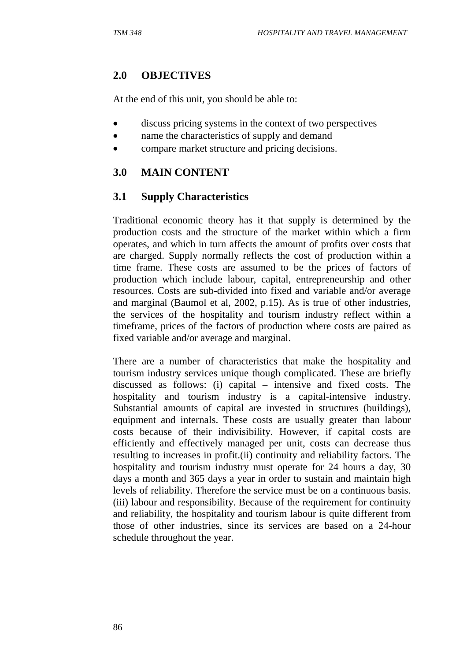### **2.0 OBJECTIVES**

At the end of this unit, you should be able to:

- discuss pricing systems in the context of two perspectives
- name the characteristics of supply and demand
- compare market structure and pricing decisions.

# **3.0 MAIN CONTENT**

## **3.1 Supply Characteristics**

Traditional economic theory has it that supply is determined by the production costs and the structure of the market within which a firm operates, and which in turn affects the amount of profits over costs that are charged. Supply normally reflects the cost of production within a time frame. These costs are assumed to be the prices of factors of production which include labour, capital, entrepreneurship and other resources. Costs are sub-divided into fixed and variable and/or average and marginal (Baumol et al, 2002, p.15). As is true of other industries, the services of the hospitality and tourism industry reflect within a timeframe, prices of the factors of production where costs are paired as fixed variable and/or average and marginal.

There are a number of characteristics that make the hospitality and tourism industry services unique though complicated. These are briefly discussed as follows: (i) capital – intensive and fixed costs. The hospitality and tourism industry is a capital-intensive industry. Substantial amounts of capital are invested in structures (buildings), equipment and internals. These costs are usually greater than labour costs because of their indivisibility. However, if capital costs are efficiently and effectively managed per unit, costs can decrease thus resulting to increases in profit.(ii) continuity and reliability factors. The hospitality and tourism industry must operate for 24 hours a day, 30 days a month and 365 days a year in order to sustain and maintain high levels of reliability. Therefore the service must be on a continuous basis. (iii) labour and responsibility. Because of the requirement for continuity and reliability, the hospitality and tourism labour is quite different from those of other industries, since its services are based on a 24-hour schedule throughout the year.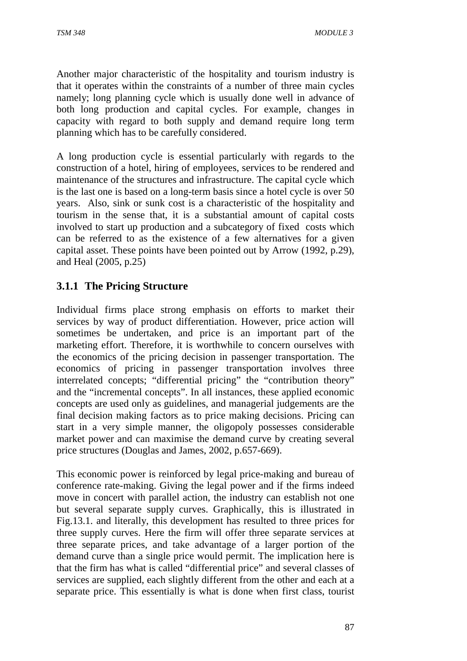Another major characteristic of the hospitality and tourism industry is that it operates within the constraints of a number of three main cycles namely; long planning cycle which is usually done well in advance of both long production and capital cycles. For example, changes in capacity with regard to both supply and demand require long term planning which has to be carefully considered.

A long production cycle is essential particularly with regards to the construction of a hotel, hiring of employees, services to be rendered and maintenance of the structures and infrastructure. The capital cycle which is the last one is based on a long-term basis since a hotel cycle is over 50 years. Also, sink or sunk cost is a characteristic of the hospitality and tourism in the sense that, it is a substantial amount of capital costs involved to start up production and a subcategory of fixed costs which can be referred to as the existence of a few alternatives for a given capital asset. These points have been pointed out by Arrow (1992, p.29), and Heal (2005, p.25)

### **3.1.1 The Pricing Structure**

Individual firms place strong emphasis on efforts to market their services by way of product differentiation. However, price action will sometimes be undertaken, and price is an important part of the marketing effort. Therefore, it is worthwhile to concern ourselves with the economics of the pricing decision in passenger transportation. The economics of pricing in passenger transportation involves three interrelated concepts; "differential pricing" the "contribution theory" and the "incremental concepts". In all instances, these applied economic concepts are used only as guidelines, and managerial judgements are the final decision making factors as to price making decisions. Pricing can start in a very simple manner, the oligopoly possesses considerable market power and can maximise the demand curve by creating several price structures (Douglas and James, 2002, p.657-669).

This economic power is reinforced by legal price-making and bureau of conference rate-making. Giving the legal power and if the firms indeed move in concert with parallel action, the industry can establish not one but several separate supply curves. Graphically, this is illustrated in Fig.13.1. and literally, this development has resulted to three prices for three supply curves. Here the firm will offer three separate services at three separate prices, and take advantage of a larger portion of the demand curve than a single price would permit. The implication here is that the firm has what is called "differential price" and several classes of services are supplied, each slightly different from the other and each at a separate price. This essentially is what is done when first class, tourist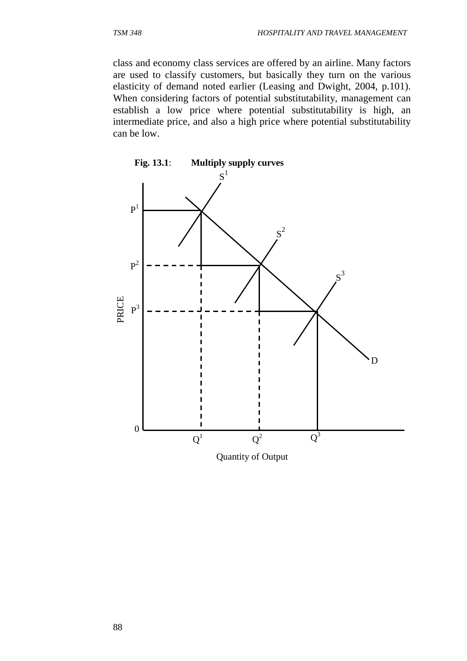class and economy class services are offered by an airline. Many factors are used to classify customers, but basically they turn on the various elasticity of demand noted earlier (Leasing and Dwight, 2004, p.101). When considering factors of potential substitutability, management can establish a low price where potential substitutability is high, an intermediate price, and also a high price where potential substitutability can be low.



Quantity of Output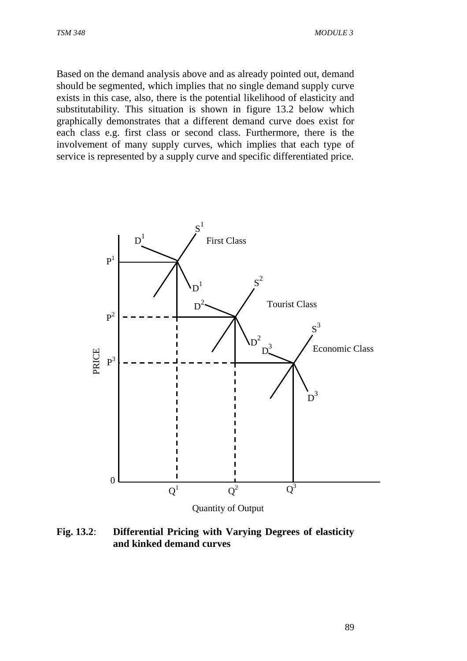Based on the demand analysis above and as already pointed out, demand should be segmented, which implies that no single demand supply curve exists in this case, also, there is the potential likelihood of elasticity and substitutability. This situation is shown in figure 13.2 below which graphically demonstrates that a different demand curve does exist for each class e.g. first class or second class. Furthermore, there is the involvement of many supply curves, which implies that each type of service is represented by a supply curve and specific differentiated price.



**Fig. 13.2**: **Differential Pricing with Varying Degrees of elasticity and kinked demand curves**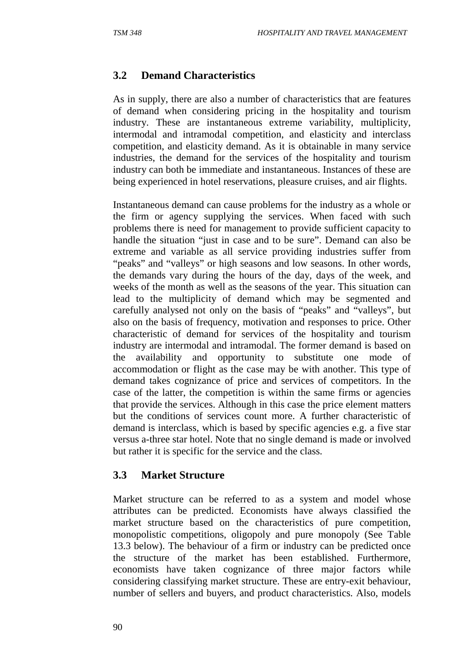### **3.2 Demand Characteristics**

As in supply, there are also a number of characteristics that are features of demand when considering pricing in the hospitality and tourism industry. These are instantaneous extreme variability, multiplicity, intermodal and intramodal competition, and elasticity and interclass competition, and elasticity demand. As it is obtainable in many service industries, the demand for the services of the hospitality and tourism industry can both be immediate and instantaneous. Instances of these are being experienced in hotel reservations, pleasure cruises, and air flights.

Instantaneous demand can cause problems for the industry as a whole or the firm or agency supplying the services. When faced with such problems there is need for management to provide sufficient capacity to handle the situation "just in case and to be sure". Demand can also be extreme and variable as all service providing industries suffer from "peaks" and "valleys" or high seasons and low seasons. In other words, the demands vary during the hours of the day, days of the week, and weeks of the month as well as the seasons of the year. This situation can lead to the multiplicity of demand which may be segmented and carefully analysed not only on the basis of "peaks" and "valleys", but also on the basis of frequency, motivation and responses to price. Other characteristic of demand for services of the hospitality and tourism industry are intermodal and intramodal. The former demand is based on the availability and opportunity to substitute one mode of accommodation or flight as the case may be with another. This type of demand takes cognizance of price and services of competitors. In the case of the latter, the competition is within the same firms or agencies that provide the services. Although in this case the price element matters but the conditions of services count more. A further characteristic of demand is interclass, which is based by specific agencies e.g. a five star versus a-three star hotel. Note that no single demand is made or involved but rather it is specific for the service and the class.

#### **3.3 Market Structure**

Market structure can be referred to as a system and model whose attributes can be predicted. Economists have always classified the market structure based on the characteristics of pure competition, monopolistic competitions, oligopoly and pure monopoly (See Table 13.3 below). The behaviour of a firm or industry can be predicted once the structure of the market has been established. Furthermore, economists have taken cognizance of three major factors while considering classifying market structure. These are entry-exit behaviour, number of sellers and buyers, and product characteristics. Also, models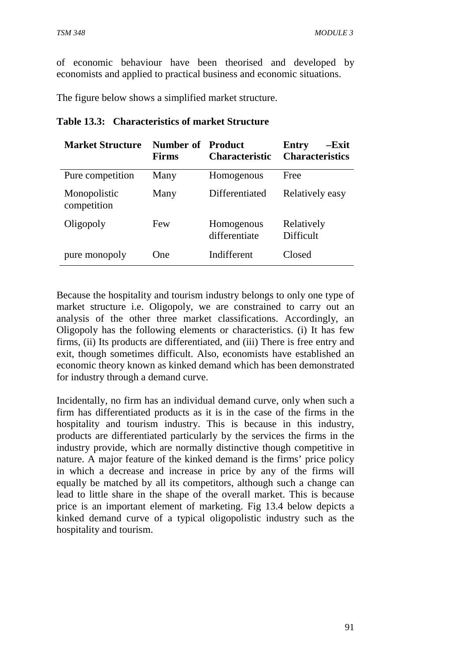of economic behaviour have been theorised and developed by economists and applied to practical business and economic situations.

The figure below shows a simplified market structure.

| <b>Market Structure</b>     | <b>Number of Product</b><br><b>Firms</b> | <b>Characteristic</b>       | $-Exit$<br>Entry<br><b>Characteristics</b> |
|-----------------------------|------------------------------------------|-----------------------------|--------------------------------------------|
| Pure competition            | Many                                     | Homogenous                  | Free                                       |
| Monopolistic<br>competition | Many                                     | Differentiated              | Relatively easy                            |
| Oligopoly                   | Few                                      | Homogenous<br>differentiate | Relatively<br>Difficult                    |
| pure monopoly               | One                                      | Indifferent                 | Closed                                     |

#### **Table 13.3: Characteristics of market Structure**

Because the hospitality and tourism industry belongs to only one type of market structure i.e. Oligopoly, we are constrained to carry out an analysis of the other three market classifications. Accordingly, an Oligopoly has the following elements or characteristics. (i) It has few firms, (ii) Its products are differentiated, and (iii) There is free entry and exit, though sometimes difficult. Also, economists have established an economic theory known as kinked demand which has been demonstrated for industry through a demand curve.

Incidentally, no firm has an individual demand curve, only when such a firm has differentiated products as it is in the case of the firms in the hospitality and tourism industry. This is because in this industry, products are differentiated particularly by the services the firms in the industry provide, which are normally distinctive though competitive in nature. A major feature of the kinked demand is the firms' price policy in which a decrease and increase in price by any of the firms will equally be matched by all its competitors, although such a change can lead to little share in the shape of the overall market. This is because price is an important element of marketing. Fig 13.4 below depicts a kinked demand curve of a typical oligopolistic industry such as the hospitality and tourism.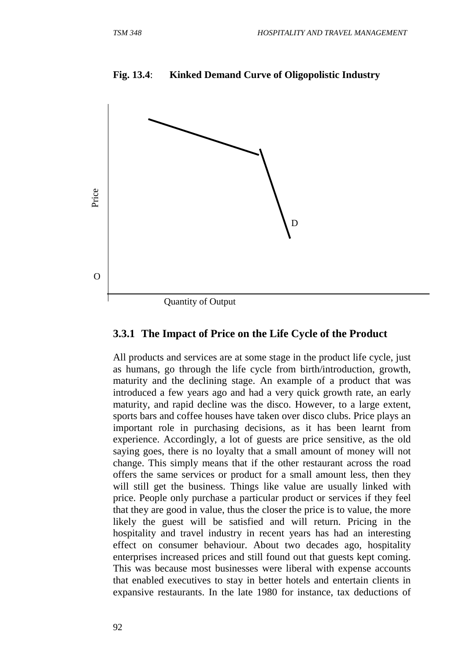

#### **Fig. 13.4**: **Kinked Demand Curve of Oligopolistic Industry**

#### **3.3.1 The Impact of Price on the Life Cycle of the Product**

All products and services are at some stage in the product life cycle, just as humans, go through the life cycle from birth/introduction, growth, maturity and the declining stage. An example of a product that was introduced a few years ago and had a very quick growth rate, an early maturity, and rapid decline was the disco. However, to a large extent, sports bars and coffee houses have taken over disco clubs. Price plays an important role in purchasing decisions, as it has been learnt from experience. Accordingly, a lot of guests are price sensitive, as the old saying goes, there is no loyalty that a small amount of money will not change. This simply means that if the other restaurant across the road offers the same services or product for a small amount less, then they will still get the business. Things like value are usually linked with price. People only purchase a particular product or services if they feel that they are good in value, thus the closer the price is to value, the more likely the guest will be satisfied and will return. Pricing in the hospitality and travel industry in recent years has had an interesting effect on consumer behaviour. About two decades ago, hospitality enterprises increased prices and still found out that guests kept coming. This was because most businesses were liberal with expense accounts that enabled executives to stay in better hotels and entertain clients in expansive restaurants. In the late 1980 for instance, tax deductions of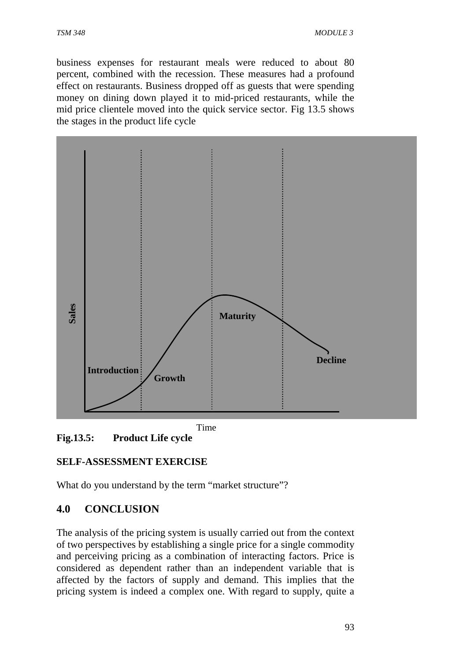business expenses for restaurant meals were reduced to about 80 percent, combined with the recession. These measures had a profound effect on restaurants. Business dropped off as guests that were spending money on dining down played it to mid-priced restaurants, while the mid price clientele moved into the quick service sector. Fig 13.5 shows the stages in the product life cycle



**Fig.13.5: Product Life cycle** 

# **SELF-ASSESSMENT EXERCISE**

What do you understand by the term "market structure"?

# **4.0 CONCLUSION**

The analysis of the pricing system is usually carried out from the context of two perspectives by establishing a single price for a single commodity and perceiving pricing as a combination of interacting factors. Price is considered as dependent rather than an independent variable that is affected by the factors of supply and demand. This implies that the pricing system is indeed a complex one. With regard to supply, quite a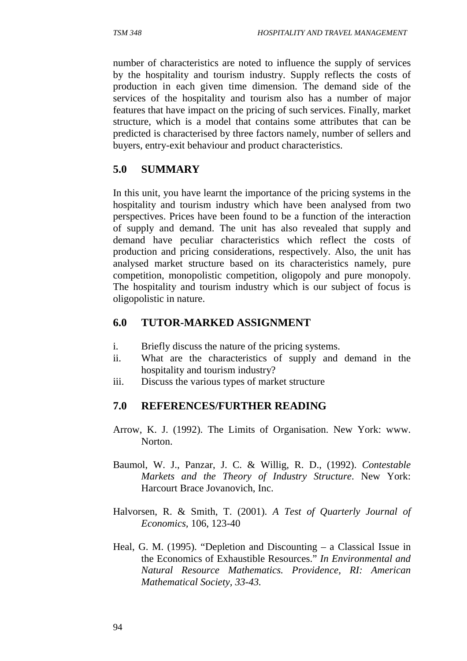number of characteristics are noted to influence the supply of services by the hospitality and tourism industry. Supply reflects the costs of production in each given time dimension. The demand side of the services of the hospitality and tourism also has a number of major features that have impact on the pricing of such services. Finally, market structure, which is a model that contains some attributes that can be predicted is characterised by three factors namely, number of sellers and buyers, entry-exit behaviour and product characteristics.

## **5.0 SUMMARY**

In this unit, you have learnt the importance of the pricing systems in the hospitality and tourism industry which have been analysed from two perspectives. Prices have been found to be a function of the interaction of supply and demand. The unit has also revealed that supply and demand have peculiar characteristics which reflect the costs of production and pricing considerations, respectively. Also, the unit has analysed market structure based on its characteristics namely, pure competition, monopolistic competition, oligopoly and pure monopoly. The hospitality and tourism industry which is our subject of focus is oligopolistic in nature.

#### **6.0 TUTOR-MARKED ASSIGNMENT**

- i. Briefly discuss the nature of the pricing systems.
- ii. What are the characteristics of supply and demand in the hospitality and tourism industry?
- iii. Discuss the various types of market structure

## **7.0 REFERENCES/FURTHER READING**

- Arrow, K. J. (1992). The Limits of Organisation. New York: www. Norton.
- Baumol, W. J., Panzar, J. C. & Willig, R. D., (1992). *Contestable Markets and the Theory of Industry Structure*. New York: Harcourt Brace Jovanovich, Inc.
- Halvorsen, R. & Smith, T. (2001). *A Test of Quarterly Journal of Economics,* 106, 123-40
- Heal, G. M. (1995). "Depletion and Discounting a Classical Issue in the Economics of Exhaustible Resources." *In Environmental and Natural Resource Mathematics. Providence, RI: American Mathematical Society, 33-43.*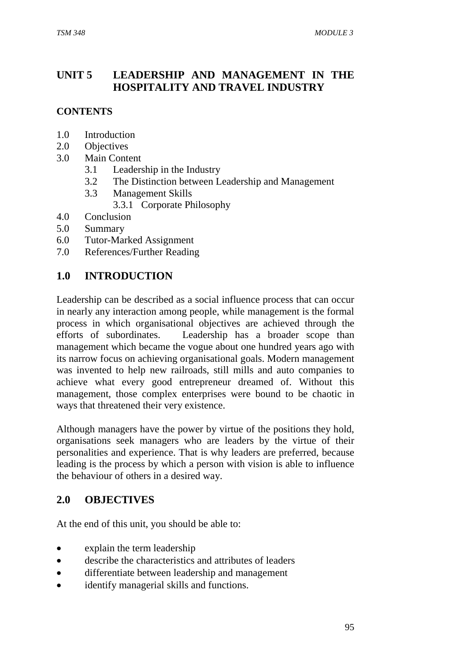# **UNIT 5 LEADERSHIP AND MANAGEMENT IN THE HOSPITALITY AND TRAVEL INDUSTRY**

## **CONTENTS**

- 1.0 Introduction
- 2.0 Objectives
- 3.0 Main Content
	- 3.1 Leadership in the Industry
	- 3.2 The Distinction between Leadership and Management
	- 3.3 Management Skills
		- 3.3.1 Corporate Philosophy
- 4.0 Conclusion
- 5.0 Summary
- 6.0 Tutor-Marked Assignment
- 7.0 References/Further Reading

## **1.0 INTRODUCTION**

Leadership can be described as a social influence process that can occur in nearly any interaction among people, while management is the formal process in which organisational objectives are achieved through the efforts of subordinates. Leadership has a broader scope than management which became the vogue about one hundred years ago with its narrow focus on achieving organisational goals. Modern management was invented to help new railroads, still mills and auto companies to achieve what every good entrepreneur dreamed of. Without this management, those complex enterprises were bound to be chaotic in ways that threatened their very existence.

Although managers have the power by virtue of the positions they hold, organisations seek managers who are leaders by the virtue of their personalities and experience. That is why leaders are preferred, because leading is the process by which a person with vision is able to influence the behaviour of others in a desired way.

## **2.0 OBJECTIVES**

At the end of this unit, you should be able to:

- explain the term leadership
- describe the characteristics and attributes of leaders
- differentiate between leadership and management
- identify managerial skills and functions.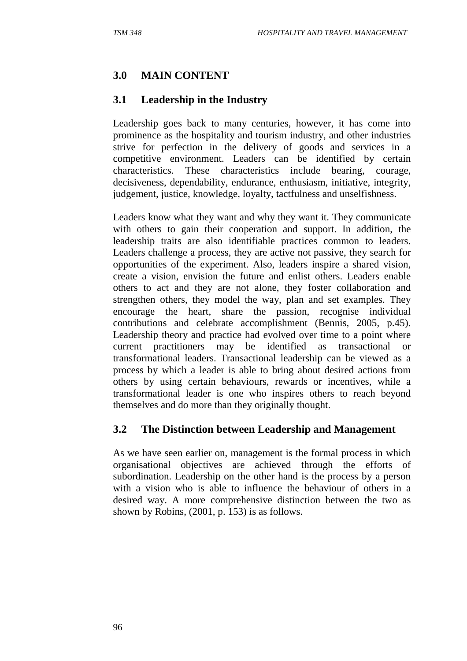## **3.0 MAIN CONTENT**

#### **3.1 Leadership in the Industry**

Leadership goes back to many centuries, however, it has come into prominence as the hospitality and tourism industry, and other industries strive for perfection in the delivery of goods and services in a competitive environment. Leaders can be identified by certain characteristics. These characteristics include bearing, courage, decisiveness, dependability, endurance, enthusiasm, initiative, integrity, judgement, justice, knowledge, loyalty, tactfulness and unselfishness.

Leaders know what they want and why they want it. They communicate with others to gain their cooperation and support. In addition, the leadership traits are also identifiable practices common to leaders. Leaders challenge a process, they are active not passive, they search for opportunities of the experiment. Also, leaders inspire a shared vision, create a vision, envision the future and enlist others. Leaders enable others to act and they are not alone, they foster collaboration and strengthen others, they model the way, plan and set examples. They encourage the heart, share the passion, recognise individual contributions and celebrate accomplishment (Bennis, 2005, p.45). Leadership theory and practice had evolved over time to a point where current practitioners may be identified as transactional or transformational leaders. Transactional leadership can be viewed as a process by which a leader is able to bring about desired actions from others by using certain behaviours, rewards or incentives, while a transformational leader is one who inspires others to reach beyond themselves and do more than they originally thought.

#### **3.2 The Distinction between Leadership and Management**

As we have seen earlier on, management is the formal process in which organisational objectives are achieved through the efforts of subordination. Leadership on the other hand is the process by a person with a vision who is able to influence the behaviour of others in a desired way. A more comprehensive distinction between the two as shown by Robins, (2001, p. 153) is as follows.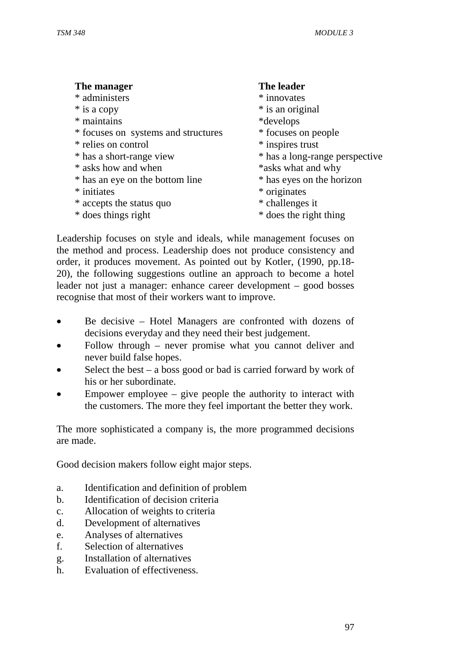| The manager                         | The leader                     |
|-------------------------------------|--------------------------------|
| * administers                       | * innovates                    |
| * is a copy                         | * is an original               |
| * maintains                         | *develops                      |
| * focuses on systems and structures | * focuses on people            |
| * relies on control                 | * inspires trust               |
| * has a short-range view            | * has a long-range perspective |
| * asks how and when                 | *asks what and why             |
| * has an eye on the bottom line     | * has eyes on the horizon      |
| * initiates                         | * originates                   |
| * accepts the status quo            | * challenges it                |
| * does things right                 | * does the right thing         |

Leadership focuses on style and ideals, while management focuses on the method and process. Leadership does not produce consistency and order, it produces movement. As pointed out by Kotler, (1990, pp.18- 20), the following suggestions outline an approach to become a hotel leader not just a manager: enhance career development – good bosses recognise that most of their workers want to improve.

- Be decisive Hotel Managers are confronted with dozens of decisions everyday and they need their best judgement.
- Follow through never promise what you cannot deliver and never build false hopes.
- Select the best a boss good or bad is carried forward by work of his or her subordinate.
- Empower employee  $-$  give people the authority to interact with the customers. The more they feel important the better they work.

The more sophisticated a company is, the more programmed decisions are made.

Good decision makers follow eight major steps.

- a. Identification and definition of problem
- b. Identification of decision criteria
- c. Allocation of weights to criteria
- d. Development of alternatives
- e. Analyses of alternatives
- f. Selection of alternatives
- g. Installation of alternatives
- h. Evaluation of effectiveness.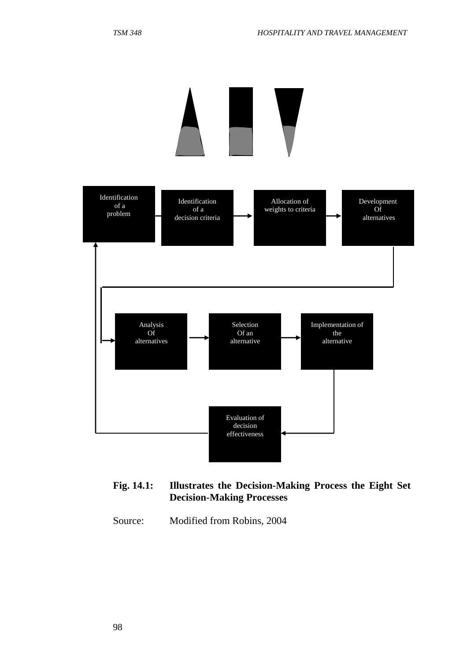

#### **Fig. 14.1: Illustrates the Decision-Making Process the Eight Set Decision-Making Processes**

Source: Modified from Robins, 2004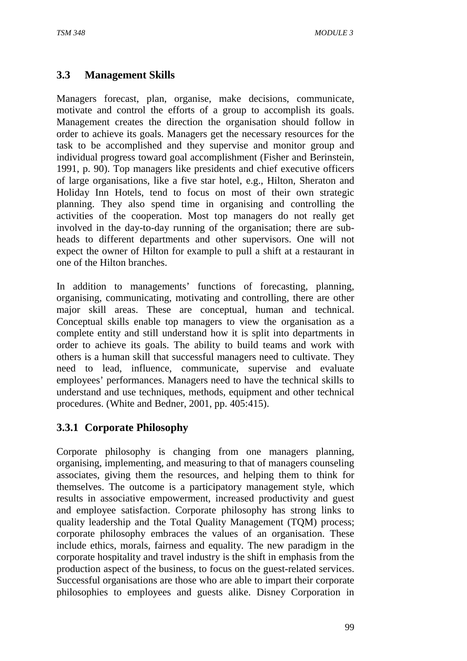# **3.3 Management Skills**

Managers forecast, plan, organise, make decisions, communicate, motivate and control the efforts of a group to accomplish its goals. Management creates the direction the organisation should follow in order to achieve its goals. Managers get the necessary resources for the task to be accomplished and they supervise and monitor group and individual progress toward goal accomplishment (Fisher and Berinstein, 1991, p. 90). Top managers like presidents and chief executive officers of large organisations, like a five star hotel, e.g., Hilton, Sheraton and Holiday Inn Hotels, tend to focus on most of their own strategic planning. They also spend time in organising and controlling the activities of the cooperation. Most top managers do not really get involved in the day-to-day running of the organisation; there are subheads to different departments and other supervisors. One will not expect the owner of Hilton for example to pull a shift at a restaurant in one of the Hilton branches.

In addition to managements' functions of forecasting, planning, organising, communicating, motivating and controlling, there are other major skill areas. These are conceptual, human and technical. Conceptual skills enable top managers to view the organisation as a complete entity and still understand how it is split into departments in order to achieve its goals. The ability to build teams and work with others is a human skill that successful managers need to cultivate. They need to lead, influence, communicate, supervise and evaluate employees' performances. Managers need to have the technical skills to understand and use techniques, methods, equipment and other technical procedures. (White and Bedner, 2001, pp. 405:415).

# **3.3.1 Corporate Philosophy**

Corporate philosophy is changing from one managers planning, organising, implementing, and measuring to that of managers counseling associates, giving them the resources, and helping them to think for themselves. The outcome is a participatory management style, which results in associative empowerment, increased productivity and guest and employee satisfaction. Corporate philosophy has strong links to quality leadership and the Total Quality Management (TQM) process; corporate philosophy embraces the values of an organisation. These include ethics, morals, fairness and equality. The new paradigm in the corporate hospitality and travel industry is the shift in emphasis from the production aspect of the business, to focus on the guest-related services. Successful organisations are those who are able to impart their corporate philosophies to employees and guests alike. Disney Corporation in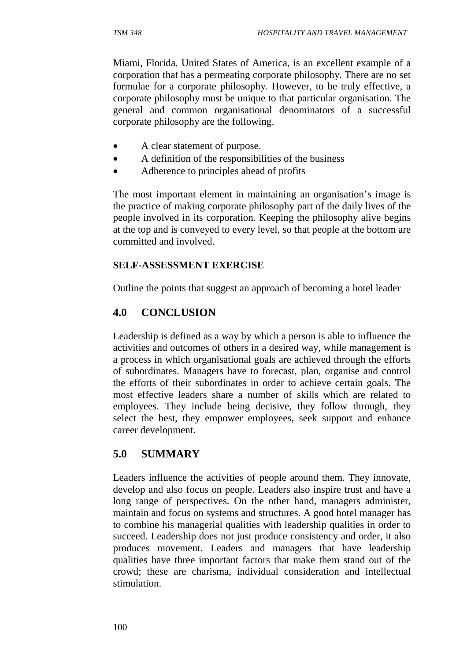Miami, Florida, United States of America, is an excellent example of a corporation that has a permeating corporate philosophy. There are no set formulae for a corporate philosophy. However, to be truly effective, a corporate philosophy must be unique to that particular organisation. The general and common organisational denominators of a successful corporate philosophy are the following.

- A clear statement of purpose.
- A definition of the responsibilities of the business
- Adherence to principles ahead of profits

The most important element in maintaining an organisation's image is the practice of making corporate philosophy part of the daily lives of the people involved in its corporation. Keeping the philosophy alive begins at the top and is conveyed to every level, so that people at the bottom are committed and involved.

#### **SELF-ASSESSMENT EXERCISE**

Outline the points that suggest an approach of becoming a hotel leader

## **4.0 CONCLUSION**

Leadership is defined as a way by which a person is able to influence the activities and outcomes of others in a desired way, while management is a process in which organisational goals are achieved through the efforts of subordinates. Managers have to forecast, plan, organise and control the efforts of their subordinates in order to achieve certain goals. The most effective leaders share a number of skills which are related to employees. They include being decisive, they follow through, they select the best, they empower employees, seek support and enhance career development.

# **5.0 SUMMARY**

Leaders influence the activities of people around them. They innovate, develop and also focus on people. Leaders also inspire trust and have a long range of perspectives. On the other hand, managers administer, maintain and focus on systems and structures. A good hotel manager has to combine his managerial qualities with leadership qualities in order to succeed. Leadership does not just produce consistency and order, it also produces movement. Leaders and managers that have leadership qualities have three important factors that make them stand out of the crowd; these are charisma, individual consideration and intellectual stimulation.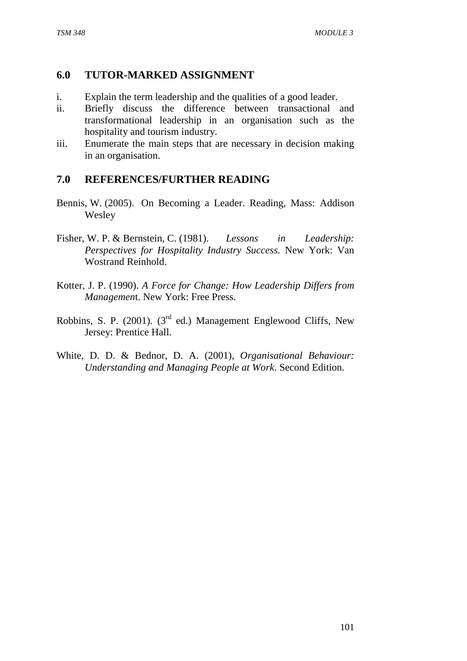## **6.0 TUTOR-MARKED ASSIGNMENT**

- i. Explain the term leadership and the qualities of a good leader.
- ii. Briefly discuss the difference between transactional and transformational leadership in an organisation such as the hospitality and tourism industry.
- iii. Enumerate the main steps that are necessary in decision making in an organisation.

## **7.0 REFERENCES/FURTHER READING**

- Bennis, W. (2005). On Becoming a Leader. Reading, Mass: Addison Wesley
- Fisher, W. P. & Bernstein, C. (1981). *Lessons in Leadership: Perspectives for Hospitality Industry Success.* New York: Van Wostrand Reinhold.
- Kotter, J. P. (1990). *A Force for Change: How Leadership Differs from Managemen*t. New York: Free Press.
- Robbins, S. P. (2001). (3<sup>rd</sup> ed.) Management Englewood Cliffs, New Jersey: Prentice Hall.
- White, D. D. & Bednor, D. A. (2001), *Organisational Behaviour: Understanding and Managing People at Work*. Second Edition.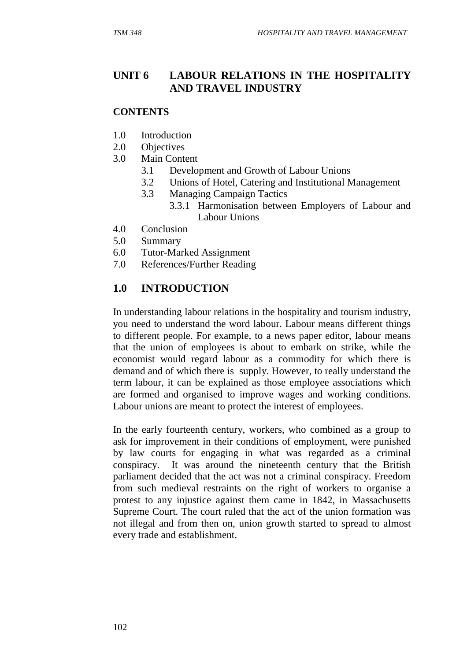# **UNIT 6 LABOUR RELATIONS IN THE HOSPITALITY AND TRAVEL INDUSTRY**

#### **CONTENTS**

- 1.0 Introduction
- 2.0 Objectives
- 3.0 Main Content
	- 3.1 Development and Growth of Labour Unions
	- 3.2 Unions of Hotel, Catering and Institutional Management
	- 3.3 Managing Campaign Tactics
		- 3.3.1 Harmonisation between Employers of Labour and Labour Unions
- 4.0 Conclusion
- 5.0 Summary
- 6.0 Tutor-Marked Assignment
- 7.0 References/Further Reading

# **1.0 INTRODUCTION**

In understanding labour relations in the hospitality and tourism industry, you need to understand the word labour. Labour means different things to different people. For example, to a news paper editor, labour means that the union of employees is about to embark on strike, while the economist would regard labour as a commodity for which there is demand and of which there is supply. However, to really understand the term labour, it can be explained as those employee associations which are formed and organised to improve wages and working conditions. Labour unions are meant to protect the interest of employees.

In the early fourteenth century, workers, who combined as a group to ask for improvement in their conditions of employment, were punished by law courts for engaging in what was regarded as a criminal conspiracy. It was around the nineteenth century that the British parliament decided that the act was not a criminal conspiracy. Freedom from such medieval restraints on the right of workers to organise a protest to any injustice against them came in 1842, in Massachusetts Supreme Court. The court ruled that the act of the union formation was not illegal and from then on, union growth started to spread to almost every trade and establishment.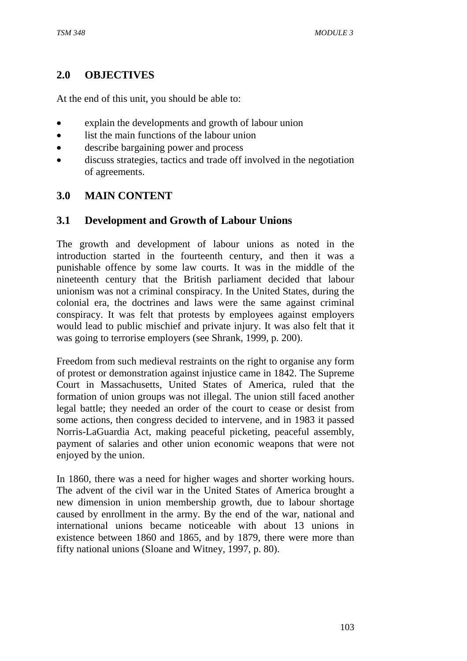## **2.0 OBJECTIVES**

At the end of this unit, you should be able to:

- explain the developments and growth of labour union
- list the main functions of the labour union
- describe bargaining power and process
- discuss strategies, tactics and trade off involved in the negotiation of agreements.

## **3.0 MAIN CONTENT**

#### **3.1 Development and Growth of Labour Unions**

The growth and development of labour unions as noted in the introduction started in the fourteenth century, and then it was a punishable offence by some law courts. It was in the middle of the nineteenth century that the British parliament decided that labour unionism was not a criminal conspiracy. In the United States, during the colonial era, the doctrines and laws were the same against criminal conspiracy. It was felt that protests by employees against employers would lead to public mischief and private injury. It was also felt that it was going to terrorise employers (see Shrank, 1999, p. 200).

Freedom from such medieval restraints on the right to organise any form of protest or demonstration against injustice came in 1842. The Supreme Court in Massachusetts, United States of America, ruled that the formation of union groups was not illegal. The union still faced another legal battle; they needed an order of the court to cease or desist from some actions, then congress decided to intervene, and in 1983 it passed Norris-LaGuardia Act, making peaceful picketing, peaceful assembly, payment of salaries and other union economic weapons that were not enjoyed by the union.

In 1860, there was a need for higher wages and shorter working hours. The advent of the civil war in the United States of America brought a new dimension in union membership growth, due to labour shortage caused by enrollment in the army. By the end of the war, national and international unions became noticeable with about 13 unions in existence between 1860 and 1865, and by 1879, there were more than fifty national unions (Sloane and Witney, 1997, p. 80).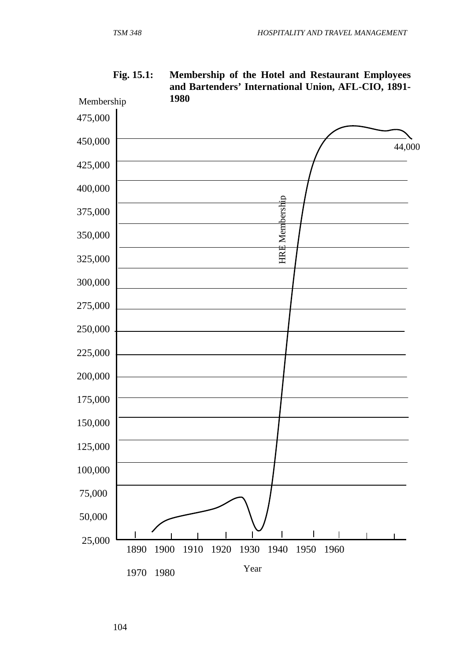

**Fig. 15.1: Membership of the Hotel and Restaurant Employees and Bartenders' International Union, AFL-CIO, 1891- 1980** 

104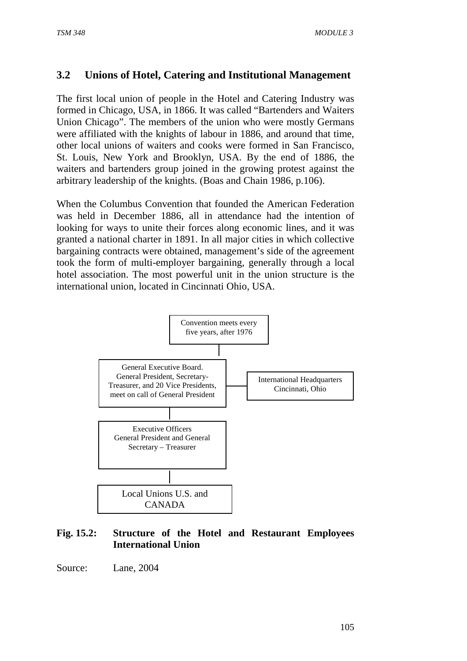# **3.2 Unions of Hotel, Catering and Institutional Management**

The first local union of people in the Hotel and Catering Industry was formed in Chicago, USA, in 1866. It was called "Bartenders and Waiters Union Chicago". The members of the union who were mostly Germans were affiliated with the knights of labour in 1886, and around that time, other local unions of waiters and cooks were formed in San Francisco, St. Louis, New York and Brooklyn, USA. By the end of 1886, the waiters and bartenders group joined in the growing protest against the arbitrary leadership of the knights. (Boas and Chain 1986, p.106).

When the Columbus Convention that founded the American Federation was held in December 1886, all in attendance had the intention of looking for ways to unite their forces along economic lines, and it was granted a national charter in 1891. In all major cities in which collective bargaining contracts were obtained, management's side of the agreement took the form of multi-employer bargaining, generally through a local hotel association. The most powerful unit in the union structure is the international union, located in Cincinnati Ohio, USA.



## **Fig. 15.2: Structure of the Hotel and Restaurant Employees International Union**

Source: Lane, 2004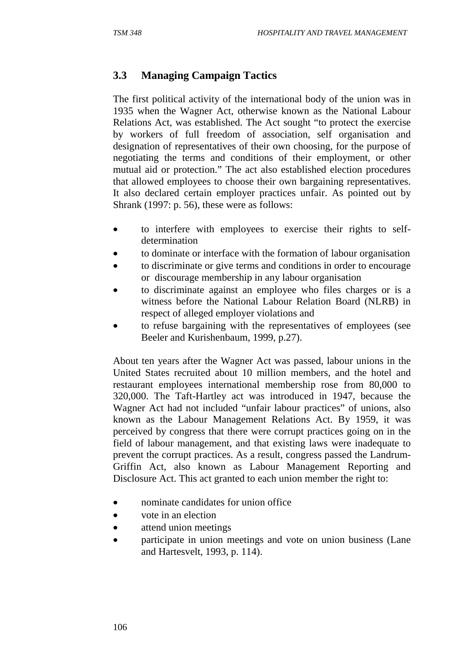# **3.3 Managing Campaign Tactics**

The first political activity of the international body of the union was in 1935 when the Wagner Act, otherwise known as the National Labour Relations Act, was established. The Act sought "to protect the exercise by workers of full freedom of association, self organisation and designation of representatives of their own choosing, for the purpose of negotiating the terms and conditions of their employment, or other mutual aid or protection." The act also established election procedures that allowed employees to choose their own bargaining representatives. It also declared certain employer practices unfair. As pointed out by Shrank (1997: p. 56), these were as follows:

- to interfere with employees to exercise their rights to selfdetermination
- to dominate or interface with the formation of labour organisation
- to discriminate or give terms and conditions in order to encourage or discourage membership in any labour organisation
- to discriminate against an employee who files charges or is a witness before the National Labour Relation Board (NLRB) in respect of alleged employer violations and
- to refuse bargaining with the representatives of employees (see Beeler and Kurishenbaum, 1999, p.27).

About ten years after the Wagner Act was passed, labour unions in the United States recruited about 10 million members, and the hotel and restaurant employees international membership rose from 80,000 to 320,000. The Taft-Hartley act was introduced in 1947, because the Wagner Act had not included "unfair labour practices" of unions, also known as the Labour Management Relations Act. By 1959, it was perceived by congress that there were corrupt practices going on in the field of labour management, and that existing laws were inadequate to prevent the corrupt practices. As a result, congress passed the Landrum-Griffin Act, also known as Labour Management Reporting and Disclosure Act. This act granted to each union member the right to:

- nominate candidates for union office
- vote in an election
- attend union meetings
- participate in union meetings and vote on union business (Lane and Hartesvelt, 1993, p. 114).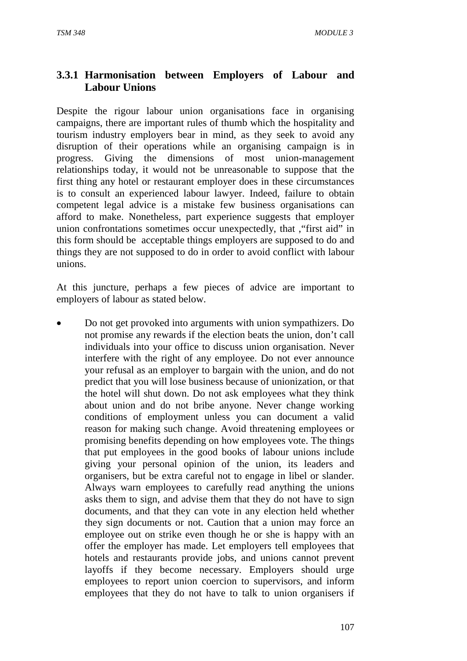## **3.3.1 Harmonisation between Employers of Labour and Labour Unions**

Despite the rigour labour union organisations face in organising campaigns, there are important rules of thumb which the hospitality and tourism industry employers bear in mind, as they seek to avoid any disruption of their operations while an organising campaign is in progress. Giving the dimensions of most union-management relationships today, it would not be unreasonable to suppose that the first thing any hotel or restaurant employer does in these circumstances is to consult an experienced labour lawyer. Indeed, failure to obtain competent legal advice is a mistake few business organisations can afford to make. Nonetheless, part experience suggests that employer union confrontations sometimes occur unexpectedly, that ,"first aid" in this form should be acceptable things employers are supposed to do and things they are not supposed to do in order to avoid conflict with labour unions.

At this juncture, perhaps a few pieces of advice are important to employers of labour as stated below.

• Do not get provoked into arguments with union sympathizers. Do not promise any rewards if the election beats the union, don't call individuals into your office to discuss union organisation. Never interfere with the right of any employee. Do not ever announce your refusal as an employer to bargain with the union, and do not predict that you will lose business because of unionization, or that the hotel will shut down. Do not ask employees what they think about union and do not bribe anyone. Never change working conditions of employment unless you can document a valid reason for making such change. Avoid threatening employees or promising benefits depending on how employees vote. The things that put employees in the good books of labour unions include giving your personal opinion of the union, its leaders and organisers, but be extra careful not to engage in libel or slander. Always warn employees to carefully read anything the unions asks them to sign, and advise them that they do not have to sign documents, and that they can vote in any election held whether they sign documents or not. Caution that a union may force an employee out on strike even though he or she is happy with an offer the employer has made. Let employers tell employees that hotels and restaurants provide jobs, and unions cannot prevent layoffs if they become necessary. Employers should urge employees to report union coercion to supervisors, and inform employees that they do not have to talk to union organisers if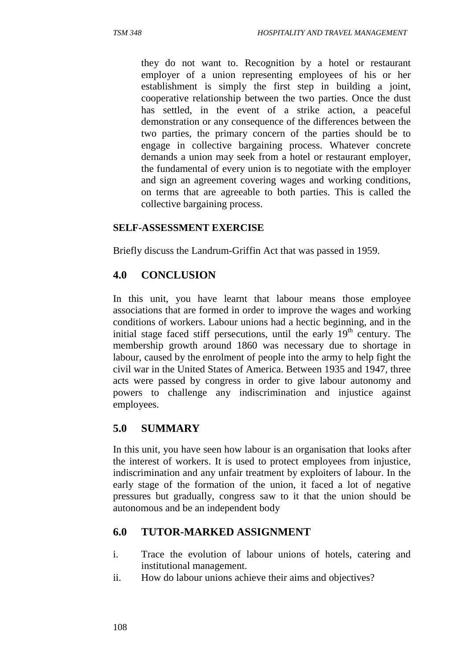they do not want to. Recognition by a hotel or restaurant employer of a union representing employees of his or her establishment is simply the first step in building a joint, cooperative relationship between the two parties. Once the dust has settled, in the event of a strike action, a peaceful demonstration or any consequence of the differences between the two parties, the primary concern of the parties should be to engage in collective bargaining process. Whatever concrete demands a union may seek from a hotel or restaurant employer, the fundamental of every union is to negotiate with the employer and sign an agreement covering wages and working conditions, on terms that are agreeable to both parties. This is called the collective bargaining process.

#### **SELF-ASSESSMENT EXERCISE**

Briefly discuss the Landrum-Griffin Act that was passed in 1959.

## **4.0 CONCLUSION**

In this unit, you have learnt that labour means those employee associations that are formed in order to improve the wages and working conditions of workers. Labour unions had a hectic beginning, and in the initial stage faced stiff persecutions, until the early  $19<sup>th</sup>$  century. The membership growth around 1860 was necessary due to shortage in labour, caused by the enrolment of people into the army to help fight the civil war in the United States of America. Between 1935 and 1947, three acts were passed by congress in order to give labour autonomy and powers to challenge any indiscrimination and injustice against employees.

## **5.0 SUMMARY**

In this unit, you have seen how labour is an organisation that looks after the interest of workers. It is used to protect employees from injustice, indiscrimination and any unfair treatment by exploiters of labour. In the early stage of the formation of the union, it faced a lot of negative pressures but gradually, congress saw to it that the union should be autonomous and be an independent body

## **6.0 TUTOR-MARKED ASSIGNMENT**

- i. Trace the evolution of labour unions of hotels, catering and institutional management.
- ii. How do labour unions achieve their aims and objectives?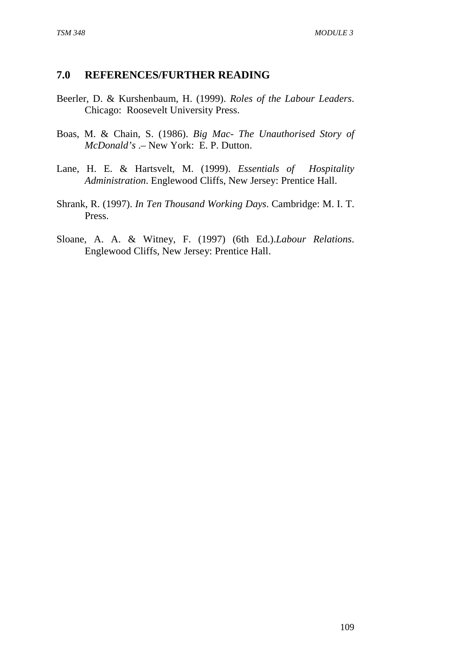# **7.0 REFERENCES/FURTHER READING**

- Beerler, D. & Kurshenbaum, H. (1999). *Roles of the Labour Leaders*. Chicago: Roosevelt University Press.
- Boas, M. & Chain, S. (1986). *Big Mac- The Unauthorised Story of McDonald's* .– New York: E. P. Dutton.
- Lane, H. E. & Hartsvelt, M. (1999). *Essentials of Hospitality Administration*. Englewood Cliffs, New Jersey: Prentice Hall.
- Shrank, R. (1997). *In Ten Thousand Working Days*. Cambridge: M. I. T. Press.
- Sloane, A. A. & Witney, F. (1997) (6th Ed.).*Labour Relations*. Englewood Cliffs, New Jersey: Prentice Hall.